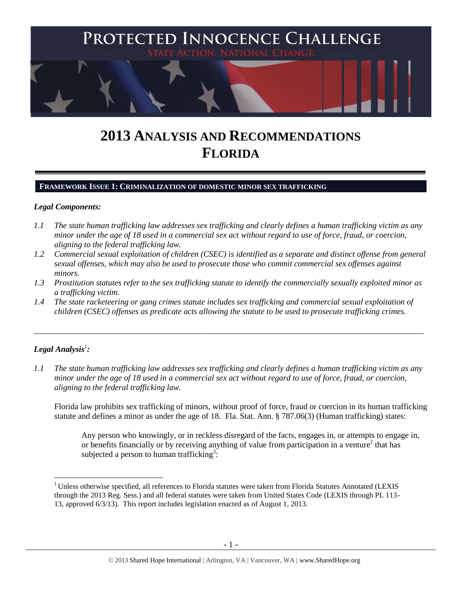

# **2013 ANALYSIS AND RECOMMENDATIONS FLORIDA**

#### **FRAMEWORK ISSUE 1: CRIMINALIZATION OF DOMESTIC MINOR SEX TRAFFICKING**

#### *Legal Components:*

- *1.1 The state human trafficking law addresses sex trafficking and clearly defines a human trafficking victim as any minor under the age of 18 used in a commercial sex act without regard to use of force, fraud, or coercion, aligning to the federal trafficking law.*
- *1.2 Commercial sexual exploitation of children (CSEC) is identified as a separate and distinct offense from general sexual offenses, which may also be used to prosecute those who commit commercial sex offenses against minors.*
- *1.3 Prostitution statutes refer to the sex trafficking statute to identify the commercially sexually exploited minor as a trafficking victim.*
- *1.4 The state racketeering or gang crimes statute includes sex trafficking and commercial sexual exploitation of children (CSEC) offenses as predicate acts allowing the statute to be used to prosecute trafficking crimes.*

\_\_\_\_\_\_\_\_\_\_\_\_\_\_\_\_\_\_\_\_\_\_\_\_\_\_\_\_\_\_\_\_\_\_\_\_\_\_\_\_\_\_\_\_\_\_\_\_\_\_\_\_\_\_\_\_\_\_\_\_\_\_\_\_\_\_\_\_\_\_\_\_\_\_\_\_\_\_\_\_\_\_\_\_\_\_\_\_\_\_\_\_\_\_

## $\bm{L}$ egal Analysis $^1$ :

 $\overline{a}$ 

*1.1 The state human trafficking law addresses sex trafficking and clearly defines a human trafficking victim as any minor under the age of 18 used in a commercial sex act without regard to use of force, fraud, or coercion, aligning to the federal trafficking law.*

Florida law prohibits sex trafficking of minors, without proof of force, fraud or coercion in its human trafficking statute and defines a minor as under the age of 18. Fla. Stat. Ann. § 787.06(3) (Human trafficking) states:

Any person who knowingly, or in reckless disregard of the facts, engages in, or attempts to engage in, or benefits financially or by receiving anything of value from participation in a venture<sup>2</sup> that has subjected a person to human trafficking<sup>3</sup>:

<sup>&</sup>lt;sup>1</sup> Unless otherwise specified, all references to Florida statutes were taken from Florida Statutes Annotated (LEXIS through the 2013 Reg. Sess.) and all federal statutes were taken from United States Code (LEXIS through PL 113- 13, approved 6/3/13). This report includes legislation enacted as of August 1, 2013.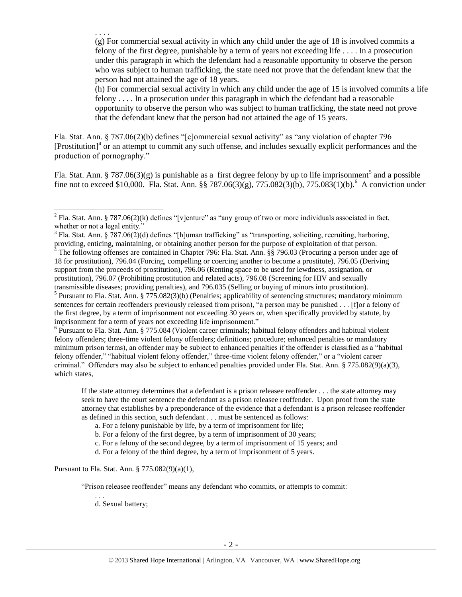. . . .

 $\overline{a}$ 

(g) For commercial sexual activity in which any child under the age of 18 is involved commits a felony of the first degree, punishable by a term of years not exceeding life . . . . In a prosecution under this paragraph in which the defendant had a reasonable opportunity to observe the person who was subject to human trafficking, the state need not prove that the defendant knew that the person had not attained the age of 18 years.

<span id="page-1-0"></span>(h) For commercial sexual activity in which any child under the age of 15 is involved commits a life felony . . . . In a prosecution under this paragraph in which the defendant had a reasonable opportunity to observe the person who was subject to human trafficking, the state need not prove that the defendant knew that the person had not attained the age of 15 years.

Fla. Stat. Ann. § 787.06(2)(b) defines "[c]ommercial sexual activity" as "any violation of chapter 796 [Prostitution]<sup>4</sup> or an attempt to commit any such offense, and includes sexually explicit performances and the production of pornography."

Fla. Stat. Ann. § 787.06(3)(g) is punishable as a first degree felony by up to life imprisonment<sup>5</sup> and a possible fine not to exceed \$10,000. Fla. Stat. Ann. §§ 787.06(3)(g), 775.082(3)(b), 775.083(1)(b). A conviction under

If the state attorney determines that a defendant is a prison releasee reoffender . . . the state attorney may seek to have the court sentence the defendant as a prison releasee reoffender. Upon proof from the state attorney that establishes by a preponderance of the evidence that a defendant is a prison releasee reoffender as defined in this section, such defendant . . . must be sentenced as follows:

a. For a felony punishable by life, by a term of imprisonment for life;

b. For a felony of the first degree, by a term of imprisonment of 30 years;

c. For a felony of the second degree, by a term of imprisonment of 15 years; and

d. For a felony of the third degree, by a term of imprisonment of 5 years.

Pursuant to Fla. Stat. Ann. § 775.082(9)(a)(1),

"Prison releasee reoffender" means any defendant who commits, or attempts to commit:

d. Sexual battery;

. . .

<sup>&</sup>lt;sup>2</sup> Fla. Stat. Ann. § 787.06(2)(k) defines "[v]enture" as "any group of two or more individuals associated in fact, whether or not a legal entity."

 $3$  Fla. Stat. Ann. § 787.06(2)(d) defines "[h]uman trafficking" as "transporting, soliciting, recruiting, harboring, providing, enticing, maintaining, or obtaining another person for the purpose of exploitation of that person.

 $4$  The following offenses are contained in Chapter 796: Fla. Stat. Ann. §§ 796.03 (Procuring a person under age of 18 for prostitution), 796.04 (Forcing, compelling or coercing another to become a prostitute), 796.05 (Deriving support from the proceeds of prostitution), 796.06 (Renting space to be used for lewdness, assignation, or prostitution), 796.07 (Prohibiting prostitution and related acts), 796.08 (Screening for HIV and sexually transmissible diseases; providing penalties), and 796.035 (Selling or buying of minors into prostitution).

<sup>&</sup>lt;sup>5</sup> Pursuant to Fla. Stat. Ann. § 775.082(3)(b) (Penalties; applicability of sentencing structures; mandatory minimum sentences for certain reoffenders previously released from prison), "a person may be punished . . . [f]or a felony of the first degree, by a term of imprisonment not exceeding 30 years or, when specifically provided by statute, by imprisonment for a term of years not exceeding life imprisonment."

<sup>&</sup>lt;sup>6</sup> Pursuant to Fla. Stat. Ann. § 775.084 (Violent career criminals; habitual felony offenders and habitual violent felony offenders; three-time violent felony offenders; definitions; procedure; enhanced penalties or mandatory minimum prison terms), an offender may be subject to enhanced penalties if the offender is classified as a "habitual felony offender," "habitual violent felony offender," three-time violent felony offender," or a "violent career criminal." Offenders may also be subject to enhanced penalties provided under Fla. Stat. Ann. § 775.082(9)(a)(3), which states,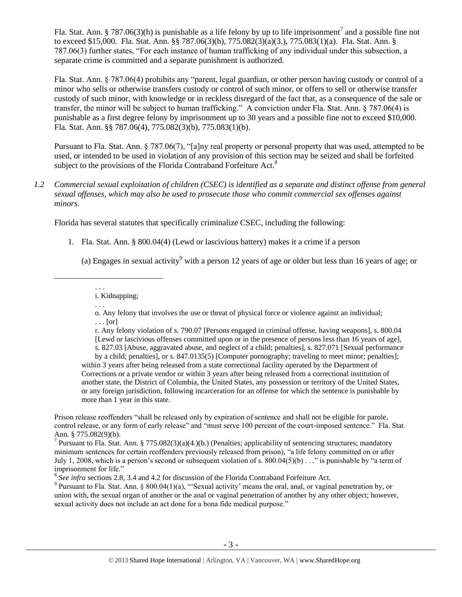Fla. Stat. Ann. § 787.06(3)(h) is punishable as a life felony by up to life imprisonment<sup>7</sup> and a possible fine not to exceed \$15,000. Fla. Stat. Ann. §§ 787.06(3)(h), 775.082(3)(a)(3.), 775.083(1)(a). Fla. Stat. Ann. § 787.06(3) further states, "For each instance of human trafficking of any individual under this subsection, a separate crime is committed and a separate punishment is authorized.

Fla. Stat. Ann. § 787.06(4) prohibits any "parent, legal guardian, or other person having custody or control of a minor who sells or otherwise transfers custody or control of such minor, or offers to sell or otherwise transfer custody of such minor, with knowledge or in reckless disregard of the fact that, as a consequence of the sale or transfer, the minor will be subject to human trafficking." A conviction under Fla. Stat. Ann. § 787.06(4) is punishable as a first degree felony by imprisonment up to 30 years and a possible fine not to exceed \$10,000. Fla. Stat. Ann. §§ 787.06(4), 775.082(3)(b), 775.083(1)(b).

Pursuant to Fla. Stat. Ann. § 787.06(7), "[a]ny real property or personal property that was used, attempted to be used, or intended to be used in violation of any provision of this section may be seized and shall be forfeited subject to the provisions of the Florida Contraband Forfeiture Act.<sup>8</sup>

*1.2 Commercial sexual exploitation of children (CSEC) is identified as a separate and distinct offense from general sexual offenses, which may also be used to prosecute those who commit commercial sex offenses against minors.*

Florida has several statutes that specifically criminalize CSEC, including the following:

1. Fla. Stat. Ann. § 800.04(4) (Lewd or lascivious battery) makes it a crime if a person

(a) Engages in sexual activity<sup>9</sup> with a person 12 years of age or older but less than 16 years of age; or

. . . i. Kidnapping;

. . .

 $\overline{a}$ 

r. Any felony violation of s. 790.07 [Persons engaged in criminal offense, having weapons], s. 800.04 [Lewd or lascivious offenses committed upon or in the presence of persons less than 16 years of age], s. 827.03 [Abuse, aggravated abuse, and neglect of a child; penalties], s. 827.071 [Sexual performance

by a child; penalties], or s. 847.0135(5) [Computer pornography; traveling to meet minor; penalties]; within 3 years after being released from a state correctional facility operated by the Department of Corrections or a private vendor or within 3 years after being released from a correctional institution of another state, the District of Columbia, the United States, any possession or territory of the United States, or any foreign jurisdiction, following incarceration for an offense for which the sentence is punishable by more than 1 year in this state.

Prison release reoffenders "shall be released only by expiration of sentence and shall not be eligible for parole, control release, or any form of early release" and "must serve 100 percent of the court-imposed sentence." Fla. Stat. Ann. § 775.082(9)(b).

<sup>7</sup> Pursuant to Fla. Stat. Ann. § 775.082(3)(a)(4.)(b.) (Penalties; applicability of sentencing structures; mandatory minimum sentences for certain reoffenders previously released from prison), "a life felony committed on or after July 1, 2008, which is a person's second or subsequent violation of s.  $800.04(5)(b)$ . . ." is punishable by "a term of imprisonment for life."

<sup>8</sup> See infra sections 2.8, 3.4 and 4.2 for discussion of the Florida Contraband Forfeiture Act.

<sup>9</sup> Pursuant to Fla. Stat. Ann. § 800.04(1)(a), "Sexual activity' means the oral, anal, or vaginal penetration by, or union with, the sexual organ of another or the anal or vaginal penetration of another by any other object; however, sexual activity does not include an act done for a bona fide medical purpose."

o. Any felony that involves the use or threat of physical force or violence against an individual;  $\ldots$  [or]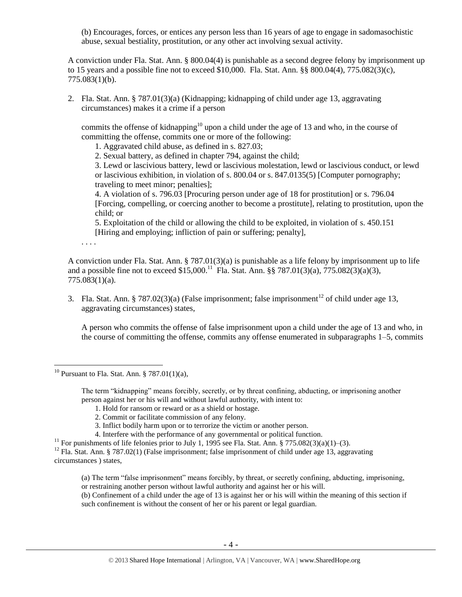(b) Encourages, forces, or entices any person less than 16 years of age to engage in sadomasochistic abuse, sexual bestiality, prostitution, or any other act involving sexual activity.

A conviction under Fla. Stat. Ann. § 800.04(4) is punishable as a second degree felony by imprisonment up to 15 years and a possible fine not to exceed \$10,000. Fla. Stat. Ann. §§ 800.04(4), 775.082(3)(c), 775.083(1)(b).

2. Fla. Stat. Ann. § 787.01(3)(a) (Kidnapping; kidnapping of child under age 13, aggravating circumstances) makes it a crime if a person

commits the offense of kidnapping<sup>10</sup> upon a child under the age of 13 and who, in the course of committing the offense, commits one or more of the following:

1. Aggravated child abuse, as defined in [s. 827.03;](https://www.lexis.com/research/buttonTFLink?_m=99d15fcbe8655d2e548ea5a7c9e85374&_xfercite=%3ccite%20cc%3d%22USA%22%3e%3c%21%5bCDATA%5bFla.%20Stat.%20%a7%20787.01%5d%5d%3e%3c%2fcite%3e&_butType=4&_butStat=0&_butNum=5&_butInline=1&_butinfo=FLCODE%20827.03&_fmtstr=FULL&docnum=1&_startdoc=1&wchp=dGLzVzV-zSkAl&_md5=746fc7f7f7aa62f611173920fd20cf81)

2. Sexual battery, as defined in chapter 794, against the child;

3. Lewd or lascivious battery, lewd or lascivious molestation, lewd or lascivious conduct, or lewd or lascivious exhibition, in violation of [s. 800.04](https://www.lexis.com/research/buttonTFLink?_m=99d15fcbe8655d2e548ea5a7c9e85374&_xfercite=%3ccite%20cc%3d%22USA%22%3e%3c%21%5bCDATA%5bFla.%20Stat.%20%a7%20787.01%5d%5d%3e%3c%2fcite%3e&_butType=4&_butStat=0&_butNum=6&_butInline=1&_butinfo=FLCODE%20800.04&_fmtstr=FULL&docnum=1&_startdoc=1&wchp=dGLzVzV-zSkAl&_md5=df3c01c0e18060582b3b6daf227a2ae7) or [s. 847.0135\(5\)](https://www.lexis.com/research/buttonTFLink?_m=99d15fcbe8655d2e548ea5a7c9e85374&_xfercite=%3ccite%20cc%3d%22USA%22%3e%3c%21%5bCDATA%5bFla.%20Stat.%20%a7%20787.01%5d%5d%3e%3c%2fcite%3e&_butType=4&_butStat=0&_butNum=7&_butInline=1&_butinfo=FLCODE%20847.0135&_fmtstr=FULL&docnum=1&_startdoc=1&wchp=dGLzVzV-zSkAl&_md5=99c51d1dd7b47fe6aa5f0a95515f540f) [Computer pornography; traveling to meet minor; penalties];

4. A violation of [s. 796.03](https://www.lexis.com/research/buttonTFLink?_m=99d15fcbe8655d2e548ea5a7c9e85374&_xfercite=%3ccite%20cc%3d%22USA%22%3e%3c%21%5bCDATA%5bFla.%20Stat.%20%a7%20787.01%5d%5d%3e%3c%2fcite%3e&_butType=4&_butStat=0&_butNum=8&_butInline=1&_butinfo=FLCODE%20796.03&_fmtstr=FULL&docnum=1&_startdoc=1&wchp=dGLzVzV-zSkAl&_md5=84f93ed08015b059f0a641285df59387) [Procuring person under age of 18 for prostitution] or [s. 796.04](https://www.lexis.com/research/buttonTFLink?_m=99d15fcbe8655d2e548ea5a7c9e85374&_xfercite=%3ccite%20cc%3d%22USA%22%3e%3c%21%5bCDATA%5bFla.%20Stat.%20%a7%20787.01%5d%5d%3e%3c%2fcite%3e&_butType=4&_butStat=0&_butNum=9&_butInline=1&_butinfo=FLCODE%20796.04&_fmtstr=FULL&docnum=1&_startdoc=1&wchp=dGLzVzV-zSkAl&_md5=ef47e03769c278dde132a8fbf8497698) [Forcing, compelling, or coercing another to become a prostitute], relating to prostitution, upon the child; or

5. Exploitation of the child or allowing the child to be exploited, in violation of [s. 450.151](https://www.lexis.com/research/buttonTFLink?_m=99d15fcbe8655d2e548ea5a7c9e85374&_xfercite=%3ccite%20cc%3d%22USA%22%3e%3c%21%5bCDATA%5bFla.%20Stat.%20%a7%20787.01%5d%5d%3e%3c%2fcite%3e&_butType=4&_butStat=0&_butNum=10&_butInline=1&_butinfo=FLCODE%20450.151&_fmtstr=FULL&docnum=1&_startdoc=1&wchp=dGLzVzV-zSkAl&_md5=521b539c10f3c7e3a8575e3e0da683fc) [Hiring and employing; infliction of pain or suffering; penalty],

. . . .

 $\overline{a}$ 

A conviction under Fla. Stat. Ann. § 787.01(3)(a) is punishable as a life felony by imprisonment up to life and a possible fine not to exceed \$15,000.<sup>11</sup> Fla. Stat. Ann. §§ 787.01(3)(a), 775.082(3)(a)(3), 775.083(1)(a).

3. Fla. Stat. Ann. § 787.02(3)(a) (False imprisonment; false imprisonment<sup>12</sup> of child under age 13, aggravating circumstances) states,

A person who commits the offense of false imprisonment upon a child under the age of 13 and who, in the course of committing the offense, commits any offense enumerated in subparagraphs 1–5, commits

<sup>10</sup> Pursuant to Fla. Stat. Ann. § 787.01(1)(a),

The term "kidnapping" means forcibly, secretly, or by threat confining, abducting, or imprisoning another person against her or his will and without lawful authority, with intent to:

- 1. Hold for ransom or reward or as a shield or hostage.
- 2. Commit or facilitate commission of any felony.
- 3. Inflict bodily harm upon or to terrorize the victim or another person.

4. Interfere with the performance of any governmental or political function.

<sup>11</sup> For punishments of life felonies prior to July 1, 1995 see Fla. Stat. Ann. § 775.082(3)(a)(1)–(3).

<sup>12</sup> Fla. Stat. Ann. § 787.02(1) (False imprisonment; false imprisonment of child under age 13, aggravating circumstances ) states,

(a) The term "false imprisonment" means forcibly, by threat, or secretly confining, abducting, imprisoning, or restraining another person without lawful authority and against her or his will.

(b) Confinement of a child under the age of 13 is against her or his will within the meaning of this section if such confinement is without the consent of her or his parent or legal guardian.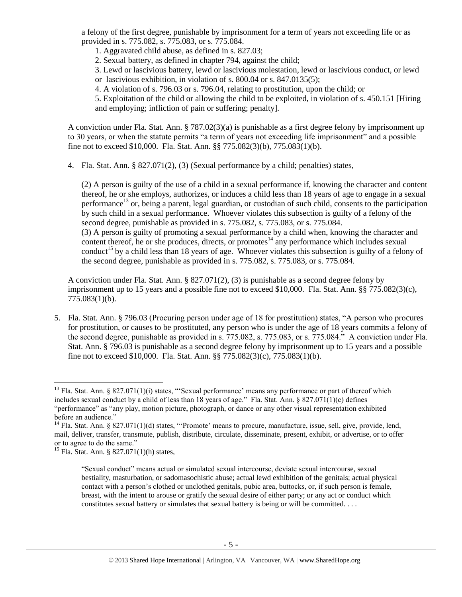a felony of the first degree, punishable by imprisonment for a term of years not exceeding life or as provided in s. 775.082, s. 775.083, or s. 775.084.

1. Aggravated child abuse, as defined in [s. 827.03;](https://www.lexis.com/research/buttonTFLink?_m=a683f2de9c465b2b4b05a5b951fbcaf0&_xfercite=%3ccite%20cc%3d%22USA%22%3e%3c%21%5bCDATA%5bFla.%20Stat.%20%a7%20787.02%5d%5d%3e%3c%2fcite%3e&_butType=4&_butStat=0&_butNum=8&_butInline=1&_butinfo=FLCODE%20827.03&_fmtstr=FULL&docnum=1&_startdoc=1&wchp=dGLbVzV-zSkAA&_md5=b4c47de4d7d6a69e144a0b6f7761592e)

2. Sexual battery, as defined in chapter 794, against the child;

3. Lewd or lascivious battery, lewd or lascivious molestation, lewd or lascivious conduct, or lewd or lascivious exhibition, in violation of [s. 800.04](https://www.lexis.com/research/buttonTFLink?_m=a683f2de9c465b2b4b05a5b951fbcaf0&_xfercite=%3ccite%20cc%3d%22USA%22%3e%3c%21%5bCDATA%5bFla.%20Stat.%20%a7%20787.02%5d%5d%3e%3c%2fcite%3e&_butType=4&_butStat=0&_butNum=9&_butInline=1&_butinfo=FLCODE%20800.04&_fmtstr=FULL&docnum=1&_startdoc=1&wchp=dGLbVzV-zSkAA&_md5=fe76faf30e21d394d251e4d5e03c027e) or [s. 847.0135\(5\);](https://www.lexis.com/research/buttonTFLink?_m=a683f2de9c465b2b4b05a5b951fbcaf0&_xfercite=%3ccite%20cc%3d%22USA%22%3e%3c%21%5bCDATA%5bFla.%20Stat.%20%a7%20787.02%5d%5d%3e%3c%2fcite%3e&_butType=4&_butStat=0&_butNum=10&_butInline=1&_butinfo=FLCODE%20847.0135&_fmtstr=FULL&docnum=1&_startdoc=1&wchp=dGLbVzV-zSkAA&_md5=613946b829e9953e9ee10d0b28f2e01f)

4. A violation of [s. 796.03](https://www.lexis.com/research/buttonTFLink?_m=a683f2de9c465b2b4b05a5b951fbcaf0&_xfercite=%3ccite%20cc%3d%22USA%22%3e%3c%21%5bCDATA%5bFla.%20Stat.%20%a7%20787.02%5d%5d%3e%3c%2fcite%3e&_butType=4&_butStat=0&_butNum=11&_butInline=1&_butinfo=FLCODE%20796.03&_fmtstr=FULL&docnum=1&_startdoc=1&wchp=dGLbVzV-zSkAA&_md5=182aab13917c870876f05104cae476c4) or [s. 796.04,](https://www.lexis.com/research/buttonTFLink?_m=a683f2de9c465b2b4b05a5b951fbcaf0&_xfercite=%3ccite%20cc%3d%22USA%22%3e%3c%21%5bCDATA%5bFla.%20Stat.%20%a7%20787.02%5d%5d%3e%3c%2fcite%3e&_butType=4&_butStat=0&_butNum=12&_butInline=1&_butinfo=FLCODE%20796.04&_fmtstr=FULL&docnum=1&_startdoc=1&wchp=dGLbVzV-zSkAA&_md5=e419899da71fd3c0642830187d86905a) relating to prostitution, upon the child; or

5. Exploitation of the child or allowing the child to be exploited, in violation of [s. 450.151](https://www.lexis.com/research/buttonTFLink?_m=a683f2de9c465b2b4b05a5b951fbcaf0&_xfercite=%3ccite%20cc%3d%22USA%22%3e%3c%21%5bCDATA%5bFla.%20Stat.%20%a7%20787.02%5d%5d%3e%3c%2fcite%3e&_butType=4&_butStat=0&_butNum=13&_butInline=1&_butinfo=FLCODE%20450.151&_fmtstr=FULL&docnum=1&_startdoc=1&wchp=dGLbVzV-zSkAA&_md5=2e3386bd48830e1fef7b4eaf9b269dfd) [Hiring and employing; infliction of pain or suffering; penalty].

A conviction under Fla. Stat. Ann. § 787.02(3)(a) is punishable as a first degree felony by imprisonment up to 30 years, or when the statute permits "a term of years not exceeding life imprisonment" and a possible fine not to exceed \$10,000. Fla. Stat. Ann. §§ 775.082(3)(b), 775.083(1)(b).

4. Fla. Stat. Ann. § 827.071(2), (3) (Sexual performance by a child; penalties) states,

<span id="page-4-2"></span><span id="page-4-0"></span>the second degree, punishable as provided in s. 775.082, s. 775.083, or s. 775.084.

<span id="page-4-1"></span>(2) A person is guilty of the use of a child in a sexual performance if, knowing the character and content thereof, he or she employs, authorizes, or induces a child less than 18 years of age to engage in a sexual performance<sup>13</sup> or, being a parent, legal guardian, or custodian of such child, consents to the participation by such child in a sexual performance. Whoever violates this subsection is guilty of a felony of the second degree, punishable as provided in s. 775.082, s. 775.083, or s. 775.084. (3) A person is guilty of promoting a sexual performance by a child when, knowing the character and content thereof, he or she produces, directs, or promotes<sup>14</sup> any performance which includes sexual conduct<sup>15</sup> by a child less than 18 years of age. Whoever violates this subsection is guilty of a felony of

A conviction under Fla. Stat. Ann. § 827.071(2), (3) is punishable as a second degree felony by imprisonment up to 15 years and a possible fine not to exceed \$10,000. Fla. Stat. Ann. §§ 775.082(3)(c), 775.083(1)(b).

5. Fla. Stat. Ann. § 796.03 (Procuring person under age of 18 for prostitution) states, "A person who procures for prostitution, or causes to be prostituted, any person who is under the age of 18 years commits a felony of the second degree, punishable as provided in s. 775.082, s. 775.083, or s. 775.084." A conviction under Fla. Stat. Ann. § 796.03 is punishable as a second degree felony by imprisonment up to 15 years and a possible fine not to exceed \$10,000. Fla. Stat. Ann. §§ 775.082(3)(c), 775.083(1)(b).

 $\overline{a}$ <sup>13</sup> Fla. Stat. Ann. § 827.071(1)(i) states, "Sexual performance' means any performance or part of thereof which includes sexual conduct by a child of less than 18 years of age." Fla. Stat. Ann. § 827.071(1)(c) defines "performance" as "any play, motion picture, photograph, or dance or any other visual representation exhibited before an audience."

<sup>&</sup>lt;sup>14</sup> Fla. Stat. Ann. § 827.071(1)(d) states, "Promote' means to procure, manufacture, issue, sell, give, provide, lend, mail, deliver, transfer, transmute, publish, distribute, circulate, disseminate, present, exhibit, or advertise, or to offer or to agree to do the same."

<sup>15</sup> Fla. Stat. Ann. § 827.071(1)(h) states,

<sup>&</sup>quot;Sexual conduct" means actual or simulated sexual intercourse, deviate sexual intercourse, sexual bestiality, masturbation, or sadomasochistic abuse; actual lewd exhibition of the genitals; actual physical contact with a person's clothed or unclothed genitals, pubic area, buttocks, or, if such person is female, breast, with the intent to arouse or gratify the sexual desire of either party; or any act or conduct which constitutes sexual battery or simulates that sexual battery is being or will be committed. . . .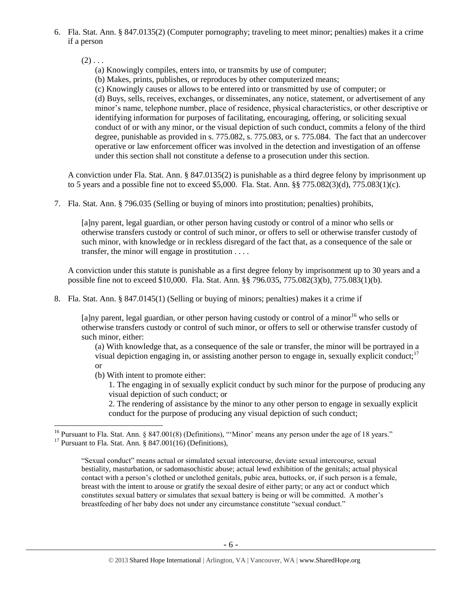- 6. Fla. Stat. Ann. § 847.0135(2) (Computer pornography; traveling to meet minor; penalties) makes it a crime if a person
	- $(2) \ldots$ 
		- (a) Knowingly compiles, enters into, or transmits by use of computer;
		- (b) Makes, prints, publishes, or reproduces by other computerized means;

(c) Knowingly causes or allows to be entered into or transmitted by use of computer; or (d) Buys, sells, receives, exchanges, or disseminates, any notice, statement, or advertisement of any minor's name, telephone number, place of residence, physical characteristics, or other descriptive or identifying information for purposes of facilitating, encouraging, offering, or soliciting sexual conduct of or with any minor, or the visual depiction of such conduct, commits a felony of the third degree, punishable as provided in s. 775.082, s. 775.083, or s. 775.084. The fact that an undercover operative or law enforcement officer was involved in the detection and investigation of an offense under this section shall not constitute a defense to a prosecution under this section.

A conviction under Fla. Stat. Ann. § 847.0135(2) is punishable as a third degree felony by imprisonment up to 5 years and a possible fine not to exceed \$5,000. Fla. Stat. Ann.  $\S$ § 775.082(3)(d), 775.083(1)(c).

7. Fla. Stat. Ann. § 796.035 (Selling or buying of minors into prostitution; penalties) prohibits,

[a]ny parent, legal guardian, or other person having custody or control of a minor who sells or otherwise transfers custody or control of such minor, or offers to sell or otherwise transfer custody of such minor, with knowledge or in reckless disregard of the fact that, as a consequence of the sale or transfer, the minor will engage in prostitution . . . .

A conviction under this statute is punishable as a first degree felony by imprisonment up to 30 years and a possible fine not to exceed \$10,000. Fla. Stat. Ann. §§ 796.035, 775.082(3)(b), 775.083(1)(b).

8. Fla. Stat. Ann. § 847.0145(1) (Selling or buying of minors; penalties) makes it a crime if

[a]ny parent, legal guardian, or other person having custody or control of a minor<sup>16</sup> who sells or otherwise transfers custody or control of such minor, or offers to sell or otherwise transfer custody of such minor, either:

(a) With knowledge that, as a consequence of the sale or transfer, the minor will be portrayed in a visual depiction engaging in, or assisting another person to engage in, sexually explicit conduct;<sup>17</sup> or

(b) With intent to promote either:

1. The engaging in of sexually explicit conduct by such minor for the purpose of producing any visual depiction of such conduct; or

2. The rendering of assistance by the minor to any other person to engage in sexually explicit conduct for the purpose of producing any visual depiction of such conduct;

<sup>&</sup>lt;sup>16</sup> Pursuant to Fla. Stat. Ann. § 847.001(8) (Definitions), "'Minor' means any person under the age of 18 years."

<sup>&</sup>lt;sup>17</sup> Pursuant to Fla. Stat. Ann.  $§ 847.001(16)$  (Definitions),

<sup>&</sup>quot;Sexual conduct" means actual or simulated sexual intercourse, deviate sexual intercourse, sexual bestiality, masturbation, or sadomasochistic abuse; actual lewd exhibition of the genitals; actual physical contact with a person's clothed or unclothed genitals, pubic area, buttocks, or, if such person is a female, breast with the intent to arouse or gratify the sexual desire of either party; or any act or conduct which constitutes sexual battery or simulates that sexual battery is being or will be committed. A mother's breastfeeding of her baby does not under any circumstance constitute "sexual conduct."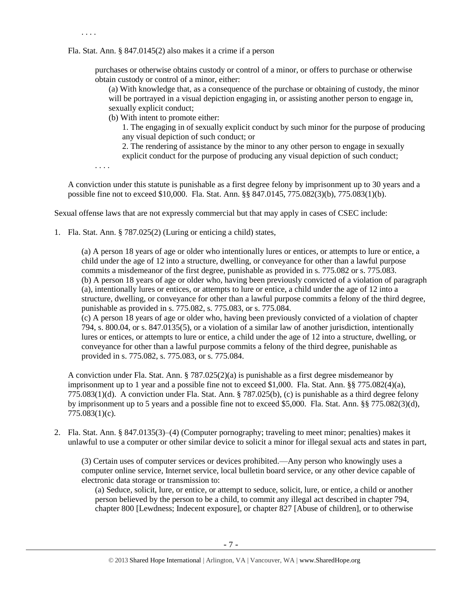. . . .

Fla. Stat. Ann. § 847.0145(2) also makes it a crime if a person

purchases or otherwise obtains custody or control of a minor, or offers to purchase or otherwise obtain custody or control of a minor, either:

(a) With knowledge that, as a consequence of the purchase or obtaining of custody, the minor will be portrayed in a visual depiction engaging in, or assisting another person to engage in, sexually explicit conduct;

(b) With intent to promote either:

1. The engaging in of sexually explicit conduct by such minor for the purpose of producing any visual depiction of such conduct; or

2. The rendering of assistance by the minor to any other person to engage in sexually explicit conduct for the purpose of producing any visual depiction of such conduct;

. . . .

A conviction under this statute is punishable as a first degree felony by imprisonment up to 30 years and a possible fine not to exceed \$10,000. Fla. Stat. Ann. §§ 847.0145, 775.082(3)(b), 775.083(1)(b).

Sexual offense laws that are not expressly commercial but that may apply in cases of CSEC include:

1. Fla. Stat. Ann. § 787.025(2) (Luring or enticing a child) states,

(a) A person 18 years of age or older who intentionally lures or entices, or attempts to lure or entice, a child under the age of 12 into a structure, dwelling, or conveyance for other than a lawful purpose commits a misdemeanor of the first degree, punishable as provided in s. 775.082 or s. 775.083. (b) A person 18 years of age or older who, having been previously convicted of a violation of paragraph (a), intentionally lures or entices, or attempts to lure or entice, a child under the age of 12 into a structure, dwelling, or conveyance for other than a lawful purpose commits a felony of the third degree, punishable as provided in s. 775.082, s. 775.083, or s. 775.084.

(c) A person 18 years of age or older who, having been previously convicted of a violation of chapter 794, s. 800.04, or s. 847.0135(5), or a violation of a similar law of another jurisdiction, intentionally lures or entices, or attempts to lure or entice, a child under the age of 12 into a structure, dwelling, or conveyance for other than a lawful purpose commits a felony of the third degree, punishable as provided in s. 775.082, s. 775.083, or s. 775.084.

A conviction under Fla. Stat. Ann. § 787.025(2)(a) is punishable as a first degree misdemeanor by imprisonment up to 1 year and a possible fine not to exceed \$1,000. Fla. Stat. Ann. §§ 775.082(4)(a), 775.083(1)(d). A conviction under Fla. Stat. Ann. § 787.025(b), (c) is punishable as a third degree felony by imprisonment up to 5 years and a possible fine not to exceed \$5,000. Fla. Stat. Ann. §§ 775.082(3)(d), 775.083(1)(c).

2. Fla. Stat. Ann. § 847.0135(3)–(4) (Computer pornography; traveling to meet minor; penalties) makes it unlawful to use a computer or other similar device to solicit a minor for illegal sexual acts and states in part,

(3) Certain uses of computer services or devices prohibited.—Any person who knowingly uses a computer online service, Internet service, local bulletin board service, or any other device capable of electronic data storage or transmission to:

(a) Seduce, solicit, lure, or entice, or attempt to seduce, solicit, lure, or entice, a child or another person believed by the person to be a child, to commit any illegal act described in chapter 794, chapter 800 [Lewdness; Indecent exposure], or chapter 827 [Abuse of children], or to otherwise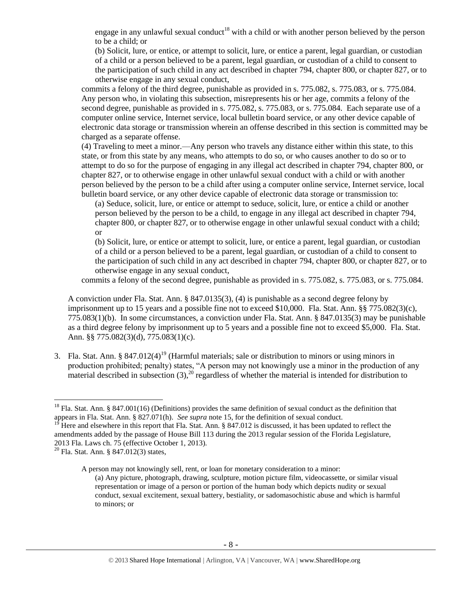engage in any unlawful sexual conduct<sup>18</sup> with a child or with another person believed by the person to be a child; or

(b) Solicit, lure, or entice, or attempt to solicit, lure, or entice a parent, legal guardian, or custodian of a child or a person believed to be a parent, legal guardian, or custodian of a child to consent to the participation of such child in any act described in chapter 794, chapter 800, or chapter 827, or to otherwise engage in any sexual conduct,

commits a felony of the third degree, punishable as provided in s. 775.082, s. 775.083, or s. 775.084. Any person who, in violating this subsection, misrepresents his or her age, commits a felony of the second degree, punishable as provided in s. 775.082, s. 775.083, or s. 775.084. Each separate use of a computer online service, Internet service, local bulletin board service, or any other device capable of electronic data storage or transmission wherein an offense described in this section is committed may be charged as a separate offense.

(4) Traveling to meet a minor.—Any person who travels any distance either within this state, to this state, or from this state by any means, who attempts to do so, or who causes another to do so or to attempt to do so for the purpose of engaging in any illegal act described in chapter 794, chapter 800, or chapter 827, or to otherwise engage in other unlawful sexual conduct with a child or with another person believed by the person to be a child after using a computer online service, Internet service, local bulletin board service, or any other device capable of electronic data storage or transmission to:

(a) Seduce, solicit, lure, or entice or attempt to seduce, solicit, lure, or entice a child or another person believed by the person to be a child, to engage in any illegal act described in chapter 794, chapter 800, or chapter 827, or to otherwise engage in other unlawful sexual conduct with a child; or

(b) Solicit, lure, or entice or attempt to solicit, lure, or entice a parent, legal guardian, or custodian of a child or a person believed to be a parent, legal guardian, or custodian of a child to consent to the participation of such child in any act described in chapter 794, chapter 800, or chapter 827, or to otherwise engage in any sexual conduct,

commits a felony of the second degree, punishable as provided in s. 775.082, s. 775.083, or s. 775.084.

A conviction under Fla. Stat. Ann. § 847.0135(3), (4) is punishable as a second degree felony by imprisonment up to 15 years and a possible fine not to exceed \$10,000. Fla. Stat. Ann. §§ 775.082(3)(c), 775.083(1)(b). In some circumstances, a conviction under Fla. Stat. Ann. § 847.0135(3) may be punishable as a third degree felony by imprisonment up to 5 years and a possible fine not to exceed \$5,000. Fla. Stat. Ann. §§ 775.082(3)(d), 775.083(1)(c).

<span id="page-7-0"></span>3. Fla. Stat. Ann. § 847.012(4)<sup>19</sup> (Harmful materials; sale or distribution to minors or using minors in production prohibited; penalty) states, "A person may not knowingly use a minor in the production of any material described in subsection  $(3)$ ,<sup>20</sup> regardless of whether the material is intended for distribution to

<sup>&</sup>lt;sup>18</sup> Fla. Stat. Ann. § 847.001(16) (Definitions) provides the same definition of sexual conduct as the definition that appears in Fla. Stat. Ann. § 827.071(h). *See supra* not[e 15,](#page-4-0) for the definition of sexual conduct.

<sup>&</sup>lt;sup>19</sup> Here and elsewhere in this report that Fla. Stat. Ann. § 847.012 is discussed, it has been updated to reflect the amendments added by the passage of House Bill 113 during the 2013 regular session of the Florida Legislature, 2013 Fla. Laws ch. 75 (effective October 1, 2013).

<sup>20</sup> Fla. Stat. Ann. § 847.012(3) states,

A person may not knowingly sell, rent, or loan for monetary consideration to a minor: (a) Any picture, photograph, drawing, sculpture, motion picture film, videocassette, or similar visual representation or image of a person or portion of the human body which depicts nudity or sexual conduct, sexual excitement, sexual battery, bestiality, or sadomasochistic abuse and which is harmful to minors; or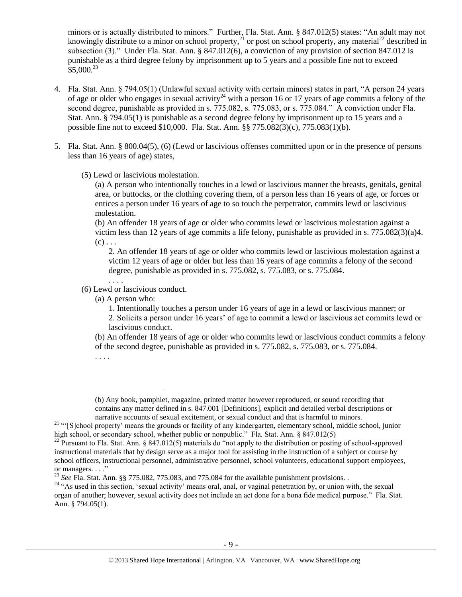minors or is actually distributed to minors." Further, Fla. Stat. Ann. § 847.012(5) states: "An adult may not knowingly distribute to a minor on school property,<sup>21</sup> or post on school property, any material<sup>22</sup> described in subsection (3)." Under Fla. Stat. Ann. § 847.012(6), a conviction of any provision of section 847.012 is punishable as a third degree felony by imprisonment up to 5 years and a possible fine not to exceed  $$5,000.<sup>23</sup>$ 

- 4. Fla. Stat. Ann. § 794.05(1) (Unlawful sexual activity with certain minors) states in part, "A person 24 years of age or older who engages in sexual activity<sup>24</sup> with a person 16 or 17 years of age commits a felony of the second degree, punishable as provided in s. 775.082, s. 775.083, or s. 775.084." A conviction under Fla. Stat. Ann. § 794.05(1) is punishable as a second degree felony by imprisonment up to 15 years and a possible fine not to exceed \$10,000. Fla. Stat. Ann. §§ 775.082(3)(c), 775.083(1)(b).
- 5. Fla. Stat. Ann. § 800.04(5), (6) (Lewd or lascivious offenses committed upon or in the presence of persons less than 16 years of age) states,

(5) Lewd or lascivious molestation.

(a) A person who intentionally touches in a lewd or lascivious manner the breasts, genitals, genital area, or buttocks, or the clothing covering them, of a person less than 16 years of age, or forces or entices a person under 16 years of age to so touch the perpetrator, commits lewd or lascivious molestation.

(b) An offender 18 years of age or older who commits lewd or lascivious molestation against a victim less than 12 years of age commits a life felony, punishable as provided in s. 775.082(3)(a)4.  $(c)$ ...

2. An offender 18 years of age or older who commits lewd or lascivious molestation against a victim 12 years of age or older but less than 16 years of age commits a felony of the second degree, punishable as provided in s. 775.082, s. 775.083, or s. 775.084.

- . . . . (6) Lewd or lascivious conduct.
	- (a) A person who:
		- 1. Intentionally touches a person under 16 years of age in a lewd or lascivious manner; or
		- 2. Solicits a person under 16 years' of age to commit a lewd or lascivious act commits lewd or lascivious conduct.

(b) An offender 18 years of age or older who commits lewd or lascivious conduct commits a felony of the second degree, punishable as provided in s. 775.082, s. 775.083, or s. 775.084.

. . . .

<sup>(</sup>b) Any book, pamphlet, magazine, printed matter however reproduced, or sound recording that contains any matter defined in s. 847.001 [Definitions], explicit and detailed verbal descriptions or narrative accounts of sexual excitement, or sexual conduct and that is harmful to minors.

<sup>&</sup>lt;sup>21</sup> "'[S]chool property' means the grounds or facility of any kindergarten, elementary school, middle school, junior high school, or secondary school, whether public or nonpublic." Fla. Stat. Ann. § 847.012(5)

<sup>&</sup>lt;sup>22</sup> Pursuant to Fla. Stat. Ann. § 847.012(5) materials do "not apply to the distribution or posting of school-approved instructional materials that by design serve as a major tool for assisting in the instruction of a subject or course by school officers, instructional personnel, administrative personnel, school volunteers, educational support employees, or managers. . . ."

<sup>&</sup>lt;sup>23</sup> See Fla. Stat. Ann. §§ 775.082, 775.083, and 775.084 for the available punishment provisions. .

<sup>&</sup>lt;sup>24</sup> "As used in this section, 'sexual activity' means oral, anal, or vaginal penetration by, or union with, the sexual organ of another; however, sexual activity does not include an act done for a bona fide medical purpose." Fla. Stat. Ann. § 794.05(1).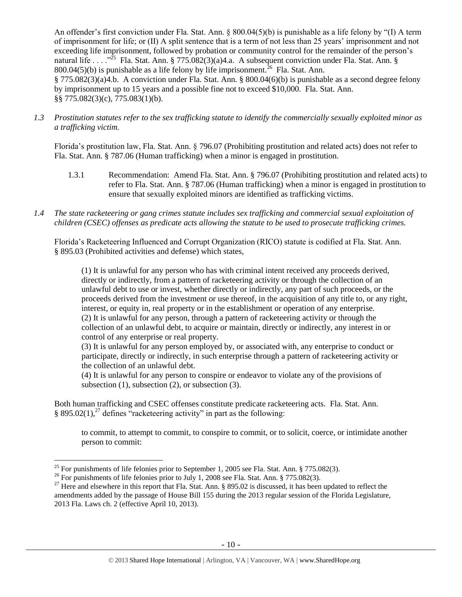An offender's first conviction under Fla. Stat. Ann. § 800.04(5)(b) is punishable as a life felony by "(I) A term of imprisonment for life; or (II) A split sentence that is a term of not less than 25 years' imprisonment and not exceeding life imprisonment, followed by probation or community control for the remainder of the person's natural life . . . .<sup>25</sup> Fla. Stat. Ann. § 775.082(3)(a)4.a. A subsequent conviction under Fla. Stat. Ann. §  $800.04(5)(b)$  is punishable as a life felony by life imprisonment.<sup>26</sup> Fla. Stat. Ann. § 775.082(3)(a)4.b. A conviction under Fla. Stat. Ann. § 800.04(6)(b) is punishable as a second degree felony by imprisonment up to 15 years and a possible fine not to exceed \$10,000. Fla. Stat. Ann. §§ 775.082(3)(c), 775.083(1)(b).

*1.3 Prostitution statutes refer to the sex trafficking statute to identify the commercially sexually exploited minor as a trafficking victim.* 

Florida's prostitution law, Fla. Stat. Ann. § 796.07 (Prohibiting prostitution and related acts) does not refer to Fla. Stat. Ann. § 787.06 (Human trafficking) when a minor is engaged in prostitution.

- 1.3.1 Recommendation: Amend Fla. Stat. Ann. § 796.07 (Prohibiting prostitution and related acts) to refer to Fla. Stat. Ann. § 787.06 (Human trafficking) when a minor is engaged in prostitution to ensure that sexually exploited minors are identified as trafficking victims.
- *1.4 The state racketeering or gang crimes statute includes sex trafficking and commercial sexual exploitation of children (CSEC) offenses as predicate acts allowing the statute to be used to prosecute trafficking crimes.*

Florida's Racketeering Influenced and Corrupt Organization (RICO) statute is codified at Fla. Stat. Ann. § 895.03 (Prohibited activities and defense) which states,

(1) It is unlawful for any person who has with criminal intent received any proceeds derived, directly or indirectly, from a pattern of racketeering activity or through the collection of an unlawful debt to use or invest, whether directly or indirectly, any part of such proceeds, or the proceeds derived from the investment or use thereof, in the acquisition of any title to, or any right, interest, or equity in, real property or in the establishment or operation of any enterprise. (2) It is unlawful for any person, through a pattern of racketeering activity or through the collection of an unlawful debt, to acquire or maintain, directly or indirectly, any interest in or control of any enterprise or real property.

(3) It is unlawful for any person employed by, or associated with, any enterprise to conduct or participate, directly or indirectly, in such enterprise through a pattern of racketeering activity or the collection of an unlawful debt.

(4) It is unlawful for any person to conspire or endeavor to violate any of the provisions of subsection  $(1)$ , subsection  $(2)$ , or subsection  $(3)$ .

Both human trafficking and CSEC offenses constitute predicate racketeering acts. Fla. Stat. Ann.  $§ 895.02(1),<sup>27</sup>$  defines "racketeering activity" in part as the following:

to commit, to attempt to commit, to conspire to commit, or to solicit, coerce, or intimidate another person to commit:

<sup>&</sup>lt;sup>25</sup> For punishments of life felonies prior to September 1, 2005 see Fla. Stat. Ann. § 775.082(3).

<sup>&</sup>lt;sup>26</sup> For punishments of life felonies prior to July 1, 2008 see Fla. Stat. Ann. § 775.082(3).

<sup>&</sup>lt;sup>27</sup> Here and elsewhere in this report that Fla. Stat. Ann. § 895.02 is discussed, it has been updated to reflect the amendments added by the passage of House Bill 155 during the 2013 regular session of the Florida Legislature, 2013 Fla. Laws ch. 2 (effective April 10, 2013).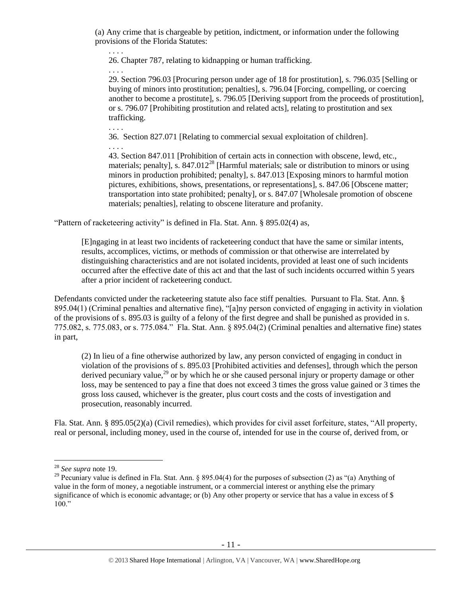(a) Any crime that is chargeable by petition, indictment, or information under the following provisions of the Florida Statutes:

26. Chapter 787, relating to kidnapping or human trafficking.

. . . .

. . . .

29. Section 796.03 [Procuring person under age of 18 for prostitution], s. 796.035 [Selling or buying of minors into prostitution; penalties], s. 796.04 [Forcing, compelling, or coercing another to become a prostitute], s. 796.05 [Deriving support from the proceeds of prostitution], or s. 796.07 [Prohibiting prostitution and related acts], relating to prostitution and sex trafficking.

. . . .

. . . .

36. Section 827.071 [Relating to commercial sexual exploitation of children].

43. Section 847.011 [Prohibition of certain acts in connection with obscene, lewd, etc., materials; penalty], s.  $847.012^{28}$  [Harmful materials; sale or distribution to minors or using minors in production prohibited; penalty], s. 847.013 [Exposing minors to harmful motion pictures, exhibitions, shows, presentations, or representations], s. 847.06 [Obscene matter; transportation into state prohibited; penalty], or s. 847.07 [Wholesale promotion of obscene materials; penalties], relating to obscene literature and profanity.

"Pattern of racketeering activity" is defined in Fla. Stat. Ann. § 895.02(4) as,

[E]ngaging in at least two incidents of racketeering conduct that have the same or similar intents, results, accomplices, victims, or methods of commission or that otherwise are interrelated by distinguishing characteristics and are not isolated incidents, provided at least one of such incidents occurred after the effective date of this act and that the last of such incidents occurred within 5 years after a prior incident of racketeering conduct.

Defendants convicted under the racketeering statute also face stiff penalties. Pursuant to Fla. Stat. Ann. § 895.04(1) (Criminal penalties and alternative fine), "[a]ny person convicted of engaging in activity in violation of the provisions of s. 895.03 is guilty of a felony of the first degree and shall be punished as provided in s. 775.082, s. 775.083, or s. 775.084." Fla. Stat. Ann. § 895.04(2) (Criminal penalties and alternative fine) states in part,

(2) In lieu of a fine otherwise authorized by law, any person convicted of engaging in conduct in violation of the provisions of s. 895.03 [Prohibited activities and defenses], through which the person derived pecuniary value,<sup>29</sup> or by which he or she caused personal injury or property damage or other loss, may be sentenced to pay a fine that does not exceed 3 times the gross value gained or 3 times the gross loss caused, whichever is the greater, plus court costs and the costs of investigation and prosecution, reasonably incurred.

Fla. Stat. Ann. § 895.05(2)(a) (Civil remedies), which provides for civil asset forfeiture, states, "All property, real or personal, including money, used in the course of, intended for use in the course of, derived from, or

<sup>28</sup> *See supra* note [19.](#page-7-0)

<sup>&</sup>lt;sup>29</sup> Pecuniary value is defined in Fla. Stat. Ann. § 895.04(4) for the purposes of subsection (2) as "(a) Anything of value in the form of money, a negotiable instrument, or a commercial interest or anything else the primary significance of which is economic advantage; or (b) Any other property or service that has a value in excess of \$  $100."$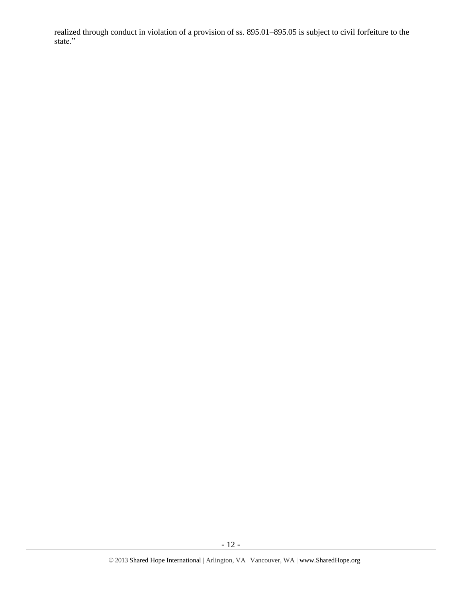realized through conduct in violation of a provision of ss. 895.01–895.05 is subject to civil forfeiture to the state."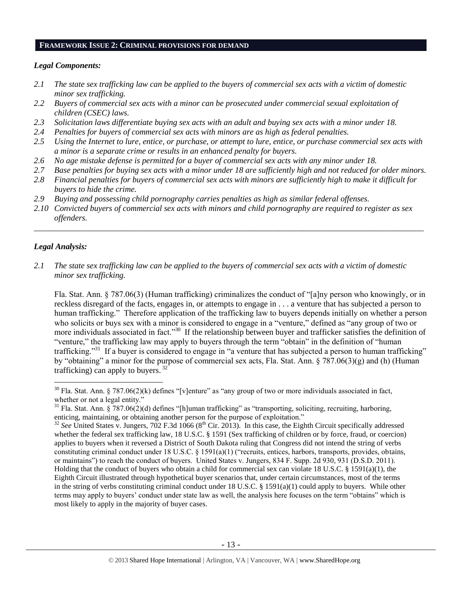#### **FRAMEWORK ISSUE 2: CRIMINAL PROVISIONS FOR DEMAND**

#### *Legal Components:*

- *2.1 The state sex trafficking law can be applied to the buyers of commercial sex acts with a victim of domestic minor sex trafficking.*
- *2.2 Buyers of commercial sex acts with a minor can be prosecuted under commercial sexual exploitation of children (CSEC) laws.*
- *2.3 Solicitation laws differentiate buying sex acts with an adult and buying sex acts with a minor under 18.*
- *2.4 Penalties for buyers of commercial sex acts with minors are as high as federal penalties.*
- *2.5 Using the Internet to lure, entice, or purchase, or attempt to lure, entice, or purchase commercial sex acts with a minor is a separate crime or results in an enhanced penalty for buyers.*
- *2.6 No age mistake defense is permitted for a buyer of commercial sex acts with any minor under 18.*
- *2.7 Base penalties for buying sex acts with a minor under 18 are sufficiently high and not reduced for older minors.*
- *2.8 Financial penalties for buyers of commercial sex acts with minors are sufficiently high to make it difficult for buyers to hide the crime.*
- *2.9 Buying and possessing child pornography carries penalties as high as similar federal offenses.*
- *2.10 Convicted buyers of commercial sex acts with minors and child pornography are required to register as sex offenders.*

\_\_\_\_\_\_\_\_\_\_\_\_\_\_\_\_\_\_\_\_\_\_\_\_\_\_\_\_\_\_\_\_\_\_\_\_\_\_\_\_\_\_\_\_\_\_\_\_\_\_\_\_\_\_\_\_\_\_\_\_\_\_\_\_\_\_\_\_\_\_\_\_\_\_\_\_\_\_\_\_\_\_\_\_\_\_\_\_\_\_\_\_\_\_

#### *Legal Analysis:*

 $\overline{a}$ 

*2.1 The state sex trafficking law can be applied to the buyers of commercial sex acts with a victim of domestic minor sex trafficking.*

Fla. Stat. Ann. § 787.06(3) (Human trafficking) criminalizes the conduct of "[a]ny person who knowingly, or in reckless disregard of the facts, engages in, or attempts to engage in . . . a venture that has subjected a person to human trafficking." Therefore application of the trafficking law to buyers depends initially on whether a person who solicits or buys sex with a minor is considered to engage in a "venture," defined as "any group of two or more individuals associated in fact."<sup>30</sup> If the relationship between buyer and trafficker satisfies the definition of "venture," the trafficking law may apply to buyers through the term "obtain" in the definition of "human trafficking."<sup>31</sup> If a buyer is considered to engage in "a venture that has subjected a person to human trafficking" by "obtaining" a minor for the purpose of commercial sex acts, Fla. Stat. Ann. § 787.06(3)(g) and (h) (Human trafficking) can apply to buyers.  $32^{\circ}$ 

 $30$  Fla. Stat. Ann. § 787.06(2)(k) defines "[v]enture" as "any group of two or more individuals associated in fact, whether or not a legal entity.'

 $31$  Fla. Stat. Ann. § 787.06(2)(d) defines "[h]uman trafficking" as "transporting, soliciting, recruiting, harboring, enticing, maintaining, or obtaining another person for the purpose of exploitation."

 $32$  *See* United States v. Jungers, 702 F.3d 1066 ( $8<sup>th</sup>$  Cir. 2013). In this case, the Eighth Circuit specifically addressed whether the federal sex trafficking law, 18 U.S.C. § 1591 (Sex trafficking of children or by force, fraud, or coercion) applies to buyers when it reversed a District of South Dakota ruling that Congress did not intend the string of verbs constituting criminal conduct under 18 U.S.C. § 1591(a)(1) ("recruits, entices, harbors, transports, provides, obtains, or maintains") to reach the conduct of buyers. United States v. Jungers, 834 F. Supp. 2d 930, 931 (D.S.D. 2011). Holding that the conduct of buyers who obtain a child for commercial sex can violate 18 U.S.C. § 1591(a)(1), the Eighth Circuit illustrated through hypothetical buyer scenarios that, under certain circumstances, most of the terms in the string of verbs constituting criminal conduct under 18 U.S.C. § 1591(a)(1) could apply to buyers. While other terms may apply to buyers' conduct under state law as well, the analysis here focuses on the term "obtains" which is most likely to apply in the majority of buyer cases.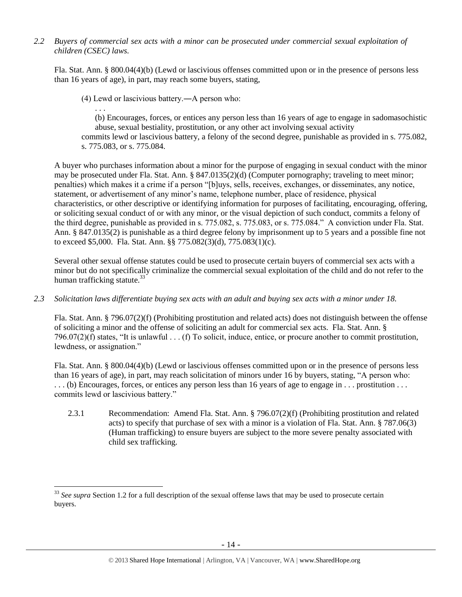## *2.2 Buyers of commercial sex acts with a minor can be prosecuted under commercial sexual exploitation of children (CSEC) laws.*

Fla. Stat. Ann. § 800.04(4)(b) (Lewd or lascivious offenses committed upon or in the presence of persons less than 16 years of age), in part, may reach some buyers, stating,

(4) Lewd or lascivious battery.―A person who:

. . . (b) Encourages, forces, or entices any person less than 16 years of age to engage in sadomasochistic abuse, sexual bestiality, prostitution, or any other act involving sexual activity commits lewd or lascivious battery, a felony of the second degree, punishable as provided in s. 775.082,

A buyer who purchases information about a minor for the purpose of engaging in sexual conduct with the minor may be prosecuted under Fla. Stat. Ann. § 847.0135(2)(d) (Computer pornography; traveling to meet minor; penalties) which makes it a crime if a person "[b]uys, sells, receives, exchanges, or disseminates, any notice, statement, or advertisement of any minor's name, telephone number, place of residence, physical characteristics, or other descriptive or identifying information for purposes of facilitating, encouraging, offering, or soliciting sexual conduct of or with any minor, or the visual depiction of such conduct, commits a felony of the third degree, punishable as provided in s. 775.082, s. 775.083, or s. 775.084." A conviction under Fla. Stat. Ann. § 847.0135(2) is punishable as a third degree felony by imprisonment up to 5 years and a possible fine not to exceed \$5,000. Fla. Stat. Ann. §§ 775.082(3)(d), 775.083(1)(c).

Several other sexual offense statutes could be used to prosecute certain buyers of commercial sex acts with a minor but do not specifically criminalize the commercial sexual exploitation of the child and do not refer to the human trafficking statute. $33$ 

## *2.3 Solicitation laws differentiate buying sex acts with an adult and buying sex acts with a minor under 18.*

Fla. Stat. Ann. § 796.07(2)(f) (Prohibiting prostitution and related acts) does not distinguish between the offense of soliciting a minor and the offense of soliciting an adult for commercial sex acts. Fla. Stat. Ann. §  $796.07(2)$ (f) states, "It is unlawful . . . (f) To solicit, induce, entice, or procure another to commit prostitution, lewdness, or assignation."

Fla. Stat. Ann. § 800.04(4)(b) (Lewd or lascivious offenses committed upon or in the presence of persons less than 16 years of age), in part, may reach solicitation of minors under 16 by buyers, stating, "A person who: . . . (b) Encourages, forces, or entices any person less than 16 years of age to engage in . . . prostitution . . . commits lewd or lascivious battery."

2.3.1 Recommendation: Amend Fla. Stat. Ann. § 796.07(2)(f) (Prohibiting prostitution and related acts) to specify that purchase of sex with a minor is a violation of Fla. Stat. Ann. § 787.06(3) (Human trafficking) to ensure buyers are subject to the more severe penalty associated with child sex trafficking.

s. 775.083, or s. 775.084.

 $\overline{a}$ <sup>33</sup> See supra Section 1.2 for a full description of the sexual offense laws that may be used to prosecute certain buyers.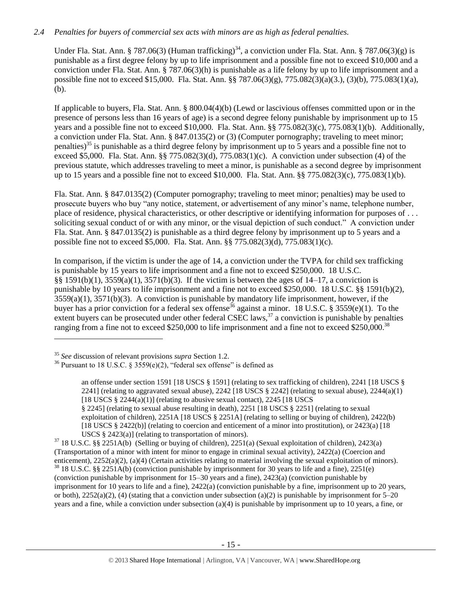## *2.4 Penalties for buyers of commercial sex acts with minors are as high as federal penalties.*

Under Fla. Stat. Ann. § 787.06(3) (Human trafficking)<sup>34</sup>, a conviction under Fla. Stat. Ann. § 787.06(3)(g) is punishable as a first degree felony by up to life imprisonment and a possible fine not to exceed \$10,000 and a conviction under Fla. Stat. Ann. § 787.06(3)(h) is punishable as a life felony by up to life imprisonment and a possible fine not to exceed \$15,000. Fla. Stat. Ann. §§ 787.06(3)(g), 775.082(3)(a)(3.), (3)(b), 775.083(1)(a), (b).

If applicable to buyers, Fla. Stat. Ann. § 800.04(4)(b) (Lewd or lascivious offenses committed upon or in the presence of persons less than 16 years of age) is a second degree felony punishable by imprisonment up to 15 years and a possible fine not to exceed \$10,000. Fla. Stat. Ann. §§ 775.082(3)(c), 775.083(1)(b). Additionally, a conviction under Fla. Stat. Ann. § 847.0135(2) or (3) (Computer pornography; traveling to meet minor; penalties)<sup>35</sup> is punishable as a third degree felony by imprisonment up to 5 years and a possible fine not to exceed \$5,000. Fla. Stat. Ann. §§ 775.082(3)(d), 775.083(1)(c). A conviction under subsection (4) of the previous statute, which addresses traveling to meet a minor, is punishable as a second degree by imprisonment up to 15 years and a possible fine not to exceed \$10,000. Fla. Stat. Ann. §§ 775.082(3)(c), 775.083(1)(b).

Fla. Stat. Ann. § 847.0135(2) (Computer pornography; traveling to meet minor; penalties) may be used to prosecute buyers who buy "any notice, statement, or advertisement of any minor's name, telephone number, place of residence, physical characteristics, or other descriptive or identifying information for purposes of . . . soliciting sexual conduct of or with any minor, or the visual depiction of such conduct." A conviction under Fla. Stat. Ann. § 847.0135(2) is punishable as a third degree felony by imprisonment up to 5 years and a possible fine not to exceed \$5,000. Fla. Stat. Ann. §§ 775.082(3)(d), 775.083(1)(c).

In comparison, if the victim is under the age of 14, a conviction under the TVPA for child sex trafficking is punishable by 15 years to life imprisonment and a fine not to exceed \$250,000. 18 U.S.C. §§ 1591(b)(1), 3559(a)(1), 3571(b)(3). If the victim is between the ages of 14–17, a conviction is punishable by 10 years to life imprisonment and a fine not to exceed \$250,000. 18 U.S.C. §§ 1591(b)(2), 3559(a)(1), 3571(b)(3). A conviction is punishable by mandatory life imprisonment, however, if the buyer has a prior conviction for a federal sex offense<sup>36</sup> against a minor. 18 U.S.C. § 3559(e)(1). To the extent buyers can be prosecuted under other federal CSEC laws,  $37$  a conviction is punishable by penalties ranging from a fine not to exceed \$250,000 to life imprisonment and a fine not to exceed \$250,000.<sup>38</sup>

<sup>35</sup> *See* discussion of relevant provisions *supra* Section 1.2.

<sup>&</sup>lt;sup>36</sup> Pursuant to 18 U.S.C. § 3559(e)(2), "federal sex offense" is defined as

<span id="page-14-0"></span>an offense under section 1591 [18 USCS § 1591] (relating to sex trafficking of children), 2241 [18 USCS § 2241] (relating to aggravated sexual abuse),  $2242$  [18 USCS § 2242] (relating to sexual abuse),  $2244(a)(1)$ [18 USCS  $\S$  2244(a)(1)] (relating to abusive sexual contact), 2245 [18 USCS]

<sup>§ 2245] (</sup>relating to sexual abuse resulting in death), 2251 [18 USCS § 2251] (relating to sexual exploitation of children), 2251A [18 USCS § 2251A] (relating to selling or buying of children), 2422(b) [18 USCS § 2422(b)] (relating to coercion and enticement of a minor into prostitution), or 2423(a) [18 USCS § 2423(a)] (relating to transportation of minors).

<sup>37</sup> 18 U.S.C. §§ 2251A(b) (Selling or buying of children), 2251(a) (Sexual exploitation of children), 2423(a) (Transportation of a minor with intent for minor to engage in criminal sexual activity), 2422(a) (Coercion and enticement), 2252(a)(2), (a)(4) (Certain activities relating to material involving the sexual exploitation of minors).  $38\,18$  U.S.C. §§ 2251A(b) (conviction punishable by imprisonment for 30 years to life and a fine), 2251(e) (conviction punishable by imprisonment for 15–30 years and a fine), 2423(a) (conviction punishable by imprisonment for 10 years to life and a fine), 2422(a) (conviction punishable by a fine, imprisonment up to 20 years, or both),  $2252(a)(2)$ , (4) (stating that a conviction under subsection (a)(2) is punishable by imprisonment for 5–20 years and a fine, while a conviction under subsection (a)(4) is punishable by imprisonment up to 10 years, a fine, or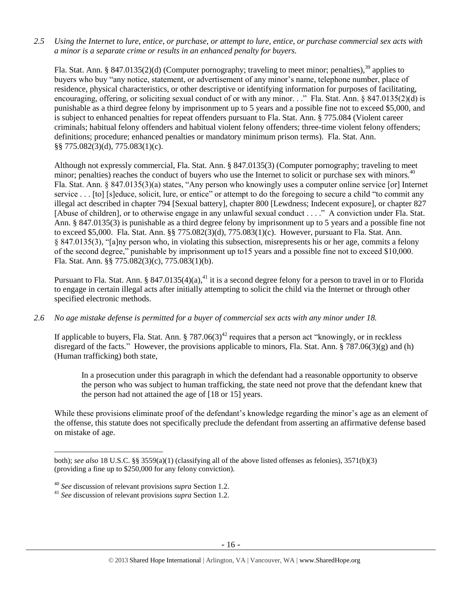*2.5 Using the Internet to lure, entice, or purchase, or attempt to lure, entice, or purchase commercial sex acts with a minor is a separate crime or results in an enhanced penalty for buyers.*

Fla. Stat. Ann. § 847.0135(2)(d) (Computer pornography; traveling to meet minor; penalties),<sup>39</sup> applies to buyers who buy "any notice, statement, or advertisement of any minor's name, telephone number, place of residence, physical characteristics, or other descriptive or identifying information for purposes of facilitating, encouraging, offering, or soliciting sexual conduct of or with any minor. . ." Fla. Stat. Ann. § 847.0135(2)(d) is punishable as a third degree felony by imprisonment up to 5 years and a possible fine not to exceed \$5,000, and is subject to enhanced penalties for repeat offenders pursuant to Fla. Stat. Ann. § 775.084 (Violent career criminals; habitual felony offenders and habitual violent felony offenders; three-time violent felony offenders; definitions; procedure; enhanced penalties or mandatory minimum prison terms). Fla. Stat. Ann. §§ 775.082(3)(d), 775.083(1)(c).

Although not expressly commercial, Fla. Stat. Ann. § 847.0135(3) (Computer pornography; traveling to meet minor; penalties) reaches the conduct of buyers who use the Internet to solicit or purchase sex with minors.<sup>40</sup> Fla. Stat. Ann. § 847.0135(3)(a) states, "Any person who knowingly uses a computer online service [or] Internet service . . . [to] [s]educe, solicit, lure, or entice" or attempt to do the foregoing to secure a child "to commit any illegal act described in chapter 794 [Sexual battery], chapter 800 [Lewdness; Indecent exposure], or chapter 827 [Abuse of children], or to otherwise engage in any unlawful sexual conduct . . . ." A conviction under Fla. Stat. Ann. § 847.0135(3) is punishable as a third degree felony by imprisonment up to 5 years and a possible fine not to exceed \$5,000. Fla. Stat. Ann. §§ 775.082(3)(d), 775.083(1)(c). However, pursuant to Fla. Stat. Ann. § 847.0135(3), "[a]ny person who, in violating this subsection, misrepresents his or her age, commits a felony of the second degree," punishable by imprisonment up to15 years and a possible fine not to exceed \$10,000. Fla. Stat. Ann. §§ 775.082(3)(c), 775.083(1)(b).

Pursuant to Fla. Stat. Ann. § 847.0135(4)(a),<sup>41</sup> it is a second degree felony for a person to travel in or to Florida to engage in certain illegal acts after initially attempting to solicit the child via the Internet or through other specified electronic methods.

*2.6 No age mistake defense is permitted for a buyer of commercial sex acts with any minor under 18.*

If applicable to buyers, Fla. Stat. Ann. § 787.06(3)<sup>42</sup> requires that a person act "knowingly, or in reckless disregard of the facts." However, the provisions applicable to minors, Fla. Stat. Ann. § 787.06(3)(g) and (h) (Human trafficking) both state,

In a prosecution under this paragraph in which the defendant had a reasonable opportunity to observe the person who was subject to human trafficking, the state need not prove that the defendant knew that the person had not attained the age of [18 or 15] years.

While these provisions eliminate proof of the defendant's knowledge regarding the minor's age as an element of the offense, this statute does not specifically preclude the defendant from asserting an affirmative defense based on mistake of age.

both); *see also* 18 U.S.C. §§ 3559(a)(1) (classifying all of the above listed offenses as felonies), 3571(b)(3) (providing a fine up to \$250,000 for any felony conviction).

<sup>40</sup> *See* discussion of relevant provisions *supra* Section 1.2.

<sup>41</sup> *See* discussion of relevant provisions *supra* Section 1.2.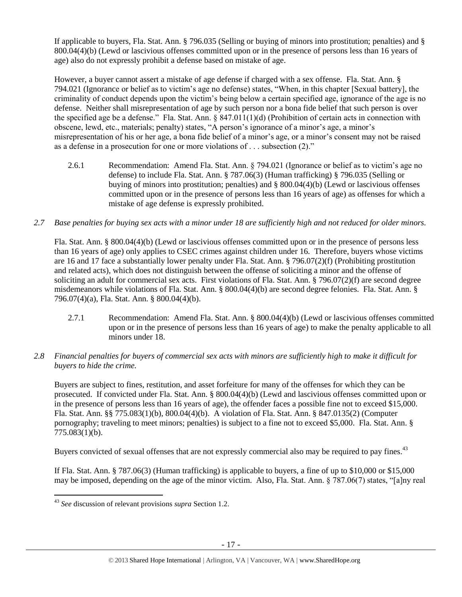If applicable to buyers, Fla. Stat. Ann. § 796.035 (Selling or buying of minors into prostitution; penalties) and § 800.04(4)(b) (Lewd or lascivious offenses committed upon or in the presence of persons less than 16 years of age) also do not expressly prohibit a defense based on mistake of age.

However, a buyer cannot assert a mistake of age defense if charged with a sex offense. Fla. Stat. Ann. § 794.021 (Ignorance or belief as to victim's age no defense) states, "When, in this chapter [Sexual battery], the criminality of conduct depends upon the victim's being below a certain specified age, ignorance of the age is no defense. Neither shall misrepresentation of age by such person nor a bona fide belief that such person is over the specified age be a defense." Fla. Stat. Ann. § 847.011(1)(d) (Prohibition of certain acts in connection with obscene, lewd, etc., materials; penalty) states, "A person's ignorance of a minor's age, a minor's misrepresentation of his or her age, a bona fide belief of a minor's age, or a minor's consent may not be raised as a defense in a prosecution for one or more violations of . . . subsection (2)."

- 2.6.1 Recommendation: Amend Fla. Stat. Ann. § 794.021 (Ignorance or belief as to victim's age no defense) to include Fla. Stat. Ann. § 787.06(3) (Human trafficking) § 796.035 (Selling or buying of minors into prostitution; penalties) and § 800.04(4)(b) (Lewd or lascivious offenses committed upon or in the presence of persons less than 16 years of age) as offenses for which a mistake of age defense is expressly prohibited.
- *2.7 Base penalties for buying sex acts with a minor under 18 are sufficiently high and not reduced for older minors.*

Fla. Stat. Ann. § 800.04(4)(b) (Lewd or lascivious offenses committed upon or in the presence of persons less than 16 years of age) only applies to CSEC crimes against children under 16. Therefore, buyers whose victims are 16 and 17 face a substantially lower penalty under Fla. Stat. Ann. § 796.07(2)(f) (Prohibiting prostitution and related acts), which does not distinguish between the offense of soliciting a minor and the offense of soliciting an adult for commercial sex acts. First violations of Fla. Stat. Ann. § 796.07(2)(f) are second degree misdemeanors while violations of Fla. Stat. Ann. § 800.04(4)(b) are second degree felonies. Fla. Stat. Ann. § 796.07(4)(a), Fla. Stat. Ann. § 800.04(4)(b).

- 2.7.1 Recommendation: Amend Fla. Stat. Ann. § 800.04(4)(b) (Lewd or lascivious offenses committed upon or in the presence of persons less than 16 years of age) to make the penalty applicable to all minors under 18.
- *2.8 Financial penalties for buyers of commercial sex acts with minors are sufficiently high to make it difficult for buyers to hide the crime.*

Buyers are subject to fines, restitution, and asset forfeiture for many of the offenses for which they can be prosecuted. If convicted under Fla. Stat. Ann. § 800.04(4)(b) (Lewd and lascivious offenses committed upon or in the presence of persons less than 16 years of age), the offender faces a possible fine not to exceed \$15,000. Fla. Stat. Ann. §§ 775.083(1)(b), 800.04(4)(b). A violation of Fla. Stat. Ann. § 847.0135(2) (Computer pornography; traveling to meet minors; penalties) is subject to a fine not to exceed \$5,000. Fla. Stat. Ann. § 775.083(1)(b).

Buyers convicted of sexual offenses that are not expressly commercial also may be required to pay fines.<sup>43</sup>

If Fla. Stat. Ann. § 787.06(3) (Human trafficking) is applicable to buyers, a fine of up to \$10,000 or \$15,000 may be imposed, depending on the age of the minor victim. Also, Fla. Stat. Ann. § 787.06(7) states, "[a]ny real

 $\overline{a}$ <sup>43</sup> *See* discussion of relevant provisions *supra* Section 1.2.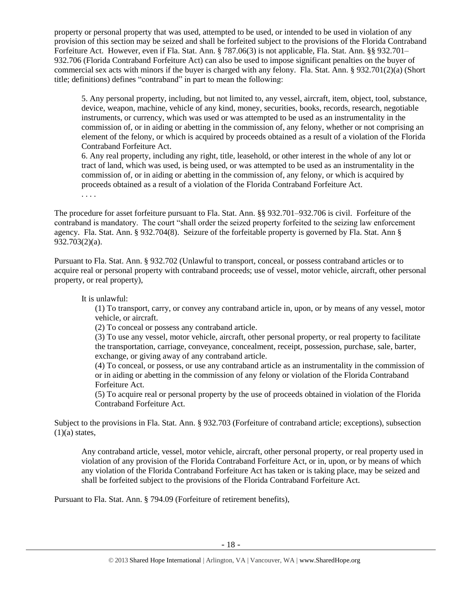property or personal property that was used, attempted to be used, or intended to be used in violation of any provision of this section may be seized and shall be forfeited subject to the provisions of the Florida Contraband Forfeiture Act. However, even if Fla. Stat. Ann. § 787.06(3) is not applicable, Fla. Stat. Ann. §§ 932.701– 932.706 (Florida Contraband Forfeiture Act) can also be used to impose significant penalties on the buyer of commercial sex acts with minors if the buyer is charged with any felony. Fla. Stat. Ann. § 932.701(2)(a) (Short title; definitions) defines "contraband" in part to mean the following:

5. Any personal property, including, but not limited to, any vessel, aircraft, item, object, tool, substance, device, weapon, machine, vehicle of any kind, money, securities, books, records, research, negotiable instruments, or currency, which was used or was attempted to be used as an instrumentality in the commission of, or in aiding or abetting in the commission of, any felony, whether or not comprising an element of the felony, or which is acquired by proceeds obtained as a result of a violation of the Florida Contraband Forfeiture Act.

6. Any real property, including any right, title, leasehold, or other interest in the whole of any lot or tract of land, which was used, is being used, or was attempted to be used as an instrumentality in the commission of, or in aiding or abetting in the commission of, any felony, or which is acquired by proceeds obtained as a result of a violation of the Florida Contraband Forfeiture Act.

. . . .

The procedure for asset forfeiture pursuant to Fla. Stat. Ann. §§ 932.701–932.706 is civil. Forfeiture of the contraband is mandatory. The court "shall order the seized property forfeited to the seizing law enforcement agency. Fla. Stat. Ann. § 932.704(8). Seizure of the forfeitable property is governed by Fla. Stat. Ann § 932.703(2)(a).

Pursuant to Fla. Stat. Ann. § 932.702 (Unlawful to transport, conceal, or possess contraband articles or to acquire real or personal property with contraband proceeds; use of vessel, motor vehicle, aircraft, other personal property, or real property),

It is unlawful:

(1) To transport, carry, or convey any contraband article in, upon, or by means of any vessel, motor vehicle, or aircraft.

(2) To conceal or possess any contraband article.

(3) To use any vessel, motor vehicle, aircraft, other personal property, or real property to facilitate the transportation, carriage, conveyance, concealment, receipt, possession, purchase, sale, barter, exchange, or giving away of any contraband article.

(4) To conceal, or possess, or use any contraband article as an instrumentality in the commission of or in aiding or abetting in the commission of any felony or violation of the Florida Contraband Forfeiture Act.

(5) To acquire real or personal property by the use of proceeds obtained in violation of the Florida Contraband Forfeiture Act.

Subject to the provisions in Fla. Stat. Ann. § 932.703 (Forfeiture of contraband article; exceptions), subsection  $(1)(a)$  states,

Any contraband article, vessel, motor vehicle, aircraft, other personal property, or real property used in violation of any provision of the Florida Contraband Forfeiture Act, or in, upon, or by means of which any violation of the Florida Contraband Forfeiture Act has taken or is taking place, may be seized and shall be forfeited subject to the provisions of the Florida Contraband Forfeiture Act.

Pursuant to Fla. Stat. Ann. § 794.09 (Forfeiture of retirement benefits),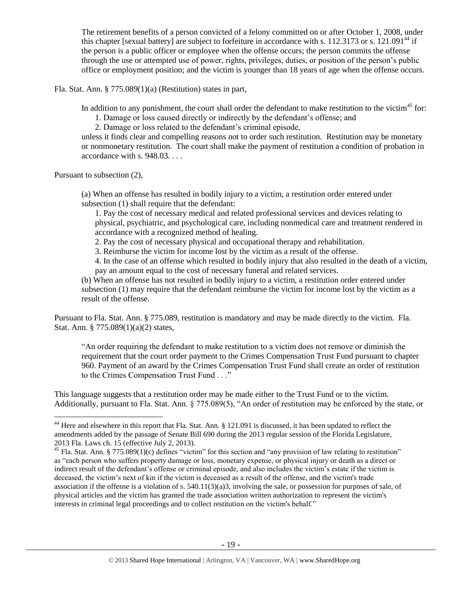The retirement benefits of a person convicted of a felony committed on or after October 1, 2008, under this chapter [sexual battery] are subject to forfeiture in accordance with s. 112.3173 or s. 121.091<sup>44</sup> if the person is a public officer or employee when the offense occurs; the person commits the offense through the use or attempted use of power, rights, privileges, duties, or position of the person's public office or employment position; and the victim is younger than 18 years of age when the offense occurs.

Fla. Stat. Ann. § 775.089(1)(a) (Restitution) states in part,

In addition to any punishment, the court shall order the defendant to make restitution to the victim $45$  for:

- 1. Damage or loss caused directly or indirectly by the defendant's offense; and
- <span id="page-18-0"></span>2. Damage or loss related to the defendant's criminal episode,

unless it finds clear and compelling reasons not to order such restitution. Restitution may be monetary or nonmonetary restitution. The court shall make the payment of restitution a condition of probation in accordance with s. 948.03. . . .

Pursuant to subsection (2),

 $\overline{a}$ 

(a) When an offense has resulted in bodily injury to a victim, a restitution order entered under subsection (1) shall require that the defendant:

1. Pay the cost of necessary medical and related professional services and devices relating to physical, psychiatric, and psychological care, including nonmedical care and treatment rendered in accordance with a recognized method of healing.

2. Pay the cost of necessary physical and occupational therapy and rehabilitation.

3. Reimburse the victim for income lost by the victim as a result of the offense.

4. In the case of an offense which resulted in bodily injury that also resulted in the death of a victim, pay an amount equal to the cost of necessary funeral and related services.

(b) When an offense has not resulted in bodily injury to a victim, a restitution order entered under subsection (1) may require that the defendant reimburse the victim for income lost by the victim as a result of the offense.

Pursuant to Fla. Stat. Ann. § 775.089, restitution is mandatory and may be made directly to the victim. Fla. Stat. Ann. § 775.089(1)(a)(2) states,

"An order requiring the defendant to make restitution to a victim does not remove or diminish the requirement that the court order payment to the Crimes Compensation Trust Fund pursuant to chapter 960. Payment of an award by the Crimes Compensation Trust Fund shall create an order of restitution to the Crimes Compensation Trust Fund . . ."

This language suggests that a restitution order may be made either to the Trust Fund or to the victim. Additionally, pursuant to Fla. Stat. Ann. § 775.089(5), "An order of restitution may be enforced by the state, or

<sup>&</sup>lt;sup>44</sup> Here and elsewhere in this report that Fla. Stat. Ann. § 121.091 is discussed, it has been updated to reflect the amendments added by the passage of Senate Bill 690 during the 2013 regular session of the Florida Legislature, 2013 Fla. Laws ch. 15 (effective July 2, 2013).

 $45$  Fla. Stat. Ann. § 775.089(1)(c) defines "victim" for this section and "any provision of law relating to restitution" as "each person who suffers property damage or loss, monetary expense, or physical injury or death as a direct or indirect result of the defendant's offense or criminal episode, and also includes the victim's estate if the victim is deceased, the victim's next of kin if the victim is deceased as a result of the offense, and the victim's trade association if the offense is a violation of s.  $540.11(3)(a)3$ , involving the sale, or possession for purposes of sale, of physical articles and the victim has granted the trade association written authorization to represent the victim's interests in criminal legal proceedings and to collect restitution on the victim's behalf."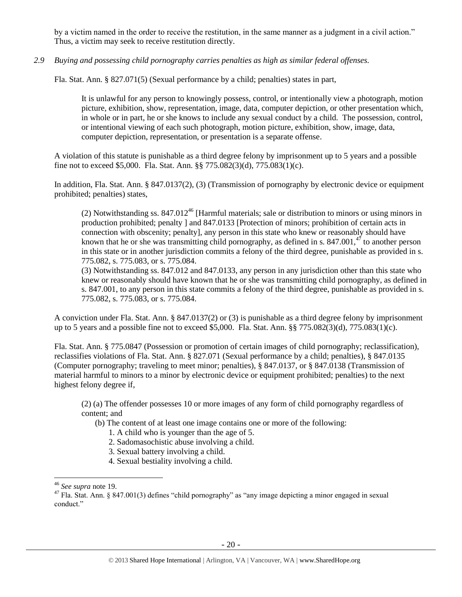by a victim named in the order to receive the restitution, in the same manner as a judgment in a civil action." Thus, a victim may seek to receive restitution directly.

*2.9 Buying and possessing child pornography carries penalties as high as similar federal offenses.*

Fla. Stat. Ann. § 827.071(5) (Sexual performance by a child; penalties) states in part,

It is unlawful for any person to knowingly possess, control, or intentionally view a photograph, motion picture, exhibition, show, representation, image, data, computer depiction, or other presentation which, in whole or in part, he or she knows to include any sexual conduct by a child. The possession, control, or intentional viewing of each such photograph, motion picture, exhibition, show, image, data, computer depiction, representation, or presentation is a separate offense.

A violation of this statute is punishable as a third degree felony by imprisonment up to 5 years and a possible fine not to exceed \$5,000. Fla. Stat. Ann. §§ 775.082(3)(d), 775.083(1)(c).

In addition, Fla. Stat. Ann. § 847.0137(2), (3) (Transmission of pornography by electronic device or equipment prohibited; penalties) states,

(2) Notwithstanding ss.  $847.012^{46}$  [Harmful materials; sale or distribution to minors or using minors in production prohibited; penalty ] and 847.0133 [Protection of minors; prohibition of certain acts in connection with obscenity; penalty], any person in this state who knew or reasonably should have known that he or she was transmitting child pornography, as defined in s.  $847.001$ <sup>47</sup> to another person in this state or in another jurisdiction commits a felony of the third degree, punishable as provided in s. 775.082, s. 775.083, or s. 775.084.

(3) Notwithstanding ss. 847.012 and 847.0133, any person in any jurisdiction other than this state who knew or reasonably should have known that he or she was transmitting child pornography, as defined in s. 847.001, to any person in this state commits a felony of the third degree, punishable as provided in s. 775.082, s. 775.083, or s. 775.084.

A conviction under Fla. Stat. Ann. § 847.0137(2) or (3) is punishable as a third degree felony by imprisonment up to 5 years and a possible fine not to exceed \$5,000. Fla. Stat. Ann. §§ 775.082(3)(d), 775.083(1)(c).

Fla. Stat. Ann. § 775.0847 (Possession or promotion of certain images of child pornography; reclassification), reclassifies violations of Fla. Stat. Ann. § 827.071 (Sexual performance by a child; penalties), § 847.0135 (Computer pornography; traveling to meet minor; penalties), § 847.0137, or § 847.0138 (Transmission of material harmful to minors to a minor by electronic device or equipment prohibited; penalties) to the next highest felony degree if,

(2) (a) The offender possesses 10 or more images of any form of child pornography regardless of content; and

(b) The content of at least one image contains one or more of the following:

- 1. A child who is younger than the age of 5.
- 2. Sadomasochistic abuse involving a child.
- 3. Sexual battery involving a child.
- 4. Sexual bestiality involving a child.

<sup>46</sup> *See supra* note [19.](#page-7-0)

 $47$  Fla. Stat. Ann. § 847.001(3) defines "child pornography" as "any image depicting a minor engaged in sexual conduct."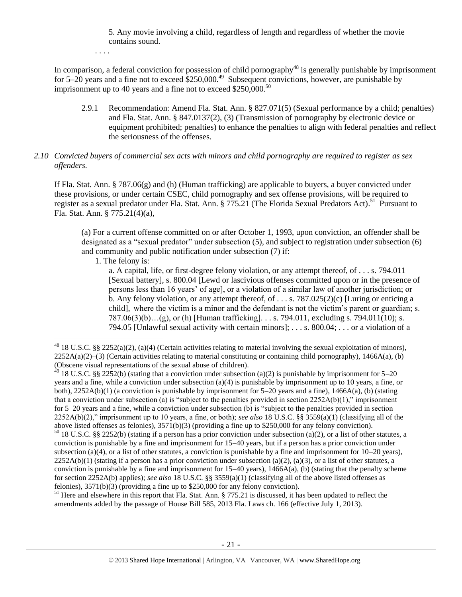5. Any movie involving a child, regardless of length and regardless of whether the movie contains sound.

. . . .

In comparison, a federal conviction for possession of child pornography<sup>48</sup> is generally punishable by imprisonment for 5–20 years and a fine not to exceed  $$250,000.<sup>49</sup>$  Subsequent convictions, however, are punishable by imprisonment up to 40 years and a fine not to exceed  $$250,000.<sup>50</sup>$ 

2.9.1 Recommendation: Amend Fla. Stat. Ann. § 827.071(5) (Sexual performance by a child; penalties) and Fla. Stat. Ann. § 847.0137(2), (3) (Transmission of pornography by electronic device or equipment prohibited; penalties) to enhance the penalties to align with federal penalties and reflect the seriousness of the offenses.

#### *2.10 Convicted buyers of commercial sex acts with minors and child pornography are required to register as sex offenders.*

If Fla. Stat. Ann. § 787.06(g) and (h) (Human trafficking) are applicable to buyers, a buyer convicted under these provisions, or under certain CSEC, child pornography and sex offense provisions, will be required to register as a sexual predator under Fla. Stat. Ann. § 775.21 (The Florida Sexual Predators Act).<sup>51</sup> Pursuant to Fla. Stat. Ann. § 775.21(4)(a),

(a) For a current offense committed on or after October 1, 1993, upon conviction, an offender shall be designated as a "sexual predator" under subsection (5), and subject to registration under subsection (6) and community and public notification under subsection (7) if:

1. The felony is:

<span id="page-20-0"></span>a. A capital, life, or first-degree felony violation, or any attempt thereof, of . . . s. 794.011 [Sexual battery], s. 800.04 [Lewd or lascivious offenses committed upon or in the presence of persons less than 16 years' of age], or a violation of a similar law of another jurisdiction; or b. Any felony violation, or any attempt thereof, of ... s.  $787.025(2)(c)$  [Luring or enticing a child], where the victim is a minor and the defendant is not the victim's parent or guardian; s. 787.06(3)(b)…(g), or (h) [Human trafficking]. . . s. 794.011, excluding s. 794.011(10); s. 794.05 [Unlawful sexual activity with certain minors]; . . . s. 800.04; . . . or a violation of a

 $49$  18 U.S.C. §§ 2252(b) (stating that a conviction under subsection (a)(2) is punishable by imprisonment for 5–20 years and a fine, while a conviction under subsection (a)(4) is punishable by imprisonment up to 10 years, a fine, or both),  $2252A(b)(1)$  (a conviction is punishable by imprisonment for 5–20 years and a fine),  $1466A(a)$ , (b) (stating that a conviction under subsection (a) is "subject to the penalties provided in section  $2252A(b)(1)$ ," imprisonment for 5–20 years and a fine, while a conviction under subsection (b) is "subject to the penalties provided in section 2252A(b)(2)," imprisonment up to 10 years, a fine, or both); *see also* 18 U.S.C. §§ 3559(a)(1) (classifying all of the above listed offenses as felonies), 3571(b)(3) (providing a fine up to \$250,000 for any felony conviction).

 $50$  18 U.S.C. §§ 2252(b) (stating if a person has a prior conviction under subsection (a)(2), or a list of other statutes, a conviction is punishable by a fine and imprisonment for 15–40 years, but if a person has a prior conviction under subsection (a)(4), or a list of other statutes, a conviction is punishable by a fine and imprisonment for  $10-20$  years),  $2252A(b)(1)$  (stating if a person has a prior conviction under subsection (a)(2), (a)(3), or a list of other statutes, a conviction is punishable by a fine and imprisonment for  $15-40$  years),  $1466A(a)$ , (b) (stating that the penalty scheme for section 2252A(b) applies); *see also* 18 U.S.C. §§ 3559(a)(1) (classifying all of the above listed offenses as felonies), 3571(b)(3) (providing a fine up to \$250,000 for any felony conviction).

<sup>51</sup> Here and elsewhere in this report that Fla. Stat. Ann. § 775.21 is discussed, it has been updated to reflect the amendments added by the passage of House Bill 585, 2013 Fla. Laws ch. 166 (effective July 1, 2013).

 $\overline{a}$ <sup>48</sup> 18 U.S.C. §§ 2252(a)(2), (a)(4) (Certain activities relating to material involving the sexual exploitation of minors),  $2252A(a)(2)$ –(3) (Certain activities relating to material constituting or containing child pornography), 1466A(a), (b) (Obscene visual representations of the sexual abuse of children).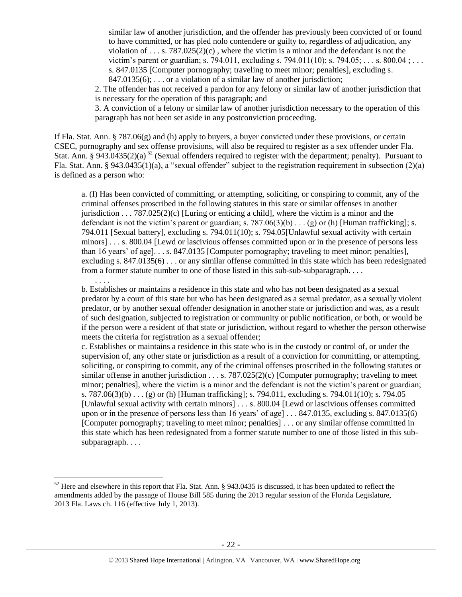similar law of another jurisdiction, and the offender has previously been convicted of or found to have committed, or has pled nolo contendere or guilty to, regardless of adjudication, any violation of ... s. 787.025(2)(c), where the victim is a minor and the defendant is not the victim's parent or guardian; s. 794.011, excluding s. 794.011(10); s. 794.05; . . . s. 800.04; . . . s. 847.0135 [Computer pornography; traveling to meet minor; penalties], excluding s.  $847.0135(6)$ ; ... or a violation of a similar law of another jurisdiction;

2. The offender has not received a pardon for any felony or similar law of another jurisdiction that is necessary for the operation of this paragraph; and

<span id="page-21-0"></span>3. A conviction of a felony or similar law of another jurisdiction necessary to the operation of this paragraph has not been set aside in any postconviction proceeding.

If Fla. Stat. Ann. § 787.06(g) and (h) apply to buyers, a buyer convicted under these provisions, or certain CSEC, pornography and sex offense provisions, will also be required to register as a sex offender under Fla. Stat. Ann. §  $943.0435(2)(a)^{52}$  (Sexual offenders required to register with the department; penalty). Pursuant to Fla. Stat. Ann. § 943.0435(1)(a), a "sexual offender" subject to the registration requirement in subsection (2)(a) is defined as a person who:

a. (I) Has been convicted of committing, or attempting, soliciting, or conspiring to commit, any of the criminal offenses proscribed in the following statutes in this state or similar offenses in another jurisdiction  $\ldots$  787.025(2)(c) [Luring or enticing a child], where the victim is a minor and the defendant is not the victim's parent or guardian; s. 787.06(3)(b) . . . (g) or (h) [Human trafficking]; s. 794.011 [Sexual battery], excluding s. 794.011(10); s. 794.05[Unlawful sexual activity with certain minors] . . . s. 800.04 [Lewd or lascivious offenses committed upon or in the presence of persons less than 16 years' of age]. . . s. 847.0135 [Computer pornography; traveling to meet minor; penalties], excluding s. 847.0135(6) . . . or any similar offense committed in this state which has been redesignated from a former statute number to one of those listed in this sub-sub-subparagraph. . . .

b. Establishes or maintains a residence in this state and who has not been designated as a sexual predator by a court of this state but who has been designated as a sexual predator, as a sexually violent predator, or by another sexual offender designation in another state or jurisdiction and was, as a result of such designation, subjected to registration or community or public notification, or both, or would be if the person were a resident of that state or jurisdiction, without regard to whether the person otherwise meets the criteria for registration as a sexual offender;

. . . .

 $\overline{a}$ 

c. Establishes or maintains a residence in this state who is in the custody or control of, or under the supervision of, any other state or jurisdiction as a result of a conviction for committing, or attempting, soliciting, or conspiring to commit, any of the criminal offenses proscribed in the following statutes or similar offense in another jurisdiction . . . s. 787.025(2)(c) [Computer pornography; traveling to meet minor; penalties], where the victim is a minor and the defendant is not the victim's parent or guardian; s. 787.06(3)(b) . . . (g) or (h) [Human trafficking]; s. 794.011, excluding s. 794.011(10); s. 794.05 [Unlawful sexual activity with certain minors] . . . s. 800.04 [Lewd or lascivious offenses committed upon or in the presence of persons less than 16 years' of age] . . . 847.0135, excluding s. 847.0135(6) [Computer pornography; traveling to meet minor; penalties] . . . or any similar offense committed in this state which has been redesignated from a former statute number to one of those listed in this subsubparagraph. . . .

 $52$  Here and elsewhere in this report that Fla. Stat. Ann. § 943.0435 is discussed, it has been updated to reflect the amendments added by the passage of House Bill 585 during the 2013 regular session of the Florida Legislature, 2013 Fla. Laws ch. 116 (effective July 1, 2013).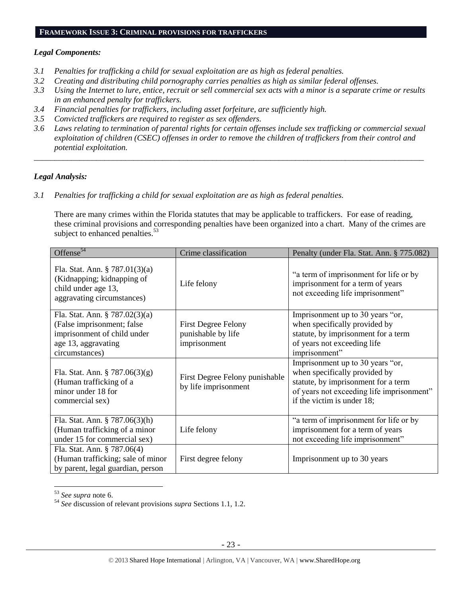#### **FRAMEWORK ISSUE 3: CRIMINAL PROVISIONS FOR TRAFFICKERS**

#### *Legal Components:*

- *3.1 Penalties for trafficking a child for sexual exploitation are as high as federal penalties.*
- *3.2 Creating and distributing child pornography carries penalties as high as similar federal offenses.*
- *3.3 Using the Internet to lure, entice, recruit or sell commercial sex acts with a minor is a separate crime or results in an enhanced penalty for traffickers.*
- *3.4 Financial penalties for traffickers, including asset forfeiture, are sufficiently high.*
- *3.5 Convicted traffickers are required to register as sex offenders.*
- *3.6 Laws relating to termination of parental rights for certain offenses include sex trafficking or commercial sexual exploitation of children (CSEC) offenses in order to remove the children of traffickers from their control and potential exploitation.*

*\_\_\_\_\_\_\_\_\_\_\_\_\_\_\_\_\_\_\_\_\_\_\_\_\_\_\_\_\_\_\_\_\_\_\_\_\_\_\_\_\_\_\_\_\_\_\_\_\_\_\_\_\_\_\_\_\_\_\_\_\_\_\_\_\_\_\_\_\_\_\_\_\_\_\_\_\_\_\_\_\_\_\_\_\_\_\_\_\_\_\_\_\_\_*

#### *Legal Analysis:*

*3.1 Penalties for trafficking a child for sexual exploitation are as high as federal penalties.* 

There are many crimes within the Florida statutes that may be applicable to traffickers. For ease of reading, these criminal provisions and corresponding penalties have been organized into a chart. Many of the crimes are subject to enhanced penalties.<sup>53</sup>

| Offense <sup>54</sup>                                                                                                                   | Crime classification                                             | Penalty (under Fla. Stat. Ann. § 775.082)                                                                                                                                           |
|-----------------------------------------------------------------------------------------------------------------------------------------|------------------------------------------------------------------|-------------------------------------------------------------------------------------------------------------------------------------------------------------------------------------|
| Fla. Stat. Ann. $\S 787.01(3)(a)$<br>(Kidnapping; kidnapping of<br>child under age 13,<br>aggravating circumstances)                    | Life felony                                                      | "a term of imprisonment for life or by<br>imprisonment for a term of years<br>not exceeding life imprisonment"                                                                      |
| Fla. Stat. Ann. $\S 787.02(3)(a)$<br>(False imprisonment; false<br>imprisonment of child under<br>age 13, aggravating<br>circumstances) | <b>First Degree Felony</b><br>punishable by life<br>imprisonment | Imprisonment up to 30 years "or,<br>when specifically provided by<br>statute, by imprisonment for a term<br>of years not exceeding life<br>imprisonment"                            |
| Fla. Stat. Ann. $\S 787.06(3)(g)$<br>(Human trafficking of a<br>minor under 18 for<br>commercial sex)                                   | First Degree Felony punishable<br>by life imprisonment           | Imprisonment up to 30 years "or,<br>when specifically provided by<br>statute, by imprisonment for a term<br>of years not exceeding life imprisonment"<br>if the victim is under 18; |
| Fla. Stat. Ann. $\S 787.06(3)(h)$<br>(Human trafficking of a minor<br>under 15 for commercial sex)                                      | Life felony                                                      | "a term of imprisonment for life or by<br>imprisonment for a term of years<br>not exceeding life imprisonment"                                                                      |
| Fla. Stat. Ann. § 787.06(4)<br>(Human trafficking; sale of minor<br>by parent, legal guardian, person                                   | First degree felony                                              | Imprisonment up to 30 years                                                                                                                                                         |

<sup>53</sup> *See supra* note [6.](#page-1-0)

<sup>54</sup> *See* discussion of relevant provisions *supra* Sections 1.1, 1.2.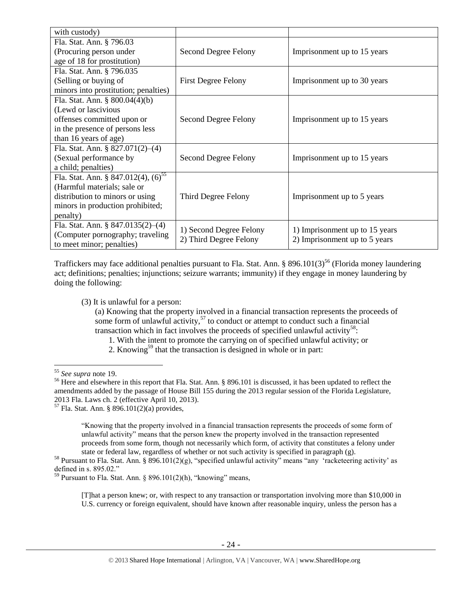| with custody)                            |                            |                                |
|------------------------------------------|----------------------------|--------------------------------|
| Fla. Stat. Ann. § 796.03                 |                            |                                |
| (Procuring person under                  | Second Degree Felony       | Imprisonment up to 15 years    |
| age of 18 for prostitution)              |                            |                                |
| Fla. Stat. Ann. § 796.035                |                            |                                |
| (Selling or buying of                    | <b>First Degree Felony</b> | Imprisonment up to 30 years    |
| minors into prostitution; penalties)     |                            |                                |
| Fla. Stat. Ann. § 800.04(4)(b)           |                            |                                |
| (Lewd or lascivious                      |                            |                                |
| offenses committed upon or               | Second Degree Felony       | Imprisonment up to 15 years    |
| in the presence of persons less          |                            |                                |
| than 16 years of age)                    |                            |                                |
| Fla. Stat. Ann. § 827.071(2)-(4)         |                            |                                |
| (Sexual performance by                   | Second Degree Felony       | Imprisonment up to 15 years    |
| a child; penalties)                      |                            |                                |
| Fla. Stat. Ann. § 847.012(4), $(6)^{55}$ |                            |                                |
| (Harmful materials; sale or              |                            |                                |
| distribution to minors or using          | Third Degree Felony        | Imprisonment up to 5 years     |
| minors in production prohibited;         |                            |                                |
| penalty)                                 |                            |                                |
| Fla. Stat. Ann. § 847.0135(2)-(4)        | 1) Second Degree Felony    | 1) Imprisonment up to 15 years |
| (Computer pornography; traveling         | 2) Third Degree Felony     | 2) Imprisonment up to 5 years  |
| to meet minor; penalties)                |                            |                                |

Traffickers may face additional penalties pursuant to Fla. Stat. Ann. § 896.101(3)<sup>56</sup> (Florida money laundering act; definitions; penalties; injunctions; seizure warrants; immunity) if they engage in money laundering by doing the following:

(3) It is unlawful for a person:

(a) Knowing that the property involved in a financial transaction represents the proceeds of some form of unlawful activity,<sup>57</sup> to conduct or attempt to conduct such a financial transaction which in fact involves the proceeds of specified unlawful activity<sup>58</sup>:

<span id="page-23-0"></span>1. With the intent to promote the carrying on of specified unlawful activity; or

2. Knowing<sup>59</sup> that the transaction is designed in whole or in part:

 $\overline{a}$ 

"Knowing that the property involved in a financial transaction represents the proceeds of some form of unlawful activity" means that the person knew the property involved in the transaction represented proceeds from some form, though not necessarily which form, of activity that constitutes a felony under state or federal law, regardless of whether or not such activity is specified in paragraph (g).

[T]hat a person knew; or, with respect to any transaction or transportation involving more than \$10,000 in U.S. currency or foreign equivalent, should have known after reasonable inquiry, unless the person has a

<sup>55</sup> *See supra* note [19.](#page-7-0)

<sup>&</sup>lt;sup>56</sup> Here and elsewhere in this report that Fla. Stat. Ann. § 896.101 is discussed, it has been updated to reflect the amendments added by the passage of House Bill 155 during the 2013 regular session of the Florida Legislature, 2013 Fla. Laws ch. 2 (effective April 10, 2013).

 $57$  Fla. Stat. Ann. § 896.101(2)(a) provides,

<sup>&</sup>lt;sup>58</sup> Pursuant to Fla. Stat. Ann. § 896.101(2)(g), "specified unlawful activity" means "any 'racketeering activity' as defined in s. 895.02."

<sup>&</sup>lt;sup>59</sup> Pursuant to Fla. Stat. Ann.  $\frac{6}{9}$  896.101(2)(h), "knowing" means,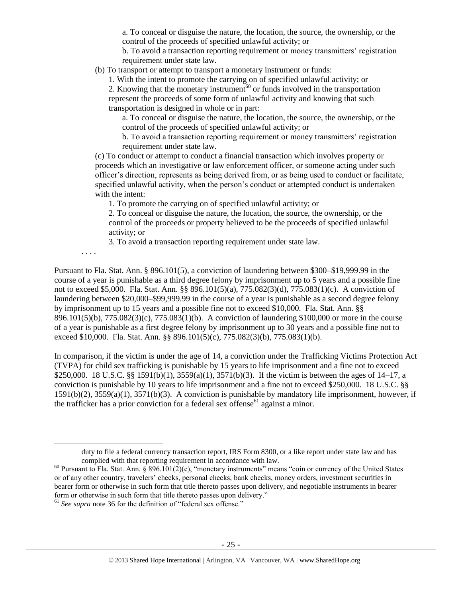a. To conceal or disguise the nature, the location, the source, the ownership, or the control of the proceeds of specified unlawful activity; or

b. To avoid a transaction reporting requirement or money transmitters' registration requirement under state law.

(b) To transport or attempt to transport a monetary instrument or funds:

1. With the intent to promote the carrying on of specified unlawful activity; or

2. Knowing that the monetary instrument $60$  or funds involved in the transportation represent the proceeds of some form of unlawful activity and knowing that such transportation is designed in whole or in part:

a. To conceal or disguise the nature, the location, the source, the ownership, or the control of the proceeds of specified unlawful activity; or

b. To avoid a transaction reporting requirement or money transmitters' registration requirement under state law.

(c) To conduct or attempt to conduct a financial transaction which involves property or proceeds which an investigative or law enforcement officer, or someone acting under such officer's direction, represents as being derived from, or as being used to conduct or facilitate, specified unlawful activity, when the person's conduct or attempted conduct is undertaken with the intent:

1. To promote the carrying on of specified unlawful activity; or

2. To conceal or disguise the nature, the location, the source, the ownership, or the control of the proceeds or property believed to be the proceeds of specified unlawful activity; or

3. To avoid a transaction reporting requirement under state law.

. . . .

 $\overline{a}$ 

Pursuant to Fla. Stat. Ann. § 896.101(5), a conviction of laundering between \$300–\$19,999.99 in the course of a year is punishable as a third degree felony by imprisonment up to 5 years and a possible fine not to exceed \$5,000. Fla. Stat. Ann. §§ 896.101(5)(a), 775.082(3)(d), 775.083(1)(c). A conviction of laundering between \$20,000–\$99,999.99 in the course of a year is punishable as a second degree felony by imprisonment up to 15 years and a possible fine not to exceed \$10,000. Fla. Stat. Ann. §§ 896.101(5)(b), 775.082(3)(c), 775.083(1)(b). A conviction of laundering \$100,000 or more in the course of a year is punishable as a first degree felony by imprisonment up to 30 years and a possible fine not to exceed \$10,000. Fla. Stat. Ann. §§ 896.101(5)(c), 775.082(3)(b), 775.083(1)(b).

In comparison, if the victim is under the age of 14, a conviction under the Trafficking Victims Protection Act (TVPA) for child sex trafficking is punishable by 15 years to life imprisonment and a fine not to exceed \$250,000. 18 U.S.C. §§ 1591(b)(1), 3559(a)(1), 3571(b)(3). If the victim is between the ages of 14–17, a conviction is punishable by 10 years to life imprisonment and a fine not to exceed \$250,000. 18 U.S.C. §§ 1591(b)(2), 3559(a)(1), 3571(b)(3). A conviction is punishable by mandatory life imprisonment, however, if the trafficker has a prior conviction for a federal sex offense<sup>61</sup> against a minor.

duty to file a federal currency transaction report, IRS Form 8300, or a like report under state law and has complied with that reporting requirement in accordance with law.

<sup>&</sup>lt;sup>60</sup> Pursuant to Fla. Stat. Ann.  $\hat{\S}$  896.101(2)(e), "monetary instruments" means "coin or currency of the United States or of any other country, travelers' checks, personal checks, bank checks, money orders, investment securities in bearer form or otherwise in such form that title thereto passes upon delivery, and negotiable instruments in bearer form or otherwise in such form that title thereto passes upon delivery."

<sup>61</sup> *See supra* note [36](#page-14-0) for the definition of "federal sex offense."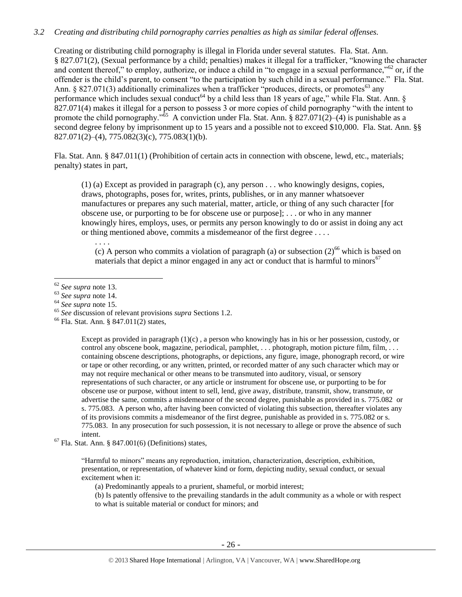### *3.2 Creating and distributing child pornography carries penalties as high as similar federal offenses.*

Creating or distributing child pornography is illegal in Florida under several statutes. Fla. Stat. Ann. § 827.071(2), (Sexual performance by a child; penalties) makes it illegal for a trafficker, "knowing the character and content thereof," to employ, authorize, or induce a child in "to engage in a sexual performance,"<sup>62</sup> or, if the offender is the child's parent, to consent "to the participation by such child in a sexual performance." Fla. Stat. Ann.  $\S 827.071(3)$  additionally criminalizes when a trafficker "produces, directs, or promotes<sup>63</sup> any performance which includes sexual conduct<sup>64</sup> by a child less than 18 years of age," while Fla. Stat. Ann. § 827.071(4) makes it illegal for a person to possess 3 or more copies of child pornography "with the intent to promote the child pornography."<sup> $55$ </sup> A conviction under Fla. Stat. Ann. § 827.071(2)–(4) is punishable as a second degree felony by imprisonment up to 15 years and a possible not to exceed \$10,000. Fla. Stat. Ann. §§ 827.071(2)–(4), 775.082(3)(c), 775.083(1)(b).

Fla. Stat. Ann. § 847.011(1) (Prohibition of certain acts in connection with obscene, lewd, etc., materials; penalty) states in part,

(1) (a) Except as provided in paragraph (c), any person . . . who knowingly designs, copies, draws, photographs, poses for, writes, prints, publishes, or in any manner whatsoever manufactures or prepares any such material, matter, article, or thing of any such character [for obscene use, or purporting to be for obscene use or purpose]; . . . or who in any manner knowingly hires, employs, uses, or permits any person knowingly to do or assist in doing any act or thing mentioned above, commits a misdemeanor of the first degree . . . .

(c) A person who commits a violation of paragraph (a) or subsection  $(2)^{66}$  which is based on materials that depict a minor engaged in any act or conduct that is harmful to minors $67$ 

. . . .

Except as provided in paragraph (1)(c) , a person who knowingly has in his or her possession, custody, or control any obscene book, magazine, periodical, pamphlet, . . . photograph, motion picture film, film, . . . containing obscene descriptions, photographs, or depictions, any figure, image, phonograph record, or wire or tape or other recording, or any written, printed, or recorded matter of any such character which may or may not require mechanical or other means to be transmuted into auditory, visual, or sensory representations of such character, or any article or instrument for obscene use, or purporting to be for obscene use or purpose, without intent to sell, lend, give away, distribute, transmit, show, transmute, or advertise the same, commits a misdemeanor of the second degree, punishable as provided in s. 775.082 or s. 775.083. A person who, after having been convicted of violating this subsection, thereafter violates any of its provisions commits a misdemeanor of the first degree, punishable as provided in s. 775.082 or s. 775.083. In any prosecution for such possession, it is not necessary to allege or prove the absence of such intent.

 $67$  Fla. Stat. Ann. § 847.001(6) (Definitions) states,

"Harmful to minors" means any reproduction, imitation, characterization, description, exhibition, presentation, or representation, of whatever kind or form, depicting nudity, sexual conduct, or sexual excitement when it:

(a) Predominantly appeals to a prurient, shameful, or morbid interest;

(b) Is patently offensive to the prevailing standards in the adult community as a whole or with respect to what is suitable material or conduct for minors; and

 $\overline{a}$ <sup>62</sup> *See supra* note [13.](#page-4-1)

<sup>63</sup> *See supra* note [14.](#page-4-2)

<sup>64</sup> *See supra* note [15.](#page-4-0)

<sup>65</sup> *See* discussion of relevant provisions *supra* Sections 1.2.

<sup>66</sup> Fla. Stat. Ann. § 847.011(2) states,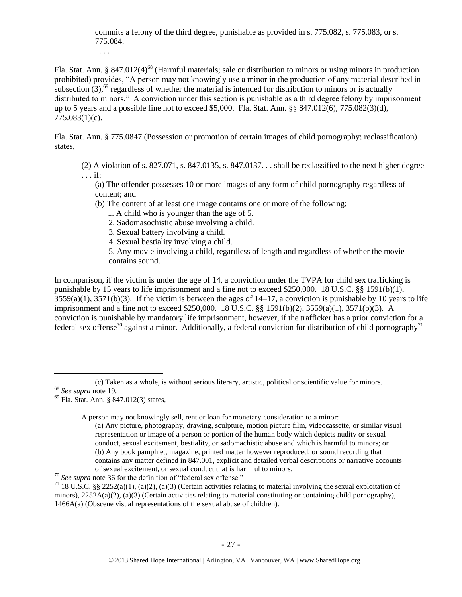commits a felony of the third degree, punishable as provided in s. 775.082, s. 775.083, or s. 775.084.

. . . .

Fla. Stat. Ann. § 847.012(4)<sup>68</sup> (Harmful materials; sale or distribution to minors or using minors in production prohibited) provides, "A person may not knowingly use a minor in the production of any material described in subsection  $(3)$ ,<sup>69</sup> regardless of whether the material is intended for distribution to minors or is actually distributed to minors." A conviction under this section is punishable as a third degree felony by imprisonment up to 5 years and a possible fine not to exceed \$5,000. Fla. Stat. Ann. §§ 847.012(6), 775.082(3)(d), 775.083(1)(c).

Fla. Stat. Ann. § 775.0847 (Possession or promotion of certain images of child pornography; reclassification) states,

- (2) A violation of s. 827.071, s. 847.0135, s. 847.0137. . . shall be reclassified to the next higher degree . . . if:
	- (a) The offender possesses 10 or more images of any form of child pornography regardless of content; and
	- (b) The content of at least one image contains one or more of the following:
		- 1. A child who is younger than the age of 5.
		- 2. Sadomasochistic abuse involving a child.
		- 3. Sexual battery involving a child.
		- 4. Sexual bestiality involving a child.

5. Any movie involving a child, regardless of length and regardless of whether the movie contains sound.

In comparison, if the victim is under the age of 14, a conviction under the TVPA for child sex trafficking is punishable by 15 years to life imprisonment and a fine not to exceed \$250,000. 18 U.S.C. §§ 1591(b)(1),  $3559(a)(1)$ ,  $3571(b)(3)$ . If the victim is between the ages of  $14-17$ , a conviction is punishable by 10 years to life imprisonment and a fine not to exceed \$250,000. 18 U.S.C. §§ 1591(b)(2), 3559(a)(1), 3571(b)(3). A conviction is punishable by mandatory life imprisonment, however, if the trafficker has a prior conviction for a federal sex offense<sup>70</sup> against a minor. Additionally, a federal conviction for distribution of child pornography<sup>71</sup>

(c) Taken as a whole, is without serious literary, artistic, political or scientific value for minors. <sup>68</sup> *See supra* note [19.](#page-7-0)

 $\overline{a}$ 

A person may not knowingly sell, rent or loan for monetary consideration to a minor:

(a) Any picture, photography, drawing, sculpture, motion picture film, videocassette, or similar visual representation or image of a person or portion of the human body which depicts nudity or sexual conduct, sexual excitement, bestiality, or sadomachistic abuse and which is harmful to minors; or (b) Any book pamphlet, magazine, printed matter however reproduced, or sound recording that contains any matter defined in 847.001, explicit and detailed verbal descriptions or narrative accounts of sexual excitement, or sexual conduct that is harmful to minors.

<sup>70</sup> *See supra* note [36](#page-14-0) for the definition of "federal sex offense."

<sup>69</sup> Fla. Stat. Ann. § 847.012(3) states,

<sup>&</sup>lt;sup>71</sup> 18 U.S.C. §§ 2252(a)(1), (a)(2), (a)(3) (Certain activities relating to material involving the sexual exploitation of minors),  $2252A(a)(2)$ ,  $(a)(3)$  (Certain activities relating to material constituting or containing child pornography), 1466A(a) (Obscene visual representations of the sexual abuse of children).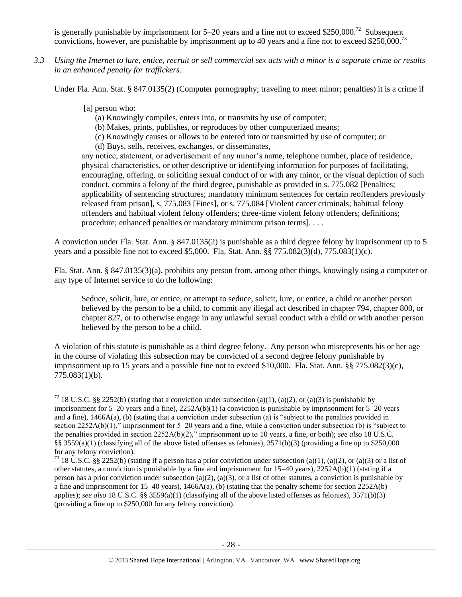is generally punishable by imprisonment for  $5-20$  years and a fine not to exceed \$250,000.<sup>72</sup> Subsequent convictions, however, are punishable by imprisonment up to 40 years and a fine not to exceed \$250,000.<sup>73</sup>

*3.3 Using the Internet to lure, entice, recruit or sell commercial sex acts with a minor is a separate crime or results in an enhanced penalty for traffickers.*

Under Fla. Ann. Stat. § 847.0135(2) (Computer pornography; traveling to meet minor; penalties) it is a crime if

## [a] person who:

- (a) Knowingly compiles, enters into, or transmits by use of computer;
- (b) Makes, prints, publishes, or reproduces by other computerized means;
- (c) Knowingly causes or allows to be entered into or transmitted by use of computer; or
- (d) Buys, sells, receives, exchanges, or disseminates,

any notice, statement, or advertisement of any minor's name, telephone number, place of residence, physical characteristics, or other descriptive or identifying information for purposes of facilitating, encouraging, offering, or soliciting sexual conduct of or with any minor, or the visual depiction of such conduct, commits a felony of the third degree, punishable as provided in s. 775.082 [Penalties; applicability of sentencing structures; mandatory minimum sentences for certain reoffenders previously released from prison], s. 775.083 [Fines], or s. 775.084 [Violent career criminals; habitual felony offenders and habitual violent felony offenders; three-time violent felony offenders; definitions; procedure; enhanced penalties or mandatory minimum prison terms]. . . .

A conviction under Fla. Stat. Ann. § 847.0135(2) is punishable as a third degree felony by imprisonment up to 5 years and a possible fine not to exceed \$5,000. Fla. Stat. Ann. §§ 775.082(3)(d), 775.083(1)(c).

Fla. Stat. Ann. § 847.0135(3)(a), prohibits any person from, among other things, knowingly using a computer or any type of Internet service to do the following:

Seduce, solicit, lure, or entice, or attempt to seduce, solicit, lure, or entice, a child or another person believed by the person to be a child, to commit any illegal act described in chapter 794, chapter 800, or chapter 827, or to otherwise engage in any unlawful sexual conduct with a child or with another person believed by the person to be a child.

A violation of this statute is punishable as a third degree felony. Any person who misrepresents his or her age in the course of violating this subsection may be convicted of a second degree felony punishable by imprisonment up to 15 years and a possible fine not to exceed \$10,000. Fla. Stat. Ann. §§ 775.082(3)(c), 775.083(1)(b).

 $\overline{a}$ <sup>72</sup> 18 U.S.C. §§ 2252(b) (stating that a conviction under subsection (a)(1), (a)(2), or (a)(3) is punishable by imprisonment for 5–20 years and a fine), 2252A(b)(1) (a conviction is punishable by imprisonment for 5–20 years and a fine), 1466A(a), (b) (stating that a conviction under subsection (a) is "subject to the penalties provided in section 2252A(b)(1)," imprisonment for 5–20 years and a fine, while a conviction under subsection (b) is "subject to the penalties provided in section 2252A(b)(2)," imprisonment up to 10 years, a fine, or both); *see also* 18 U.S.C. §§ 3559(a)(1) (classifying all of the above listed offenses as felonies),  $3571(b)(3)$  (providing a fine up to \$250,000 for any felony conviction).

<sup>&</sup>lt;sup>73</sup> 18 U.S.C. §§ 2252(b) (stating if a person has a prior conviction under subsection (a)(1), (a)(2), or (a)(3) or a list of other statutes, a conviction is punishable by a fine and imprisonment for 15–40 years), 2252A(b)(1) (stating if a person has a prior conviction under subsection (a)(2), (a)(3), or a list of other statutes, a conviction is punishable by a fine and imprisonment for  $15-40$  years),  $1466A(a)$ , (b) (stating that the penalty scheme for section  $2252A(b)$ applies); *see also* 18 U.S.C. §§ 3559(a)(1) (classifying all of the above listed offenses as felonies), 3571(b)(3) (providing a fine up to \$250,000 for any felony conviction).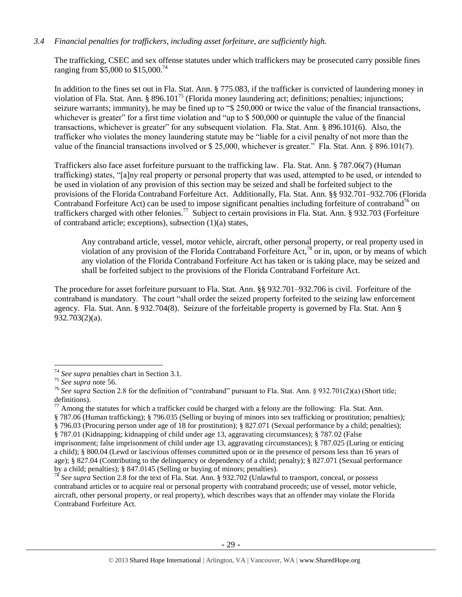## *3.4 Financial penalties for traffickers, including asset forfeiture, are sufficiently high.*

The trafficking, CSEC and sex offense statutes under which traffickers may be prosecuted carry possible fines ranging from \$5,000 to \$15,000.<sup>74</sup>

In addition to the fines set out in Fla. Stat. Ann. § 775.083, if the trafficker is convicted of laundering money in violation of Fla. Stat. Ann. § 896.101<sup>75</sup> (Florida money laundering act; definitions; penalties; injunctions; seizure warrants; immunity), he may be fined up to "\$ 250,000 or twice the value of the financial transactions, whichever is greater" for a first time violation and "up to \$500,000 or quintuple the value of the financial transactions, whichever is greater" for any subsequent violation. Fla. Stat. Ann. § 896.101(6). Also, the trafficker who violates the money laundering statute may be "liable for a civil penalty of not more than the value of the financial transactions involved or \$ 25,000, whichever is greater." Fla. Stat. Ann. § 896.101(7).

Traffickers also face asset forfeiture pursuant to the trafficking law. Fla. Stat. Ann. § 787.06(7) (Human trafficking) states, "[a]ny real property or personal property that was used, attempted to be used, or intended to be used in violation of any provision of this section may be seized and shall be forfeited subject to the provisions of the Florida Contraband Forfeiture Act. Additionally, Fla. Stat. Ann. §§ 932.701–932.706 (Florida Contraband Forfeiture Act) can be used to impose significant penalties including forfeiture of contraband<sup>76</sup> on traffickers charged with other felonies.<sup>77</sup> Subject to certain provisions in Fla. Stat. Ann. § 932.703 (Forfeiture of contraband article; exceptions), subsection (1)(a) states,

Any contraband article, vessel, motor vehicle, aircraft, other personal property, or real property used in violation of any provision of the Florida Contraband Forfeiture Act,<sup>78</sup> or in, upon, or by means of which any violation of the Florida Contraband Forfeiture Act has taken or is taking place, may be seized and shall be forfeited subject to the provisions of the Florida Contraband Forfeiture Act.

The procedure for asset forfeiture pursuant to Fla. Stat. Ann. §§ 932.701–932.706 is civil. Forfeiture of the contraband is mandatory. The court "shall order the seized property forfeited to the seizing law enforcement agency. Fla. Stat. Ann. § 932.704(8). Seizure of the forfeitable property is governed by Fla. Stat. Ann § 932.703(2)(a).

<sup>74</sup> *See supra* penalties chart in Section 3.1.

<sup>75</sup> *See supra* note [56.](#page-23-0)

<sup>&</sup>lt;sup>76</sup> See supra Section 2.8 for the definition of "contraband" pursuant to Fla. Stat. Ann. § 932.701(2)(a) (Short title; definitions).

 $^{77}$  Among the statutes for which a trafficker could be charged with a felony are the following: Fla. Stat. Ann.

<sup>§ 787.06 (</sup>Human trafficking); § 796.035 (Selling or buying of minors into sex trafficking or prostitution; penalties); § 796.03 (Procuring person under age of 18 for prostitution); § 827.071 (Sexual performance by a child; penalties);

<sup>§ 787.01 (</sup>Kidnapping; kidnapping of child under age 13, aggravating circumstances); § 787.02 (False

imprisonment; false imprisonment of child under age 13, aggravating circumstances); § 787.025 (Luring or enticing a child); § 800.04 (Lewd or lascivious offenses committed upon or in the presence of persons less than 16 years of age); § 827.04 (Contributing to the delinquency or dependency of a child; penalty); § 827.071 (Sexual performance by a child; penalties); § 847.0145 (Selling or buying of minors; penalties).

<sup>78</sup> *See supra* Section 2.8 for the text of Fla. Stat. Ann. § 932.702 (Unlawful to transport, conceal, or possess contraband articles or to acquire real or personal property with contraband proceeds; use of vessel, motor vehicle, aircraft, other personal property, or real property), which describes ways that an offender may violate the Florida Contraband Forfeiture Act.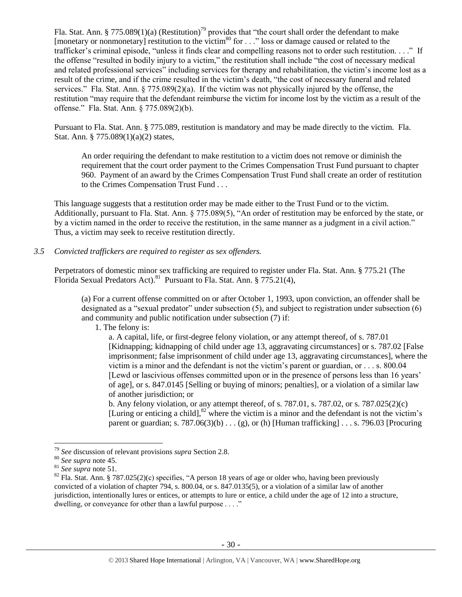Fla. Stat. Ann. § 775.089(1)(a) (Restitution)<sup>79</sup> provides that "the court shall order the defendant to make [monetary or nonmonetary] restitution to the victim<sup>80</sup> for  $\ldots$  " loss or damage caused or related to the trafficker's criminal episode, "unless it finds clear and compelling reasons not to order such restitution. . . ." If the offense "resulted in bodily injury to a victim," the restitution shall include "the cost of necessary medical and related professional services" including services for therapy and rehabilitation, the victim's income lost as a result of the crime, and if the crime resulted in the victim's death, "the cost of necessary funeral and related services." Fla. Stat. Ann. § 775.089(2)(a). If the victim was not physically injured by the offense, the restitution "may require that the defendant reimburse the victim for income lost by the victim as a result of the offense." Fla. Stat. Ann. § 775.089(2)(b).

Pursuant to Fla. Stat. Ann. § 775.089, restitution is mandatory and may be made directly to the victim. Fla. Stat. Ann. § 775.089(1)(a)(2) states,

An order requiring the defendant to make restitution to a victim does not remove or diminish the requirement that the court order payment to the Crimes Compensation Trust Fund pursuant to chapter 960. Payment of an award by the Crimes Compensation Trust Fund shall create an order of restitution to the Crimes Compensation Trust Fund . . .

This language suggests that a restitution order may be made either to the Trust Fund or to the victim. Additionally, pursuant to Fla. Stat. Ann. § 775.089(5), "An order of restitution may be enforced by the state, or by a victim named in the order to receive the restitution, in the same manner as a judgment in a civil action." Thus, a victim may seek to receive restitution directly.

*3.5 Convicted traffickers are required to register as sex offenders.*

Perpetrators of domestic minor sex trafficking are required to register under Fla. Stat. Ann. § 775.21 (The Florida Sexual Predators Act).<sup>81</sup> Pursuant to Fla. Stat. Ann. § 775.21(4),

(a) For a current offense committed on or after October 1, 1993, upon conviction, an offender shall be designated as a "sexual predator" under subsection (5), and subject to registration under subsection (6) and community and public notification under subsection (7) if:

1. The felony is:

a. A capital, life, or first-degree felony violation, or any attempt thereof, of s. 787.01 [Kidnapping; kidnapping of child under age 13, aggravating circumstances] or s. 787.02 [False imprisonment; false imprisonment of child under age 13, aggravating circumstances], where the victim is a minor and the defendant is not the victim's parent or guardian, or . . . s. 800.04 [Lewd or lascivious offenses committed upon or in the presence of persons less than 16 years' of age], or s. 847.0145 [Selling or buying of minors; penalties], or a violation of a similar law of another jurisdiction; or

b. Any felony violation, or any attempt thereof, of s.  $787.01$ , s.  $787.02$ , or s.  $787.025(2)(c)$ [Luring or enticing a child], $^{82}$  where the victim is a minor and the defendant is not the victim's parent or guardian; s.  $787.06(3)(b) \ldots (g)$ , or (h) [Human trafficking] . . . s. 796.03 [Procuring]

 $\overline{a}$ <sup>79</sup> *See* discussion of relevant provisions *supra* Section 2.8.

<sup>80</sup> *See supra* note [45.](#page-18-0) 

<sup>81</sup> *See supra* note [51.](#page-20-0)

<sup>&</sup>lt;sup>82</sup> Fla. Stat. Ann. § 787.025(2)(c) specifies, "A person 18 years of age or older who, having been previously convicted of a violation of chapter 794, s. 800.04, or s. 847.0135(5), or a violation of a similar law of another jurisdiction, intentionally lures or entices, or attempts to lure or entice, a child under the age of 12 into a structure, dwelling, or conveyance for other than a lawful purpose . . . ."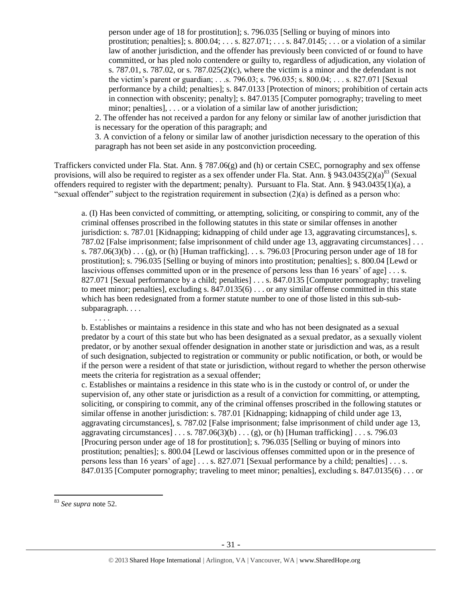person under age of 18 for prostitution]; s. 796.035 [Selling or buying of minors into prostitution; penalties]; s.  $800.04$ ;  $\dots$  s.  $827.071$ ;  $\dots$  s.  $847.0145$ ;  $\dots$  or a violation of a similar law of another jurisdiction, and the offender has previously been convicted of or found to have committed, or has pled nolo contendere or guilty to, regardless of adjudication, any violation of s. 787.01, s. 787.02, or s. 787.025(2)(c), where the victim is a minor and the defendant is not the victim's parent or guardian; . . .s. 796.03; s. 796.035; s. 800.04; . . . s. 827.071 [Sexual performance by a child; penalties]; s. 847.0133 [Protection of minors; prohibition of certain acts in connection with obscenity; penalty]; s. 847.0135 [Computer pornography; traveling to meet minor; penalties], . . . or a violation of a similar law of another jurisdiction;

2. The offender has not received a pardon for any felony or similar law of another jurisdiction that is necessary for the operation of this paragraph; and

3. A conviction of a felony or similar law of another jurisdiction necessary to the operation of this paragraph has not been set aside in any postconviction proceeding.

Traffickers convicted under Fla. Stat. Ann. § 787.06(g) and (h) or certain CSEC, pornography and sex offense provisions, will also be required to register as a sex offender under Fla. Stat. Ann.  $\S 943.0435(2)(a)^{83}$  (Sexual offenders required to register with the department; penalty). Pursuant to Fla. Stat. Ann. § 943.0435(1)(a), a "sexual offender" subject to the registration requirement in subsection  $(2)(a)$  is defined as a person who:

a. (I) Has been convicted of committing, or attempting, soliciting, or conspiring to commit, any of the criminal offenses proscribed in the following statutes in this state or similar offenses in another jurisdiction: s. 787.01 [Kidnapping; kidnapping of child under age 13, aggravating circumstances], s. 787.02 [False imprisonment; false imprisonment of child under age 13, aggravating circumstances] . . . s. 787.06(3)(b)  $\ldots$  (g), or (h) [Human trafficking].  $\ldots$  s. 796.03 [Procuring person under age of 18 for prostitution]; s. 796.035 [Selling or buying of minors into prostitution; penalties]; s. 800.04 [Lewd or lascivious offenses committed upon or in the presence of persons less than 16 years' of age] ... s. 827.071 [Sexual performance by a child; penalties] . . . s. 847.0135 [Computer pornography; traveling to meet minor; penalties], excluding s. 847.0135(6) . . . or any similar offense committed in this state which has been redesignated from a former statute number to one of those listed in this sub-subsubparagraph. . . .

b. Establishes or maintains a residence in this state and who has not been designated as a sexual predator by a court of this state but who has been designated as a sexual predator, as a sexually violent predator, or by another sexual offender designation in another state or jurisdiction and was, as a result of such designation, subjected to registration or community or public notification, or both, or would be if the person were a resident of that state or jurisdiction, without regard to whether the person otherwise meets the criteria for registration as a sexual offender;

c. Establishes or maintains a residence in this state who is in the custody or control of, or under the supervision of, any other state or jurisdiction as a result of a conviction for committing, or attempting, soliciting, or conspiring to commit, any of the criminal offenses proscribed in the following statutes or similar offense in another jurisdiction: s. 787.01 [Kidnapping; kidnapping of child under age 13, aggravating circumstances], s. 787.02 [False imprisonment; false imprisonment of child under age 13, aggravating circumstances  $] \ldots$  s. 787.06(3)(b)  $\ldots$  (g), or (h) [Human trafficking]  $\ldots$  s. 796.03 [Procuring person under age of 18 for prostitution]; s. 796.035 [Selling or buying of minors into prostitution; penalties]; s. 800.04 [Lewd or lascivious offenses committed upon or in the presence of persons less than 16 years' of age] . . . s. 827.071 [Sexual performance by a child; penalties] . . . s. 847.0135 [Computer pornography; traveling to meet minor; penalties], excluding s. 847.0135(6) . . . or

 $\overline{a}$ 

. . . .

<sup>83</sup> *See supra* note [52.](#page-21-0)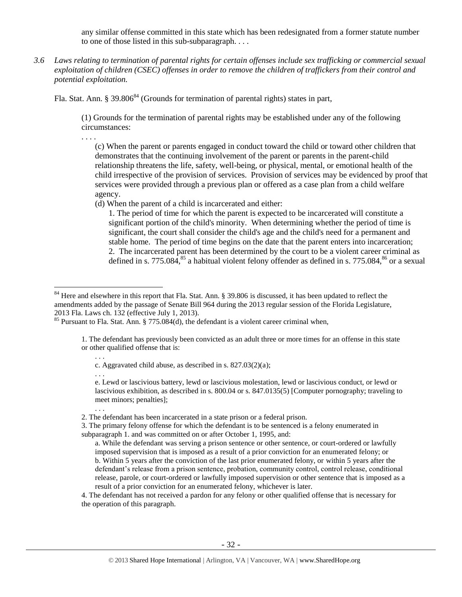any similar offense committed in this state which has been redesignated from a former statute number to one of those listed in this sub-subparagraph. . . .

*3.6 Laws relating to termination of parental rights for certain offenses include sex trafficking or commercial sexual exploitation of children (CSEC) offenses in order to remove the children of traffickers from their control and potential exploitation.* 

Fla. Stat. Ann. § 39.806 $^{84}$  (Grounds for termination of parental rights) states in part,

(1) Grounds for the termination of parental rights may be established under any of the following circumstances:

. . . .

. . .

. . .

 $\overline{a}$ 

(c) When the parent or parents engaged in conduct toward the child or toward other children that demonstrates that the continuing involvement of the parent or parents in the parent-child relationship threatens the life, safety, well-being, or physical, mental, or emotional health of the child irrespective of the provision of services. Provision of services may be evidenced by proof that services were provided through a previous plan or offered as a case plan from a child welfare agency.

(d) When the parent of a child is incarcerated and either:

1. The period of time for which the parent is expected to be incarcerated will constitute a significant portion of the child's minority. When determining whether the period of time is significant, the court shall consider the child's age and the child's need for a permanent and stable home. The period of time begins on the date that the parent enters into incarceration; 2. The incarcerated parent has been determined by the court to be a violent career criminal as defined in s. 775.084, $^{85}$  a habitual violent felony offender as defined in s. 775.084, $^{86}$  or a sexual

1. The defendant has previously been convicted as an adult three or more times for an offense in this state or other qualified offense that is:

c. Aggravated child abuse, as described in s. 827.03(2)(a);

. . . e. Lewd or lascivious battery, lewd or lascivious molestation, lewd or lascivious conduct, or lewd or lascivious exhibition, as described in s. 800.04 or s. 847.0135(5) [Computer pornography; traveling to meet minors; penalties];

2. The defendant has been incarcerated in a state prison or a federal prison.

4. The defendant has not received a pardon for any felony or other qualified offense that is necessary for the operation of this paragraph.

<sup>&</sup>lt;sup>84</sup> Here and elsewhere in this report that Fla. Stat. Ann. § 39.806 is discussed, it has been updated to reflect the amendments added by the passage of Senate Bill 964 during the 2013 regular session of the Florida Legislature, 2013 Fla. Laws ch. 132 (effective July 1, 2013).

 $85$  Pursuant to Fla. Stat. Ann. § 775.084(d), the defendant is a violent career criminal when,

<sup>3.</sup> The primary felony offense for which the defendant is to be sentenced is a felony enumerated in subparagraph 1. and was committed on or after October 1, 1995, and:

a. While the defendant was serving a prison sentence or other sentence, or court-ordered or lawfully imposed supervision that is imposed as a result of a prior conviction for an enumerated felony; or b. Within 5 years after the conviction of the last prior enumerated felony, or within 5 years after the defendant's release from a prison sentence, probation, community control, control release, conditional release, parole, or court-ordered or lawfully imposed supervision or other sentence that is imposed as a result of a prior conviction for an enumerated felony, whichever is later.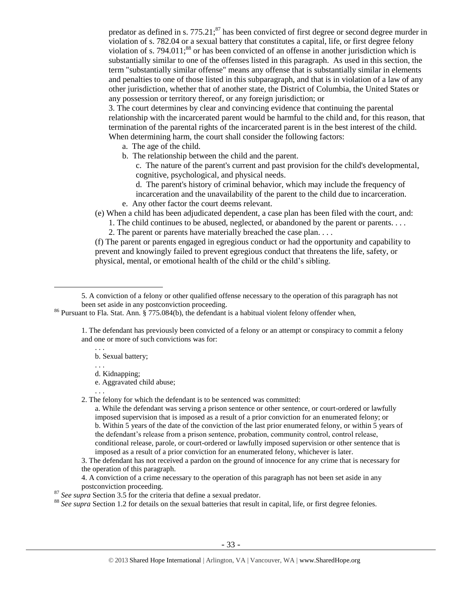predator as defined in s.  $775.21$ ;<sup>87</sup> has been convicted of first degree or second degree murder in violation of s. 782.04 or a sexual battery that constitutes a capital, life, or first degree felony violation of s. 794.011; $^{88}$  or has been convicted of an offense in another jurisdiction which is substantially similar to one of the offenses listed in this paragraph. As used in this section, the term "substantially similar offense" means any offense that is substantially similar in elements and penalties to one of those listed in this subparagraph, and that is in violation of a law of any other jurisdiction, whether that of another state, the District of Columbia, the United States or any possession or territory thereof, or any foreign jurisdiction; or

3. The court determines by clear and convincing evidence that continuing the parental relationship with the incarcerated parent would be harmful to the child and, for this reason, that termination of the parental rights of the incarcerated parent is in the best interest of the child. When determining harm, the court shall consider the following factors:

- a. The age of the child.
- b. The relationship between the child and the parent.

c. The nature of the parent's current and past provision for the child's developmental, cognitive, psychological, and physical needs.

d. The parent's history of criminal behavior, which may include the frequency of incarceration and the unavailability of the parent to the child due to incarceration.

e. Any other factor the court deems relevant.

(e) When a child has been adjudicated dependent, a case plan has been filed with the court, and:

1. The child continues to be abused, neglected, or abandoned by the parent or parents. . . .

2. The parent or parents have materially breached the case plan. . . .

(f) The parent or parents engaged in egregious conduct or had the opportunity and capability to prevent and knowingly failed to prevent egregious conduct that threatens the life, safety, or physical, mental, or emotional health of the child or the child's sibling.

1. The defendant has previously been convicted of a felony or an attempt or conspiracy to commit a felony and one or more of such convictions was for:

. . . b. Sexual battery;

. . .

d. Kidnapping;

e. Aggravated child abuse;

. . .

 $\overline{a}$ 

2. The felony for which the defendant is to be sentenced was committed:

a. While the defendant was serving a prison sentence or other sentence, or court-ordered or lawfully imposed supervision that is imposed as a result of a prior conviction for an enumerated felony; or b. Within 5 years of the date of the conviction of the last prior enumerated felony, or within 5 years of the defendant's release from a prison sentence, probation, community control, control release, conditional release, parole, or court-ordered or lawfully imposed supervision or other sentence that is imposed as a result of a prior conviction for an enumerated felony, whichever is later.

3. The defendant has not received a pardon on the ground of innocence for any crime that is necessary for the operation of this paragraph.

4. A conviction of a crime necessary to the operation of this paragraph has not been set aside in any postconviction proceeding.

<sup>87</sup> See supra Section 3.5 for the criteria that define a sexual predator.

<sup>88</sup> See supra Section 1.2 for details on the sexual batteries that result in capital, life, or first degree felonies.

<sup>5.</sup> A conviction of a felony or other qualified offense necessary to the operation of this paragraph has not been set aside in any postconviction proceeding.

<sup>&</sup>lt;sup>86</sup> Pursuant to Fla. Stat. Ann. § 775.084(b), the defendant is a habitual violent felony offender when,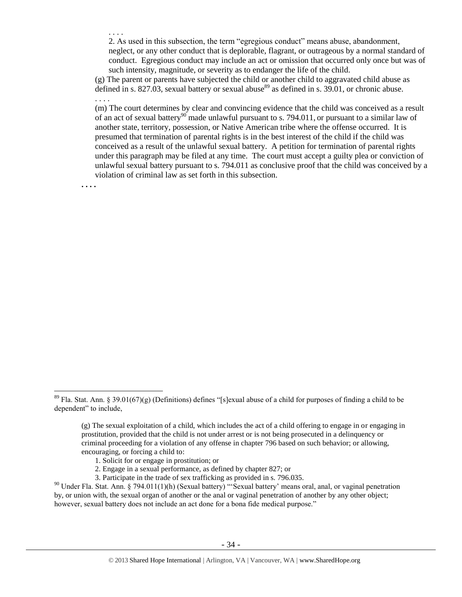. . . .

2. As used in this subsection, the term "egregious conduct" means abuse, abandonment, neglect, or any other conduct that is deplorable, flagrant, or outrageous by a normal standard of conduct. Egregious conduct may include an act or omission that occurred only once but was of such intensity, magnitude, or severity as to endanger the life of the child.

(g) The parent or parents have subjected the child or another child to aggravated child abuse as defined in s. 827.03, sexual battery or sexual abuse<sup>89</sup> as defined in s.  $39.01$ , or chronic abuse. . . . .

(m) The court determines by clear and convincing evidence that the child was conceived as a result of an act of sexual battery<sup>90</sup> made unlawful pursuant to s. 794.011, or pursuant to a similar law of another state, territory, possession, or Native American tribe where the offense occurred. It is presumed that termination of parental rights is in the best interest of the child if the child was conceived as a result of the unlawful sexual battery. A petition for termination of parental rights under this paragraph may be filed at any time. The court must accept a guilty plea or conviction of unlawful sexual battery pursuant to s. 794.011 as conclusive proof that the child was conceived by a violation of criminal law as set forth in this subsection.

**. . . .**

- 1. Solicit for or engage in prostitution; or
- 2. Engage in a sexual performance, as defined by chapter 827; or
- 3. Participate in the trade of sex trafficking as provided in s. 796.035.

<sup>&</sup>lt;sup>89</sup> Fla. Stat. Ann. § 39.01(67)(g) (Definitions) defines "[s]exual abuse of a child for purposes of finding a child to be dependent" to include,

<sup>(</sup>g) The sexual exploitation of a child, which includes the act of a child offering to engage in or engaging in prostitution, provided that the child is not under arrest or is not being prosecuted in a delinquency or criminal proceeding for a violation of any offense in chapter 796 based on such behavior; or allowing, encouraging, or forcing a child to:

<sup>&</sup>lt;sup>90</sup> Under Fla. Stat. Ann. § 794.011(1)(h) (Sexual battery) "'Sexual battery' means oral, anal, or vaginal penetration by, or union with, the sexual organ of another or the anal or vaginal penetration of another by any other object; however, sexual battery does not include an act done for a bona fide medical purpose."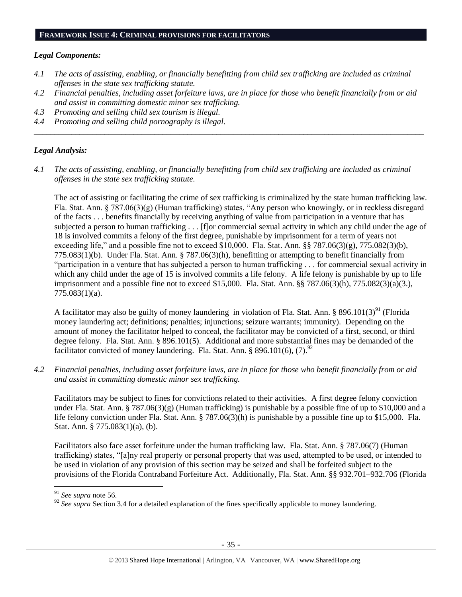#### **FRAMEWORK ISSUE 4: CRIMINAL PROVISIONS FOR FACILITATORS**

#### *Legal Components:*

- *4.1 The acts of assisting, enabling, or financially benefitting from child sex trafficking are included as criminal offenses in the state sex trafficking statute.*
- *4.2 Financial penalties, including asset forfeiture laws, are in place for those who benefit financially from or aid and assist in committing domestic minor sex trafficking.*

*\_\_\_\_\_\_\_\_\_\_\_\_\_\_\_\_\_\_\_\_\_\_\_\_\_\_\_\_\_\_\_\_\_\_\_\_\_\_\_\_\_\_\_\_\_\_\_\_\_\_\_\_\_\_\_\_\_\_\_\_\_\_\_\_\_\_\_\_\_\_\_\_\_\_\_\_\_\_\_\_\_\_\_\_\_\_\_\_\_\_\_\_\_\_*

- *4.3 Promoting and selling child sex tourism is illegal.*
- *4.4 Promoting and selling child pornography is illegal.*

#### *Legal Analysis:*

*4.1 The acts of assisting, enabling, or financially benefitting from child sex trafficking are included as criminal offenses in the state sex trafficking statute.*

The act of assisting or facilitating the crime of sex trafficking is criminalized by the state human trafficking law. Fla. Stat. Ann. § 787.06(3)(g) (Human trafficking) states, "Any person who knowingly, or in reckless disregard of the facts . . . benefits financially by receiving anything of value from participation in a venture that has subjected a person to human trafficking . . . [f]or commercial sexual activity in which any child under the age of 18 is involved commits a felony of the first degree, punishable by imprisonment for a term of years not exceeding life," and a possible fine not to exceed \$10,000. Fla. Stat. Ann.  $\S$   $\frac{8}{3}$   $\frac{787.06(3)(g)}{75.082(3)(b)}$ , 775.083(1)(b). Under Fla. Stat. Ann. § 787.06(3)(h), benefitting or attempting to benefit financially from "participation in a venture that has subjected a person to human trafficking . . . for commercial sexual activity in which any child under the age of 15 is involved commits a life felony. A life felony is punishable by up to life imprisonment and a possible fine not to exceed \$15,000. Fla. Stat. Ann. §§ 787.06(3)(h), 775.082(3)(a)(3.), 775.083(1)(a).

A facilitator may also be guilty of money laundering in violation of Fla. Stat. Ann. § 896.101(3)<sup>91</sup> (Florida money laundering act; definitions; penalties; injunctions; seizure warrants; immunity). Depending on the amount of money the facilitator helped to conceal, the facilitator may be convicted of a first, second, or third degree felony. Fla. Stat. Ann. § 896.101(5). Additional and more substantial fines may be demanded of the facilitator convicted of money laundering. Fla. Stat. Ann. § 896.101(6), (7).<sup>92</sup>

*4.2 Financial penalties, including asset forfeiture laws, are in place for those who benefit financially from or aid and assist in committing domestic minor sex trafficking.*

Facilitators may be subject to fines for convictions related to their activities. A first degree felony conviction under Fla. Stat. Ann. § 787.06(3)(g) (Human trafficking) is punishable by a possible fine of up to \$10,000 and a life felony conviction under Fla. Stat. Ann. § 787.06(3)(h) is punishable by a possible fine up to \$15,000. Fla. Stat. Ann. § 775.083(1)(a), (b).

Facilitators also face asset forfeiture under the human trafficking law. Fla. Stat. Ann. § 787.06(7) (Human trafficking) states, "[a]ny real property or personal property that was used, attempted to be used, or intended to be used in violation of any provision of this section may be seized and shall be forfeited subject to the provisions of the Florida Contraband Forfeiture Act. Additionally, Fla. Stat. Ann. §§ 932.701–932.706 (Florida

<sup>91</sup> *See supra* note [56.](#page-23-0)

<sup>&</sup>lt;sup>92</sup> See supra Section 3.4 for a detailed explanation of the fines specifically applicable to money laundering.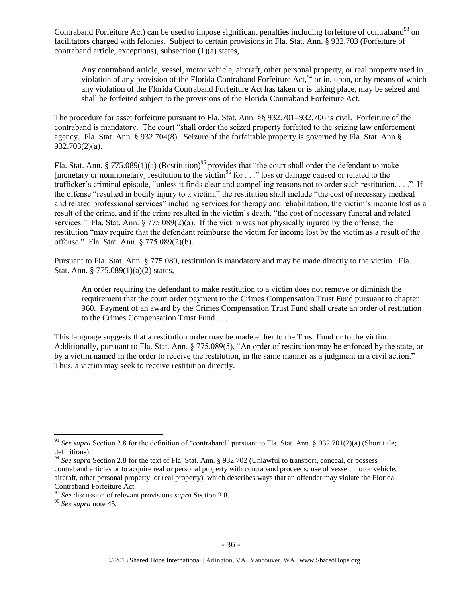Contraband Forfeiture Act) can be used to impose significant penalties including forfeiture of contraband<sup>93</sup> on facilitators charged with felonies. Subject to certain provisions in Fla. Stat. Ann. § 932.703 (Forfeiture of contraband article; exceptions), subsection (1)(a) states,

Any contraband article, vessel, motor vehicle, aircraft, other personal property, or real property used in violation of any provision of the Florida Contraband Forfeiture Act,<sup>94</sup> or in, upon, or by means of which any violation of the Florida Contraband Forfeiture Act has taken or is taking place, may be seized and shall be forfeited subject to the provisions of the Florida Contraband Forfeiture Act.

The procedure for asset forfeiture pursuant to Fla. Stat. Ann. §§ 932.701–932.706 is civil. Forfeiture of the contraband is mandatory. The court "shall order the seized property forfeited to the seizing law enforcement agency. Fla. Stat. Ann. § 932.704(8). Seizure of the forfeitable property is governed by Fla. Stat. Ann § 932.703(2)(a).

Fla. Stat. Ann. § 775.089(1)(a) (Restitution)<sup>95</sup> provides that "the court shall order the defendant to make [monetary or nonmonetary] restitution to the victim<sup>96</sup> for  $\ldots$  " loss or damage caused or related to the trafficker's criminal episode, "unless it finds clear and compelling reasons not to order such restitution. . . ." If the offense "resulted in bodily injury to a victim," the restitution shall include "the cost of necessary medical and related professional services" including services for therapy and rehabilitation, the victim's income lost as a result of the crime, and if the crime resulted in the victim's death, "the cost of necessary funeral and related services." Fla. Stat. Ann. § 775.089(2)(a). If the victim was not physically injured by the offense, the restitution "may require that the defendant reimburse the victim for income lost by the victim as a result of the offense." Fla. Stat. Ann. § 775.089(2)(b).

Pursuant to Fla. Stat. Ann. § 775.089, restitution is mandatory and may be made directly to the victim. Fla. Stat. Ann. § 775.089(1)(a)(2) states,

An order requiring the defendant to make restitution to a victim does not remove or diminish the requirement that the court order payment to the Crimes Compensation Trust Fund pursuant to chapter 960. Payment of an award by the Crimes Compensation Trust Fund shall create an order of restitution to the Crimes Compensation Trust Fund . . .

This language suggests that a restitution order may be made either to the Trust Fund or to the victim. Additionally, pursuant to Fla. Stat. Ann. § 775.089(5), "An order of restitution may be enforced by the state, or by a victim named in the order to receive the restitution, in the same manner as a judgment in a civil action." Thus, a victim may seek to receive restitution directly.

<sup>&</sup>lt;sup>93</sup> See supra Section 2.8 for the definition of "contraband" pursuant to Fla. Stat. Ann. § 932.701(2)(a) (Short title; definitions).

<sup>94</sup> *See supra* Section 2.8 for the text of Fla. Stat. Ann. § 932.702 (Unlawful to transport, conceal, or possess contraband articles or to acquire real or personal property with contraband proceeds; use of vessel, motor vehicle, aircraft, other personal property, or real property), which describes ways that an offender may violate the Florida Contraband Forfeiture Act.

<sup>95</sup> *See* discussion of relevant provisions *supra* Section 2.8.

<sup>96</sup> *See supra* note [45.](#page-18-0)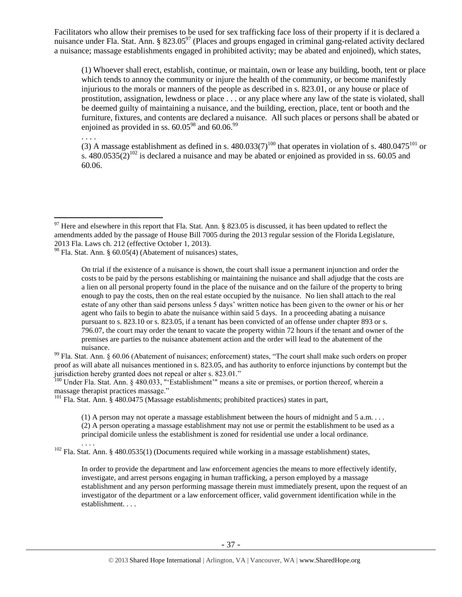Facilitators who allow their premises to be used for sex trafficking face loss of their property if it is declared a nuisance under Fla. Stat. Ann. § 823.05<sup>97</sup> (Places and groups engaged in criminal gang-related activity declared a nuisance; massage establishments engaged in prohibited activity; may be abated and enjoined), which states,

(1) Whoever shall erect, establish, continue, or maintain, own or lease any building, booth, tent or place which tends to annoy the community or injure the health of the community, or become manifestly injurious to the morals or manners of the people as described in s. 823.01, or any house or place of prostitution, assignation, lewdness or place . . . or any place where any law of the state is violated, shall be deemed guilty of maintaining a nuisance, and the building, erection, place, tent or booth and the furniture, fixtures, and contents are declared a nuisance. All such places or persons shall be abated or enjoined as provided in ss.  $60.05^{98}$  and  $60.06^{99}$ 

. . . .

 $\overline{a}$ 

(3) A massage establishment as defined in s.  $480.033(7)^{100}$  that operates in violation of s.  $480.0475^{101}$  or s.  $480.0535(2)^{102}$  is declared a nuisance and may be abated or enjoined as provided in ss. 60.05 and 60.06.

On trial if the existence of a nuisance is shown, the court shall issue a permanent injunction and order the costs to be paid by the persons establishing or maintaining the nuisance and shall adjudge that the costs are a lien on all personal property found in the place of the nuisance and on the failure of the property to bring enough to pay the costs, then on the real estate occupied by the nuisance. No lien shall attach to the real estate of any other than said persons unless 5 days' written notice has been given to the owner or his or her agent who fails to begin to abate the nuisance within said 5 days. In a proceeding abating a nuisance pursuant to s. 823.10 or s. 823.05, if a tenant has been convicted of an offense under chapter 893 or s. 796.07, the court may order the tenant to vacate the property within 72 hours if the tenant and owner of the premises are parties to the nuisance abatement action and the order will lead to the abatement of the nuisance.

 $99$  Fla. Stat. Ann. § 60.06 (Abatement of nuisances; enforcement) states, "The court shall make such orders on proper proof as will abate all nuisances mentioned in s. 823.05, and has authority to enforce injunctions by contempt but the jurisdiction hereby granted does not repeal or alter s. 823.01."

<sup>100</sup> Under Fla. Stat. Ann. § 480.033, "'Establishment'" means a site or premises, or portion thereof, wherein a massage therapist practices massage."

 $101$  Fla. Stat. Ann. § 480.0475 (Massage establishments; prohibited practices) states in part,

(1) A person may not operate a massage establishment between the hours of midnight and  $5$  a.m.  $\dots$ (2) A person operating a massage establishment may not use or permit the establishment to be used as a principal domicile unless the establishment is zoned for residential use under a local ordinance.

. . . .  $102$  Fla. Stat. Ann. § 480.0535(1) (Documents required while working in a massage establishment) states,

In order to provide the department and law enforcement agencies the means to more effectively identify, investigate, and arrest persons engaging in human trafficking, a person employed by a massage establishment and any person performing massage therein must immediately present, upon the request of an investigator of the department or a law enforcement officer, valid government identification while in the establishment. . . .

 $97$  Here and elsewhere in this report that Fla. Stat. Ann. § 823.05 is discussed, it has been updated to reflect the amendments added by the passage of House Bill 7005 during the 2013 regular session of the Florida Legislature, 2013 Fla. Laws ch. 212 (effective October 1, 2013).

 $98$  Fla. Stat. Ann. § 60.05(4) (Abatement of nuisances) states,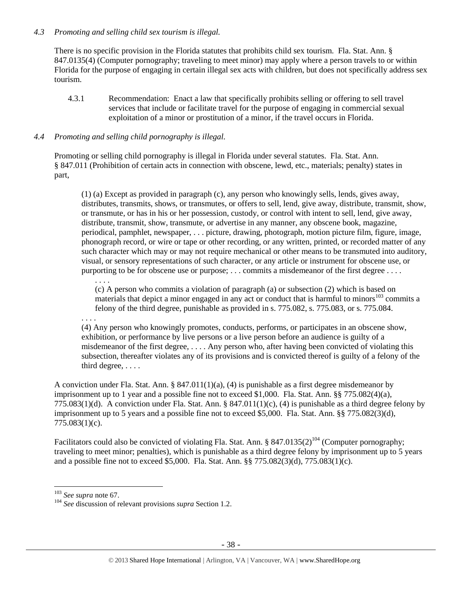## *4.3 Promoting and selling child sex tourism is illegal.*

There is no specific provision in the Florida statutes that prohibits child sex tourism. Fla. Stat. Ann. § 847.0135(4) (Computer pornography; traveling to meet minor) may apply where a person travels to or within Florida for the purpose of engaging in certain illegal sex acts with children, but does not specifically address sex tourism.

4.3.1 Recommendation: Enact a law that specifically prohibits selling or offering to sell travel services that include or facilitate travel for the purpose of engaging in commercial sexual exploitation of a minor or prostitution of a minor, if the travel occurs in Florida.

## *4.4 Promoting and selling child pornography is illegal.*

Promoting or selling child pornography is illegal in Florida under several statutes. Fla. Stat. Ann. § 847.011 (Prohibition of certain acts in connection with obscene, lewd, etc., materials; penalty) states in part,

(1) (a) Except as provided in paragraph (c), any person who knowingly sells, lends, gives away, distributes, transmits, shows, or transmutes, or offers to sell, lend, give away, distribute, transmit, show, or transmute, or has in his or her possession, custody, or control with intent to sell, lend, give away, distribute, transmit, show, transmute, or advertise in any manner, any obscene book, magazine, periodical, pamphlet, newspaper, . . . picture, drawing, photograph, motion picture film, figure, image, phonograph record, or wire or tape or other recording, or any written, printed, or recorded matter of any such character which may or may not require mechanical or other means to be transmuted into auditory, visual, or sensory representations of such character, or any article or instrument for obscene use, or purporting to be for obscene use or purpose; . . . commits a misdemeanor of the first degree . . . .

. . . . (c) A person who commits a violation of paragraph (a) or subsection (2) which is based on materials that depict a minor engaged in any act or conduct that is harmful to minors<sup>103</sup> commits a felony of the third degree, punishable as provided in s. 775.082, s. 775.083, or s. 775.084.

. . . .

(4) Any person who knowingly promotes, conducts, performs, or participates in an obscene show, exhibition, or performance by live persons or a live person before an audience is guilty of a misdemeanor of the first degree, . . . . Any person who, after having been convicted of violating this subsection, thereafter violates any of its provisions and is convicted thereof is guilty of a felony of the third degree, . . . .

A conviction under Fla. Stat. Ann. §  $847.011(1)(a)$ , (4) is punishable as a first degree misdemeanor by imprisonment up to 1 year and a possible fine not to exceed \$1,000. Fla. Stat. Ann. §§ 775.082(4)(a), 775.083(1)(d). A conviction under Fla. Stat. Ann. § 847.011(1)(c), (4) is punishable as a third degree felony by imprisonment up to 5 years and a possible fine not to exceed \$5,000. Fla. Stat. Ann. §§ 775.082(3)(d), 775.083(1)(c).

Facilitators could also be convicted of violating Fla. Stat. Ann. § 847.0135(2)<sup>104</sup> (Computer pornography; traveling to meet minor; penalties), which is punishable as a third degree felony by imprisonment up to 5 years and a possible fine not to exceed \$5,000. Fla. Stat. Ann. §§ 775.082(3)(d), 775.083(1)(c).

<sup>103</sup> *See supra* not[e 67.](#page-25-0)

<sup>104</sup> *See* discussion of relevant provisions *supra* Section 1.2.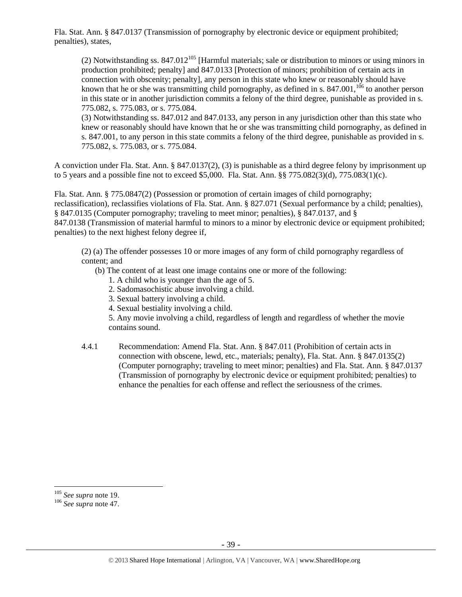Fla. Stat. Ann. § 847.0137 (Transmission of pornography by electronic device or equipment prohibited; penalties), states,

(2) Notwithstanding ss.  $847.012^{105}$  [Harmful materials; sale or distribution to minors or using minors in production prohibited; penalty] and 847.0133 [Protection of minors; prohibition of certain acts in connection with obscenity; penalty], any person in this state who knew or reasonably should have known that he or she was transmitting child pornography, as defined in s.  $847.001$ ,  $^{106}$  to another person in this state or in another jurisdiction commits a felony of the third degree, punishable as provided in s. 775.082, s. 775.083, or s. 775.084.

(3) Notwithstanding ss. 847.012 and 847.0133, any person in any jurisdiction other than this state who knew or reasonably should have known that he or she was transmitting child pornography, as defined in s. 847.001, to any person in this state commits a felony of the third degree, punishable as provided in s. 775.082, s. 775.083, or s. 775.084.

A conviction under Fla. Stat. Ann. § 847.0137(2), (3) is punishable as a third degree felony by imprisonment up to 5 years and a possible fine not to exceed \$5,000. Fla. Stat. Ann. §§ 775.082(3)(d), 775.083(1)(c).

Fla. Stat. Ann. § 775.0847(2) (Possession or promotion of certain images of child pornography; reclassification), reclassifies violations of Fla. Stat. Ann. § 827.071 (Sexual performance by a child; penalties), § 847.0135 (Computer pornography; traveling to meet minor; penalties), § 847.0137, and § 847.0138 (Transmission of material harmful to minors to a minor by electronic device or equipment prohibited; penalties) to the next highest felony degree if,

(2) (a) The offender possesses 10 or more images of any form of child pornography regardless of content; and

(b) The content of at least one image contains one or more of the following:

- 1. A child who is younger than the age of 5.
- 2. Sadomasochistic abuse involving a child.
- 3. Sexual battery involving a child.
- 4. Sexual bestiality involving a child.

5. Any movie involving a child, regardless of length and regardless of whether the movie contains sound.

4.4.1 Recommendation: Amend Fla. Stat. Ann. § 847.011 (Prohibition of certain acts in connection with obscene, lewd, etc., materials; penalty), Fla. Stat. Ann. § 847.0135(2) (Computer pornography; traveling to meet minor; penalties) and Fla. Stat. Ann. § 847.0137 (Transmission of pornography by electronic device or equipment prohibited; penalties) to enhance the penalties for each offense and reflect the seriousness of the crimes.

<sup>105</sup> *See supra* not[e 19.](#page-7-0)

<sup>106</sup> *See supra* not[e 47.](#page-19-0)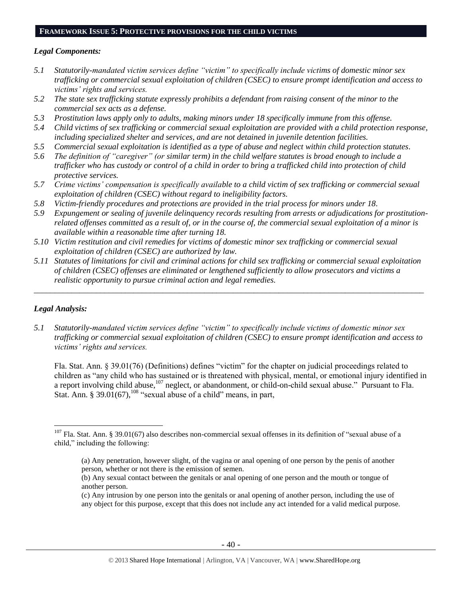## **FRAMEWORK ISSUE 5: PROTECTIVE PROVISIONS FOR THE CHILD VICTIMS**

### *Legal Components:*

- *5.1 Statutorily-mandated victim services define "victim" to specifically include victims of domestic minor sex trafficking or commercial sexual exploitation of children (CSEC) to ensure prompt identification and access to victims' rights and services.*
- *5.2 The state sex trafficking statute expressly prohibits a defendant from raising consent of the minor to the commercial sex acts as a defense.*
- *5.3 Prostitution laws apply only to adults, making minors under 18 specifically immune from this offense.*
- *5.4 Child victims of sex trafficking or commercial sexual exploitation are provided with a child protection response, including specialized shelter and services, and are not detained in juvenile detention facilities.*
- *5.5 Commercial sexual exploitation is identified as a type of abuse and neglect within child protection statutes.*
- *5.6 The definition of "caregiver" (or similar term) in the child welfare statutes is broad enough to include a trafficker who has custody or control of a child in order to bring a trafficked child into protection of child protective services.*
- *5.7 Crime victims' compensation is specifically available to a child victim of sex trafficking or commercial sexual exploitation of children (CSEC) without regard to ineligibility factors.*
- *5.8 Victim-friendly procedures and protections are provided in the trial process for minors under 18.*
- *5.9 Expungement or sealing of juvenile delinquency records resulting from arrests or adjudications for prostitutionrelated offenses committed as a result of, or in the course of, the commercial sexual exploitation of a minor is available within a reasonable time after turning 18.*
- *5.10 Victim restitution and civil remedies for victims of domestic minor sex trafficking or commercial sexual exploitation of children (CSEC) are authorized by law.*
- *5.11 Statutes of limitations for civil and criminal actions for child sex trafficking or commercial sexual exploitation of children (CSEC) offenses are eliminated or lengthened sufficiently to allow prosecutors and victims a realistic opportunity to pursue criminal action and legal remedies.*

*\_\_\_\_\_\_\_\_\_\_\_\_\_\_\_\_\_\_\_\_\_\_\_\_\_\_\_\_\_\_\_\_\_\_\_\_\_\_\_\_\_\_\_\_\_\_\_\_\_\_\_\_\_\_\_\_\_\_\_\_\_\_\_\_\_\_\_\_\_\_\_\_\_\_\_\_\_\_\_\_\_\_\_\_\_\_\_\_\_\_\_\_\_\_*

## *Legal Analysis:*

 $\overline{a}$ 

*5.1 Statutorily-mandated victim services define "victim" to specifically include victims of domestic minor sex trafficking or commercial sexual exploitation of children (CSEC) to ensure prompt identification and access to victims' rights and services.* 

<span id="page-39-0"></span>Fla. Stat. Ann. § 39.01(76) (Definitions) defines "victim" for the chapter on judicial proceedings related to children as "any child who has sustained or is threatened with physical, mental, or emotional injury identified in a report involving child abuse,<sup>107</sup> neglect, or abandonment, or child-on-child sexual abuse." Pursuant to Fla. Stat. Ann. § 39.01 $(67)$ ,<sup>108</sup> "sexual abuse of a child" means, in part,

 $107$  Fla. Stat. Ann. § 39.01(67) also describes non-commercial sexual offenses in its definition of "sexual abuse of a child," including the following:

<sup>(</sup>a) Any penetration, however slight, of the vagina or anal opening of one person by the penis of another person, whether or not there is the emission of semen.

<sup>(</sup>b) Any sexual contact between the genitals or anal opening of one person and the mouth or tongue of another person.

<sup>(</sup>c) Any intrusion by one person into the genitals or anal opening of another person, including the use of any object for this purpose, except that this does not include any act intended for a valid medical purpose.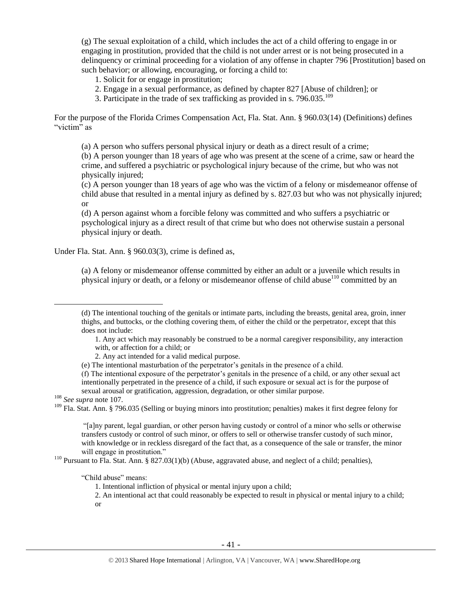(g) The sexual exploitation of a child, which includes the act of a child offering to engage in or engaging in prostitution, provided that the child is not under arrest or is not being prosecuted in a delinquency or criminal proceeding for a violation of any offense in chapter 796 [Prostitution] based on such behavior; or allowing, encouraging, or forcing a child to:

- 1. Solicit for or engage in prostitution;
- 2. Engage in a sexual performance, as defined by chapter 827 [Abuse of children]; or
- 3. Participate in the trade of sex trafficking as provided in s. 796.035.<sup>109</sup>

For the purpose of the Florida Crimes Compensation Act, Fla. Stat. Ann. § 960.03(14) (Definitions) defines "victim" as

(a) A person who suffers personal physical injury or death as a direct result of a crime;

(b) A person younger than 18 years of age who was present at the scene of a crime, saw or heard the crime, and suffered a psychiatric or psychological injury because of the crime, but who was not physically injured;

(c) A person younger than 18 years of age who was the victim of a felony or misdemeanor offense of child abuse that resulted in a mental injury as defined by s. 827.03 but who was not physically injured; or

(d) A person against whom a forcible felony was committed and who suffers a psychiatric or psychological injury as a direct result of that crime but who does not otherwise sustain a personal physical injury or death.

Under Fla. Stat. Ann. § 960.03(3), crime is defined as,

(a) A felony or misdemeanor offense committed by either an adult or a juvenile which results in physical injury or death, or a felony or misdemeanor offense of child abuse<sup>110</sup> committed by an

1. Any act which may reasonably be construed to be a normal caregiver responsibility, any interaction with, or affection for a child; or

2. Any act intended for a valid medical purpose.

- (e) The intentional masturbation of the perpetrator's genitals in the presence of a child.
- (f) The intentional exposure of the perpetrator's genitals in the presence of a child, or any other sexual act intentionally perpetrated in the presence of a child, if such exposure or sexual act is for the purpose of sexual arousal or gratification, aggression, degradation, or other similar purpose.

<sup>108</sup> *See supra* not[e 107.](#page-39-0)

 $\overline{a}$ 

<sup>109</sup> Fla. Stat. Ann. § 796.035 (Selling or buying minors into prostitution; penalties) makes it first degree felony for

"[a]ny parent, legal guardian, or other person having custody or control of a minor who sells or otherwise transfers custody or control of such minor, or offers to sell or otherwise transfer custody of such minor, with knowledge or in reckless disregard of the fact that, as a consequence of the sale or transfer, the minor will engage in prostitution."

<sup>110</sup> Pursuant to Fla. Stat. Ann. § 827.03(1)(b) (Abuse, aggravated abuse, and neglect of a child; penalties),

"Child abuse" means:

- 1. Intentional infliction of physical or mental injury upon a child;
- 2. An intentional act that could reasonably be expected to result in physical or mental injury to a child; or

<sup>(</sup>d) The intentional touching of the genitals or intimate parts, including the breasts, genital area, groin, inner thighs, and buttocks, or the clothing covering them, of either the child or the perpetrator, except that this does not include: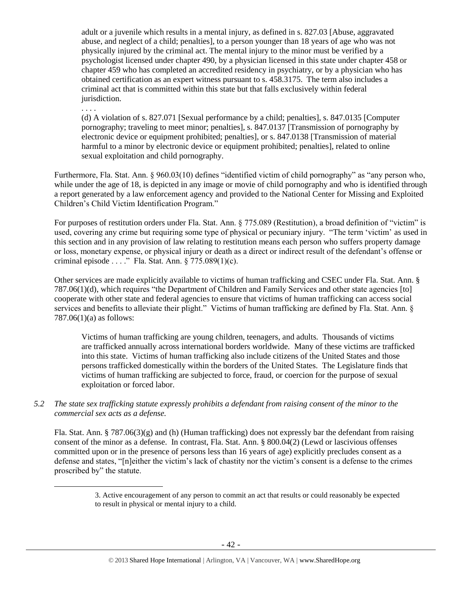adult or a juvenile which results in a mental injury, as defined in s. 827.03 [Abuse, aggravated abuse, and neglect of a child; penalties], to a person younger than 18 years of age who was not physically injured by the criminal act. The mental injury to the minor must be verified by a psychologist licensed under chapter 490, by a physician licensed in this state under chapter 458 or chapter 459 who has completed an accredited residency in psychiatry, or by a physician who has obtained certification as an expert witness pursuant to s. 458.3175. The term also includes a criminal act that is committed within this state but that falls exclusively within federal jurisdiction.

. . . .

 $\overline{a}$ 

(d) A violation of s. 827.071 [Sexual performance by a child; penalties], s. 847.0135 [Computer pornography; traveling to meet minor; penalties], s. 847.0137 [Transmission of pornography by electronic device or equipment prohibited; penalties], or s. 847.0138 [Transmission of material harmful to a minor by electronic device or equipment prohibited; penalties], related to online sexual exploitation and child pornography.

Furthermore, Fla. Stat. Ann. § 960.03(10) defines "identified victim of child pornography" as "any person who, while under the age of 18, is depicted in any image or movie of child pornography and who is identified through a report generated by a law enforcement agency and provided to the National Center for Missing and Exploited Children's Child Victim Identification Program."

For purposes of restitution orders under Fla. Stat. Ann. § 775.089 (Restitution), a broad definition of "victim" is used, covering any crime but requiring some type of physical or pecuniary injury. "The term 'victim' as used in this section and in any provision of law relating to restitution means each person who suffers property damage or loss, monetary expense, or physical injury or death as a direct or indirect result of the defendant's offense or criminal episode . . . ." Fla. Stat. Ann. § 775.089(1)(c).

Other services are made explicitly available to victims of human trafficking and CSEC under Fla. Stat. Ann. § 787.06(1)(d), which requires "the Department of Children and Family Services and other state agencies [to] cooperate with other state and federal agencies to ensure that victims of human trafficking can access social services and benefits to alleviate their plight." Victims of human trafficking are defined by Fla. Stat. Ann. § 787.06(1)(a) as follows:

Victims of human trafficking are young children, teenagers, and adults. Thousands of victims are trafficked annually across international borders worldwide. Many of these victims are trafficked into this state. Victims of human trafficking also include citizens of the United States and those persons trafficked domestically within the borders of the United States. The Legislature finds that victims of human trafficking are subjected to force, fraud, or coercion for the purpose of sexual exploitation or forced labor.

*5.2 The state sex trafficking statute expressly prohibits a defendant from raising consent of the minor to the commercial sex acts as a defense.*

Fla. Stat. Ann. § 787.06(3)(g) and (h) (Human trafficking) does not expressly bar the defendant from raising consent of the minor as a defense. In contrast, Fla. Stat. Ann. § 800.04(2) (Lewd or lascivious offenses committed upon or in the presence of persons less than 16 years of age) explicitly precludes consent as a defense and states, "[n]either the victim's lack of chastity nor the victim's consent is a defense to the crimes proscribed by" the statute.

<sup>3.</sup> Active encouragement of any person to commit an act that results or could reasonably be expected to result in physical or mental injury to a child.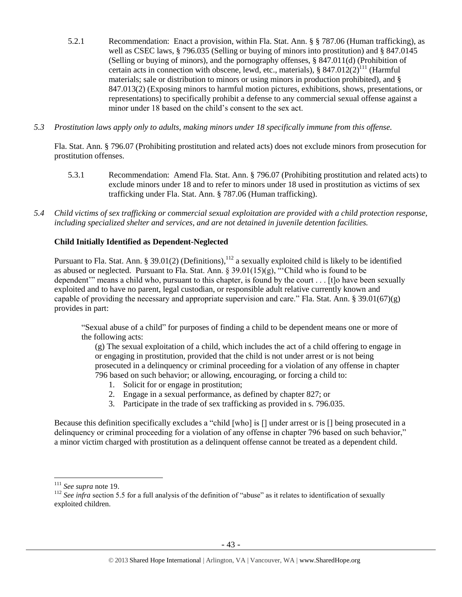- 5.2.1 Recommendation: Enact a provision, within Fla. Stat. Ann. § § 787.06 (Human trafficking), as well as CSEC laws, § 796.035 (Selling or buying of minors into prostitution) and § 847.0145 (Selling or buying of minors), and the pornography offenses, § 847.011(d) (Prohibition of certain acts in connection with obscene, lewd, etc., materials),  $\S 847.012(2)^{111}$  (Harmful materials; sale or distribution to minors or using minors in production prohibited), and § 847.013(2) (Exposing minors to harmful motion pictures, exhibitions, shows, presentations, or representations) to specifically prohibit a defense to any commercial sexual offense against a minor under 18 based on the child's consent to the sex act.
- *5.3 Prostitution laws apply only to adults, making minors under 18 specifically immune from this offense.*

Fla. Stat. Ann. § 796.07 (Prohibiting prostitution and related acts) does not exclude minors from prosecution for prostitution offenses.

- 5.3.1 Recommendation: Amend Fla. Stat. Ann. § 796.07 (Prohibiting prostitution and related acts) to exclude minors under 18 and to refer to minors under 18 used in prostitution as victims of sex trafficking under Fla. Stat. Ann. § 787.06 (Human trafficking).
- *5.4 Child victims of sex trafficking or commercial sexual exploitation are provided with a child protection response, including specialized shelter and services, and are not detained in juvenile detention facilities.*

# **Child Initially Identified as Dependent-Neglected**

Pursuant to Fla. Stat. Ann. § 39.01(2) (Definitions),<sup>112</sup> a sexually exploited child is likely to be identified as abused or neglected. Pursuant to Fla. Stat. Ann. § 39.01(15)(g), "'Child who is found to be dependent'" means a child who, pursuant to this chapter, is found by the court . . . [t]o have been sexually exploited and to have no parent, legal custodian, or responsible adult relative currently known and capable of providing the necessary and appropriate supervision and care." Fla. Stat. Ann. § 39.01(67)(g) provides in part:

"Sexual abuse of a child" for purposes of finding a child to be dependent means one or more of the following acts:

(g) The sexual exploitation of a child, which includes the act of a child offering to engage in or engaging in prostitution, provided that the child is not under arrest or is not being prosecuted in a delinquency or criminal proceeding for a violation of any offense in chapter 796 based on such behavior; or allowing, encouraging, or forcing a child to:

- 1. Solicit for or engage in prostitution;
- 2. Engage in a sexual performance, as defined by chapter 827; or
- 3. Participate in the trade of sex trafficking as provided in s. 796.035.

Because this definition specifically excludes a "child [who] is [] under arrest or is [] being prosecuted in a delinquency or criminal proceeding for a violation of any offense in chapter 796 based on such behavior," a minor victim charged with prostitution as a delinquent offense cannot be treated as a dependent child.

<sup>111</sup> *See supra* not[e 19.](#page-7-0)

<sup>&</sup>lt;sup>112</sup> *See infra* section 5.5 for a full analysis of the definition of "abuse" as it relates to identification of sexually exploited children.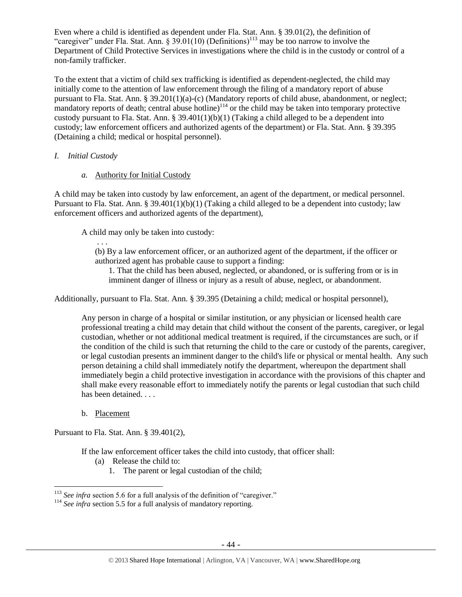Even where a child is identified as dependent under Fla. Stat. Ann. § 39.01(2), the definition of "caregiver" under Fla. Stat. Ann. § 39.01(10) (Definitions)<sup>113</sup> may be too narrow to involve the Department of Child Protective Services in investigations where the child is in the custody or control of a non-family trafficker.

To the extent that a victim of child sex trafficking is identified as dependent-neglected, the child may initially come to the attention of law enforcement through the filing of a mandatory report of abuse pursuant to Fla. Stat. Ann. § 39.201(1)(a)-(c) (Mandatory reports of child abuse, abandonment, or neglect; mandatory reports of death; central abuse hotline)<sup>114</sup> or the child may be taken into temporary protective custody pursuant to Fla. Stat. Ann. § 39.401(1)(b)(1) (Taking a child alleged to be a dependent into custody; law enforcement officers and authorized agents of the department) or Fla. Stat. Ann. § 39.395 (Detaining a child; medical or hospital personnel).

## *I. Initial Custody*

. . .

## *a.* Authority for Initial Custody

A child may be taken into custody by law enforcement, an agent of the department, or medical personnel. Pursuant to Fla. Stat. Ann. § 39.401(1)(b)(1) (Taking a child alleged to be a dependent into custody; law enforcement officers and authorized agents of the department),

A child may only be taken into custody:

(b) By a law enforcement officer, or an authorized agent of the department, if the officer or authorized agent has probable cause to support a finding:

1. That the child has been abused, neglected, or abandoned, or is suffering from or is in imminent danger of illness or injury as a result of abuse, neglect, or abandonment.

Additionally, pursuant to Fla. Stat. Ann. § 39.395 (Detaining a child; medical or hospital personnel),

Any person in charge of a hospital or similar institution, or any physician or licensed health care professional treating a child may detain that child without the consent of the parents, caregiver, or legal custodian, whether or not additional medical treatment is required, if the circumstances are such, or if the condition of the child is such that returning the child to the care or custody of the parents, caregiver, or legal custodian presents an imminent danger to the child's life or physical or mental health. Any such person detaining a child shall immediately notify the department, whereupon the department shall immediately begin a child protective investigation in accordance with the provisions of this chapter and shall make every reasonable effort to immediately notify the parents or legal custodian that such child has been detained. . . .

b. Placement

 $\overline{a}$ 

Pursuant to Fla. Stat. Ann. § 39.401(2),

If the law enforcement officer takes the child into custody, that officer shall:

- (a) Release the child to:
	- 1. The parent or legal custodian of the child;

<sup>&</sup>lt;sup>113</sup> See infra section 5.6 for a full analysis of the definition of "caregiver."

<sup>114</sup> *See infra* section 5.5 for a full analysis of mandatory reporting.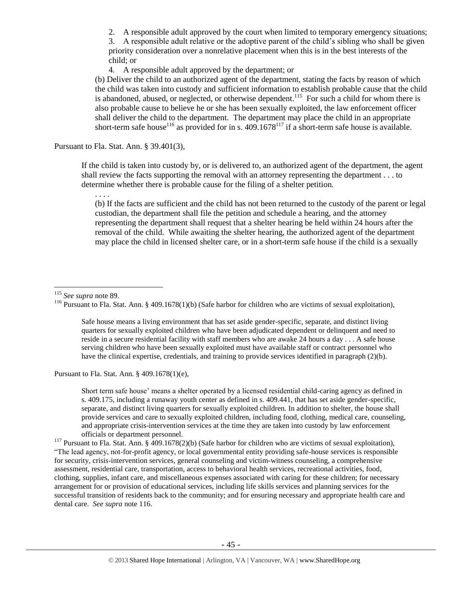2. A responsible adult approved by the court when limited to temporary emergency situations;

3. A responsible adult relative or the adoptive parent of the child's sibling who shall be given priority consideration over a nonrelative placement when this is in the best interests of the child; or

<span id="page-44-0"></span>4. A responsible adult approved by the department; or

(b) Deliver the child to an authorized agent of the department, stating the facts by reason of which the child was taken into custody and sufficient information to establish probable cause that the child is abandoned, abused, or neglected, or otherwise dependent.<sup>115</sup> For such a child for whom there is also probable cause to believe he or she has been sexually exploited, the law enforcement officer shall deliver the child to the department. The department may place the child in an appropriate short-term safe house<sup>116</sup> as provided for in s.  $409.1678^{117}$  if a short-term safe house is available.

Pursuant to Fla. Stat. Ann. § 39.401(3),

. . . .

If the child is taken into custody by, or is delivered to, an authorized agent of the department, the agent shall review the facts supporting the removal with an attorney representing the department . . . to determine whether there is probable cause for the filing of a shelter petition.

(b) If the facts are sufficient and the child has not been returned to the custody of the parent or legal custodian, the department shall file the petition and schedule a hearing, and the attorney representing the department shall request that a shelter hearing be held within 24 hours after the removal of the child. While awaiting the shelter hearing, the authorized agent of the department may place the child in licensed shelter care, or in a short-term safe house if the child is a sexually

<sup>115</sup> *See supra* not[e 89.](#page-33-0)

 $\overline{a}$ 

<sup>116</sup> Pursuant to Fla. Stat. Ann. § 409.1678(1)(b) (Safe harbor for children who are victims of sexual exploitation),

Safe house means a living environment that has set aside gender-specific, separate, and distinct living quarters for sexually exploited children who have been adjudicated dependent or delinquent and need to reside in a secure residential facility with staff members who are awake 24 hours a day . . . A safe house serving children who have been sexually exploited must have available staff or contract personnel who have the clinical expertise, credentials, and training to provide services identified in paragraph (2)(b).

Pursuant to Fla. Stat. Ann. § 409.1678(1)(e),

Short term safe house' means a shelter operated by a licensed residential child-caring agency as defined in s. 409.175, including a runaway youth center as defined in s. 409.441, that has set aside gender-specific, separate, and distinct living quarters for sexually exploited children. In addition to shelter, the house shall provide services and care to sexually exploited children, including food, clothing, medical care, counseling, and appropriate crisis-intervention services at the time they are taken into custody by law enforcement officials or department personnel.

<sup>117</sup> Pursuant to Fla. Stat. Ann. § 409.1678(2)(b) (Safe harbor for children who are victims of sexual exploitation), "The lead agency, not-for-profit agency, or local governmental entity providing safe-house services is responsible for security, crisis-intervention services, general counseling and victim-witness counseling, a comprehensive assessment, residential care, transportation, access to behavioral health services, recreational activities, food, clothing, supplies, infant care, and miscellaneous expenses associated with caring for these children; for necessary arrangement for or provision of educational services, including life skills services and planning services for the successful transition of residents back to the community; and for ensuring necessary and appropriate health care and dental care. *See supra* not[e 116.](#page-44-0)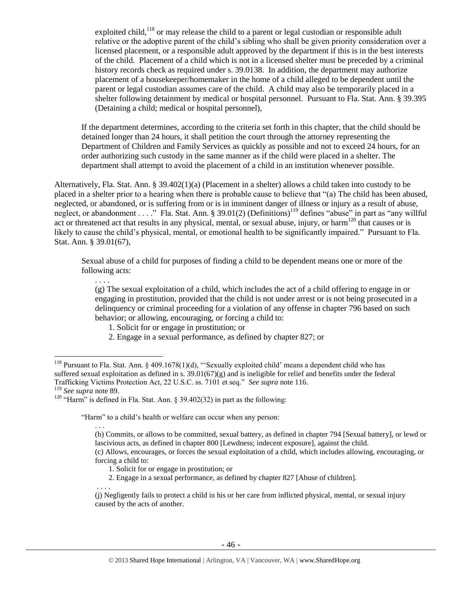exploited child,  $118$  or may release the child to a parent or legal custodian or responsible adult relative or the adoptive parent of the child's sibling who shall be given priority consideration over a licensed placement, or a responsible adult approved by the department if this is in the best interests of the child. Placement of a child which is not in a licensed shelter must be preceded by a criminal history records check as required under s. 39.0138. In addition, the department may authorize placement of a housekeeper/homemaker in the home of a child alleged to be dependent until the parent or legal custodian assumes care of the child. A child may also be temporarily placed in a shelter following detainment by medical or hospital personnel. Pursuant to Fla. Stat. Ann. § 39.395 (Detaining a child; medical or hospital personnel),

If the department determines, according to the criteria set forth in this chapter, that the child should be detained longer than 24 hours, it shall petition the court through the attorney representing the Department of Children and Family Services as quickly as possible and not to exceed 24 hours, for an order authorizing such custody in the same manner as if the child were placed in a shelter. The department shall attempt to avoid the placement of a child in an institution whenever possible.

Alternatively, Fla. Stat. Ann. § 39.402(1)(a) (Placement in a shelter) allows a child taken into custody to be placed in a shelter prior to a hearing when there is probable cause to believe that "(a) The child has been abused, neglected, or abandoned, or is suffering from or is in imminent danger of illness or injury as a result of abuse, neglect, or abandonment . . . ." Fla. Stat. Ann. § 39.01(2) (Definitions)<sup>119</sup> defines "abuse" in part as "any willful act or threatened act that results in any physical, mental, or sexual abuse, injury, or harm<sup>120</sup> that causes or is likely to cause the child's physical, mental, or emotional health to be significantly impaired." Pursuant to Fla. Stat. Ann. § 39.01(67),

Sexual abuse of a child for purposes of finding a child to be dependent means one or more of the following acts:

. . . .

. . .

 $\overline{a}$ 

(g) The sexual exploitation of a child, which includes the act of a child offering to engage in or engaging in prostitution, provided that the child is not under arrest or is not being prosecuted in a delinquency or criminal proceeding for a violation of any offense in chapter 796 based on such behavior; or allowing, encouraging, or forcing a child to:

- 1. Solicit for or engage in prostitution; or
- 2. Engage in a sexual performance, as defined by chapter 827; or

"Harm" to a child's health or welfare can occur when any person:

- 1. Solicit for or engage in prostitution; or
- 2. Engage in a sexual performance, as defined by chapter 827 [Abuse of children].

<sup>&</sup>lt;sup>118</sup> Pursuant to Fla. Stat. Ann.  $\S$  409.1678(1)(d), "Sexually exploited child' means a dependent child who has suffered sexual exploitation as defined in s.  $39.01(67)(g)$  and is ineligible for relief and benefits under the federal Trafficking Victims Protection Act, 22 U.S.C. ss. 7101 et seq." *See supra* note [116.](#page-44-0) <sup>119</sup> *See supra* not[e 89.](#page-33-0)

<sup>&</sup>lt;sup>120</sup> "Harm" is defined in Fla. Stat. Ann. § 39.402(32) in part as the following:

<sup>(</sup>b) Commits, or allows to be committed, sexual battery, as defined in chapter 794 [Sexual battery], or lewd or lascivious acts, as defined in chapter 800 [Lewdness; indecent exposure], against the child. (c) Allows, encourages, or forces the sexual exploitation of a child, which includes allowing, encouraging, or forcing a child to:

<sup>. . .</sup> . (j) Negligently fails to protect a child in his or her care from inflicted physical, mental, or sexual injury caused by the acts of another.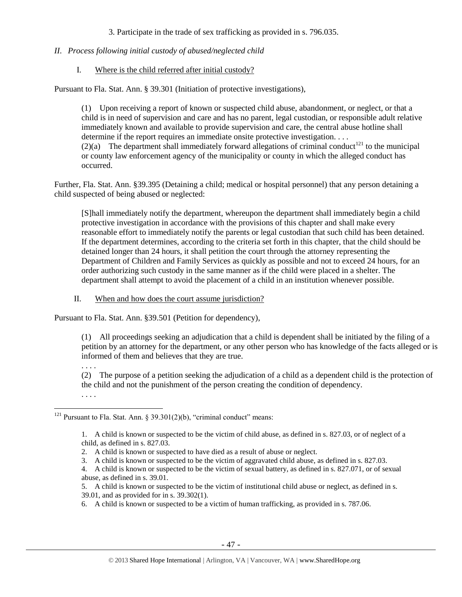3. Participate in the trade of sex trafficking as provided in s. 796.035.

## *II. Process following initial custody of abused/neglected child*

I. Where is the child referred after initial custody?

Pursuant to Fla. Stat. Ann. § 39.301 (Initiation of protective investigations),

(1) Upon receiving a report of known or suspected child abuse, abandonment, or neglect, or that a child is in need of supervision and care and has no parent, legal custodian, or responsible adult relative immediately known and available to provide supervision and care, the central abuse hotline shall determine if the report requires an immediate onsite protective investigation. . . . (2)(a) The department shall immediately forward allegations of criminal conduct<sup>121</sup> to the municipal or county law enforcement agency of the municipality or county in which the alleged conduct has occurred.

Further, Fla. Stat. Ann. §39.395 (Detaining a child; medical or hospital personnel) that any person detaining a child suspected of being abused or neglected:

[S]hall immediately notify the department, whereupon the department shall immediately begin a child protective investigation in accordance with the provisions of this chapter and shall make every reasonable effort to immediately notify the parents or legal custodian that such child has been detained. If the department determines, according to the criteria set forth in this chapter, that the child should be detained longer than 24 hours, it shall petition the court through the attorney representing the Department of Children and Family Services as quickly as possible and not to exceed 24 hours, for an order authorizing such custody in the same manner as if the child were placed in a shelter. The department shall attempt to avoid the placement of a child in an institution whenever possible.

### II. When and how does the court assume jurisdiction?

Pursuant to Fla. Stat. Ann. §39.501 (Petition for dependency),

. . . .

. . . .

 $\overline{a}$ 

(1) All proceedings seeking an adjudication that a child is dependent shall be initiated by the filing of a petition by an attorney for the department, or any other person who has knowledge of the facts alleged or is informed of them and believes that they are true.

(2) The purpose of a petition seeking the adjudication of a child as a dependent child is the protection of the child and not the punishment of the person creating the condition of dependency.

<sup>&</sup>lt;sup>121</sup> Pursuant to Fla. Stat. Ann. § 39.301(2)(b), "criminal conduct" means:

<sup>1.</sup> A child is known or suspected to be the victim of child abuse, as defined in s. 827.03, or of neglect of a child, as defined in s. 827.03.

<sup>2.</sup> A child is known or suspected to have died as a result of abuse or neglect.

<sup>3.</sup> A child is known or suspected to be the victim of aggravated child abuse, as defined in s. 827.03.

<sup>4.</sup> A child is known or suspected to be the victim of sexual battery, as defined in s. 827.071, or of sexual abuse, as defined in s. 39.01.

<sup>5.</sup> A child is known or suspected to be the victim of institutional child abuse or neglect, as defined in s. 39.01, and as provided for in s. 39.302(1).

<sup>6.</sup> A child is known or suspected to be a victim of human trafficking, as provided in s. 787.06.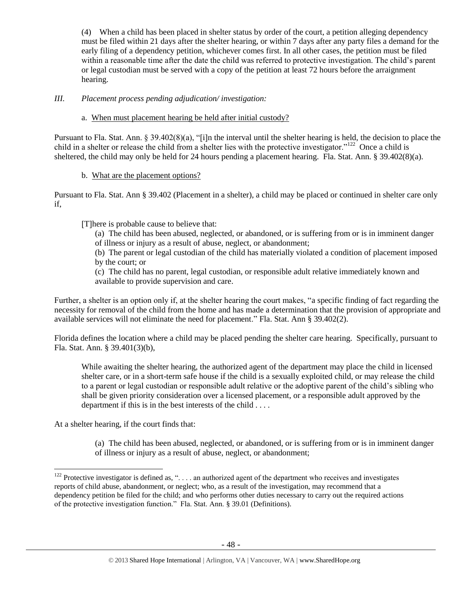(4) When a child has been placed in shelter status by order of the court, a petition alleging dependency must be filed within 21 days after the shelter hearing, or within 7 days after any party files a demand for the early filing of a dependency petition, whichever comes first. In all other cases, the petition must be filed within a reasonable time after the date the child was referred to protective investigation. The child's parent or legal custodian must be served with a copy of the petition at least 72 hours before the arraignment hearing.

## *III. Placement process pending adjudication/ investigation:*

## a. When must placement hearing be held after initial custody?

Pursuant to Fla. Stat. Ann. § 39.402(8)(a), "in the interval until the shelter hearing is held, the decision to place the child in a shelter or release the child from a shelter lies with the protective investigator."<sup>122</sup> Once a child is sheltered, the child may only be held for 24 hours pending a placement hearing. Fla. Stat. Ann. § 39.402(8)(a).

## b. What are the placement options?

Pursuant to Fla. Stat. Ann § 39.402 (Placement in a shelter), a child may be placed or continued in shelter care only if,

## There is probable cause to believe that:

(a) The child has been abused, neglected, or abandoned, or is suffering from or is in imminent danger of illness or injury as a result of abuse, neglect, or abandonment;

(b) The parent or legal custodian of the child has materially violated a condition of placement imposed by the court; or

(c) The child has no parent, legal custodian, or responsible adult relative immediately known and available to provide supervision and care.

Further, a shelter is an option only if, at the shelter hearing the court makes, "a specific finding of fact regarding the necessity for removal of the child from the home and has made a determination that the provision of appropriate and available services will not eliminate the need for placement." Fla. Stat. Ann § 39.402(2).

Florida defines the location where a child may be placed pending the shelter care hearing. Specifically, pursuant to Fla. Stat. Ann. § 39.401(3)(b),

While awaiting the shelter hearing, the authorized agent of the department may place the child in licensed shelter care, or in a short-term safe house if the child is a sexually exploited child, or may release the child to a parent or legal custodian or responsible adult relative or the adoptive parent of the child's sibling who shall be given priority consideration over a licensed placement, or a responsible adult approved by the department if this is in the best interests of the child . . . .

At a shelter hearing, if the court finds that:

 $\overline{a}$ 

(a) The child has been abused, neglected, or abandoned, or is suffering from or is in imminent danger of illness or injury as a result of abuse, neglect, or abandonment;

<sup>&</sup>lt;sup>122</sup> Protective investigator is defined as, " $\dots$  an authorized agent of the department who receives and investigates reports of child abuse, abandonment, or neglect; who, as a result of the investigation, may recommend that a dependency petition be filed for the child; and who performs other duties necessary to carry out the required actions of the protective investigation function." Fla. Stat. Ann. § 39.01 (Definitions).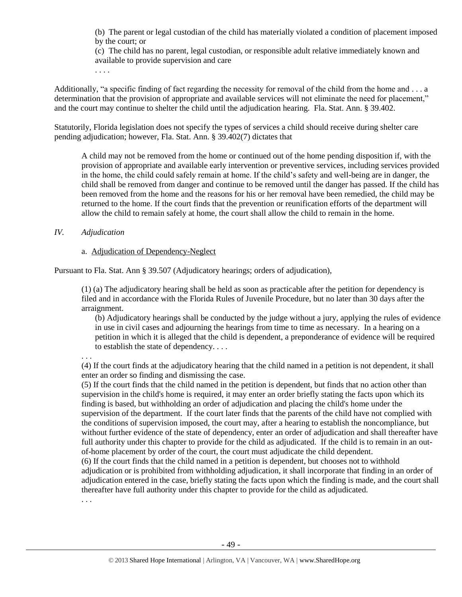(b) The parent or legal custodian of the child has materially violated a condition of placement imposed by the court; or

(c) The child has no parent, legal custodian, or responsible adult relative immediately known and available to provide supervision and care

. . . .

Additionally, "a specific finding of fact regarding the necessity for removal of the child from the home and . . . a determination that the provision of appropriate and available services will not eliminate the need for placement," and the court may continue to shelter the child until the adjudication hearing. Fla. Stat. Ann. § 39.402.

Statutorily, Florida legislation does not specify the types of services a child should receive during shelter care pending adjudication; however, Fla. Stat. Ann. § 39.402(7) dictates that

A child may not be removed from the home or continued out of the home pending disposition if, with the provision of appropriate and available early intervention or preventive services, including services provided in the home, the child could safely remain at home. If the child's safety and well-being are in danger, the child shall be removed from danger and continue to be removed until the danger has passed. If the child has been removed from the home and the reasons for his or her removal have been remedied, the child may be returned to the home. If the court finds that the prevention or reunification efforts of the department will allow the child to remain safely at home, the court shall allow the child to remain in the home.

### *IV. Adjudication*

. . .

## a. Adjudication of Dependency-Neglect

Pursuant to Fla. Stat. Ann § 39.507 (Adjudicatory hearings; orders of adjudication),

(1) (a) The adjudicatory hearing shall be held as soon as practicable after the petition for dependency is filed and in accordance with the Florida Rules of Juvenile Procedure, but no later than 30 days after the arraignment.

(b) Adjudicatory hearings shall be conducted by the judge without a jury, applying the rules of evidence in use in civil cases and adjourning the hearings from time to time as necessary. In a hearing on a petition in which it is alleged that the child is dependent, a preponderance of evidence will be required to establish the state of dependency. . . .

(4) If the court finds at the adjudicatory hearing that the child named in a petition is not dependent, it shall enter an order so finding and dismissing the case.

(5) If the court finds that the child named in the petition is dependent, but finds that no action other than supervision in the child's home is required, it may enter an order briefly stating the facts upon which its finding is based, but withholding an order of adjudication and placing the child's home under the supervision of the department. If the court later finds that the parents of the child have not complied with the conditions of supervision imposed, the court may, after a hearing to establish the noncompliance, but without further evidence of the state of dependency, enter an order of adjudication and shall thereafter have full authority under this chapter to provide for the child as adjudicated. If the child is to remain in an outof-home placement by order of the court, the court must adjudicate the child dependent. (6) If the court finds that the child named in a petition is dependent, but chooses not to withhold adjudication or is prohibited from withholding adjudication, it shall incorporate that finding in an order of adjudication entered in the case, briefly stating the facts upon which the finding is made, and the court shall thereafter have full authority under this chapter to provide for the child as adjudicated.

. . .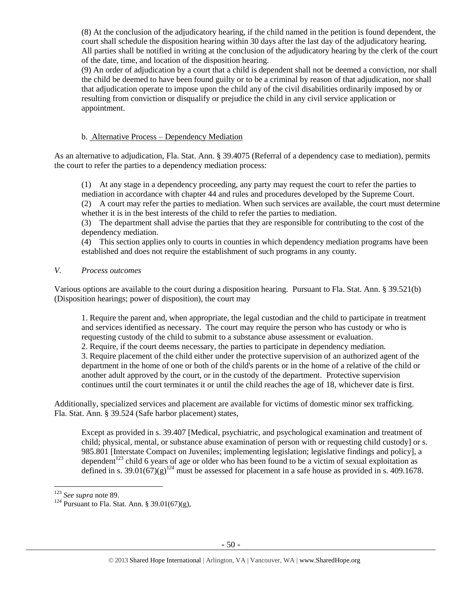(8) At the conclusion of the adjudicatory hearing, if the child named in the petition is found dependent, the court shall schedule the disposition hearing within 30 days after the last day of the adjudicatory hearing. All parties shall be notified in writing at the conclusion of the adjudicatory hearing by the clerk of the court of the date, time, and location of the disposition hearing.

(9) An order of adjudication by a court that a child is dependent shall not be deemed a conviction, nor shall the child be deemed to have been found guilty or to be a criminal by reason of that adjudication, nor shall that adjudication operate to impose upon the child any of the civil disabilities ordinarily imposed by or resulting from conviction or disqualify or prejudice the child in any civil service application or appointment.

# b. Alternative Process – Dependency Mediation

As an alternative to adjudication, Fla. Stat. Ann. § 39.4075 (Referral of a dependency case to mediation), permits the court to refer the parties to a dependency mediation process:

(1) At any stage in a dependency proceeding, any party may request the court to refer the parties to mediation in accordance with chapter 44 and rules and procedures developed by the Supreme Court.

(2) A court may refer the parties to mediation. When such services are available, the court must determine whether it is in the best interests of the child to refer the parties to mediation.

(3) The department shall advise the parties that they are responsible for contributing to the cost of the dependency mediation.

(4) This section applies only to courts in counties in which dependency mediation programs have been established and does not require the establishment of such programs in any county.

## *V. Process outcomes*

Various options are available to the court during a disposition hearing. Pursuant to Fla. Stat. Ann. § 39.521(b) (Disposition hearings; power of disposition), the court may

1. Require the parent and, when appropriate, the legal custodian and the child to participate in treatment and services identified as necessary. The court may require the person who has custody or who is requesting custody of the child to submit to a substance abuse assessment or evaluation.

2. Require, if the court deems necessary, the parties to participate in dependency mediation.

3. Require placement of the child either under the protective supervision of an authorized agent of the department in the home of one or both of the child's parents or in the home of a relative of the child or another adult approved by the court, or in the custody of the department. Protective supervision continues until the court terminates it or until the child reaches the age of 18, whichever date is first.

Additionally, specialized services and placement are available for victims of domestic minor sex trafficking. Fla. Stat. Ann. § 39.524 (Safe harbor placement) states,

Except as provided in s. 39.407 [Medical, psychiatric, and psychological examination and treatment of child; physical, mental, or substance abuse examination of person with or requesting child custody] or s. 985.801 [Interstate Compact on Juveniles; implementing legislation; legislative findings and policy], a dependent<sup>123</sup> child 6 years of age or older who has been found to be a victim of sexual exploitation as defined in s. 39.01(67)(g)<sup>124</sup> must be assessed for placement in a safe house as provided in s. 409.1678.

<sup>123</sup> *See supra* not[e 89.](#page-33-0)

<sup>&</sup>lt;sup>124</sup> Pursuant to Fla. Stat. Ann. § 39.01(67)(g),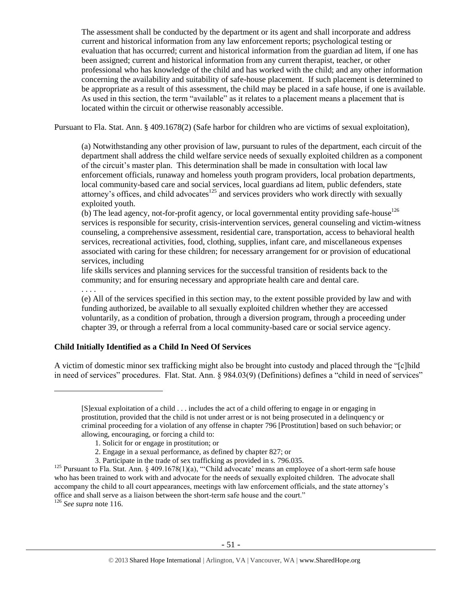The assessment shall be conducted by the department or its agent and shall incorporate and address current and historical information from any law enforcement reports; psychological testing or evaluation that has occurred; current and historical information from the guardian ad litem, if one has been assigned; current and historical information from any current therapist, teacher, or other professional who has knowledge of the child and has worked with the child; and any other information concerning the availability and suitability of safe-house placement. If such placement is determined to be appropriate as a result of this assessment, the child may be placed in a safe house, if one is available. As used in this section, the term "available" as it relates to a placement means a placement that is located within the circuit or otherwise reasonably accessible.

Pursuant to Fla. Stat. Ann. § 409.1678(2) (Safe harbor for children who are victims of sexual exploitation),

(a) Notwithstanding any other provision of law, pursuant to rules of the department, each circuit of the department shall address the child welfare service needs of sexually exploited children as a component of the circuit's master plan. This determination shall be made in consultation with local law enforcement officials, runaway and homeless youth program providers, local probation departments, local community-based care and social services, local guardians ad litem, public defenders, state attorney's offices, and child advocates<sup>125</sup> and services providers who work directly with sexually exploited youth.

(b) The lead agency, not-for-profit agency, or local governmental entity providing safe-house<sup>126</sup> services is responsible for security, crisis-intervention services, general counseling and victim-witness counseling, a comprehensive assessment, residential care, transportation, access to behavioral health services, recreational activities, food, clothing, supplies, infant care, and miscellaneous expenses associated with caring for these children; for necessary arrangement for or provision of educational services, including

life skills services and planning services for the successful transition of residents back to the community; and for ensuring necessary and appropriate health care and dental care.

. . . .

 $\overline{a}$ 

(e) All of the services specified in this section may, to the extent possible provided by law and with funding authorized, be available to all sexually exploited children whether they are accessed voluntarily, as a condition of probation, through a diversion program, through a proceeding under chapter 39, or through a referral from a local community-based care or social service agency.

#### **Child Initially Identified as a Child In Need Of Services**

A victim of domestic minor sex trafficking might also be brought into custody and placed through the "[c]hild in need of services" procedures. Flat. Stat. Ann. § 984.03(9) (Definitions) defines a "child in need of services"

<sup>126</sup> *See supra* not[e 116.](#page-44-0)

<sup>[</sup>S]exual exploitation of a child . . . includes the act of a child offering to engage in or engaging in prostitution, provided that the child is not under arrest or is not being prosecuted in a delinquency or criminal proceeding for a violation of any offense in chapter 796 [Prostitution] based on such behavior; or allowing, encouraging, or forcing a child to:

<sup>1.</sup> Solicit for or engage in prostitution; or

<sup>2.</sup> Engage in a sexual performance, as defined by chapter 827; or

<sup>3.</sup> Participate in the trade of sex trafficking as provided in s. 796.035.

<sup>&</sup>lt;sup>125</sup> Pursuant to Fla. Stat. Ann. § 409.1678(1)(a), "'Child advocate' means an employee of a short-term safe house who has been trained to work with and advocate for the needs of sexually exploited children. The advocate shall accompany the child to all court appearances, meetings with law enforcement officials, and the state attorney's office and shall serve as a liaison between the short-term safe house and the court."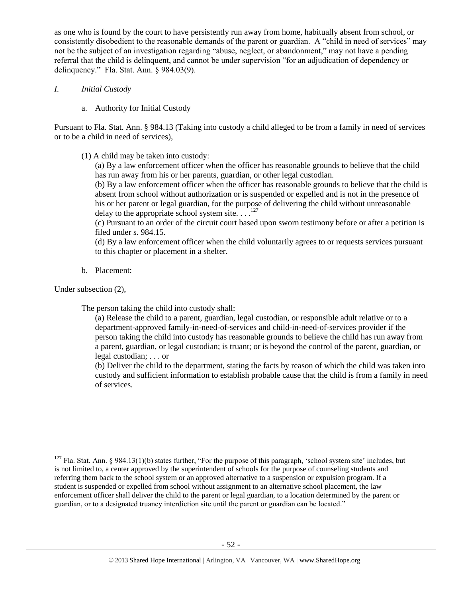as one who is found by the court to have persistently run away from home, habitually absent from school, or consistently disobedient to the reasonable demands of the parent or guardian. A "child in need of services" may not be the subject of an investigation regarding "abuse, neglect, or abandonment," may not have a pending referral that the child is delinquent, and cannot be under supervision "for an adjudication of dependency or delinquency." Fla. Stat. Ann. § 984.03(9).

## *I. Initial Custody*

# a. Authority for Initial Custody

Pursuant to Fla. Stat. Ann. § 984.13 (Taking into custody a child alleged to be from a family in need of services or to be a child in need of services),

(1) A child may be taken into custody:

(a) By a law enforcement officer when the officer has reasonable grounds to believe that the child has run away from his or her parents, guardian, or other legal custodian.

(b) By a law enforcement officer when the officer has reasonable grounds to believe that the child is absent from school without authorization or is suspended or expelled and is not in the presence of his or her parent or legal guardian, for the purpose of delivering the child without unreasonable delay to the appropriate school system site.  $\ldots$ <sup>127</sup>

(c) Pursuant to an order of the circuit court based upon sworn testimony before or after a petition is filed under s. 984.15.

(d) By a law enforcement officer when the child voluntarily agrees to or requests services pursuant to this chapter or placement in a shelter.

b. Placement:

Under subsection (2),

The person taking the child into custody shall:

(a) Release the child to a parent, guardian, legal custodian, or responsible adult relative or to a department-approved family-in-need-of-services and child-in-need-of-services provider if the person taking the child into custody has reasonable grounds to believe the child has run away from a parent, guardian, or legal custodian; is truant; or is beyond the control of the parent, guardian, or legal custodian; . . . or

(b) Deliver the child to the department, stating the facts by reason of which the child was taken into custody and sufficient information to establish probable cause that the child is from a family in need of services.

 $\overline{a}$  $127$  Fla. Stat. Ann. § 984.13(1)(b) states further, "For the purpose of this paragraph, 'school system site' includes, but is not limited to, a center approved by the superintendent of schools for the purpose of counseling students and referring them back to the school system or an approved alternative to a suspension or expulsion program. If a student is suspended or expelled from school without assignment to an alternative school placement, the law enforcement officer shall deliver the child to the parent or legal guardian, to a location determined by the parent or guardian, or to a designated truancy interdiction site until the parent or guardian can be located."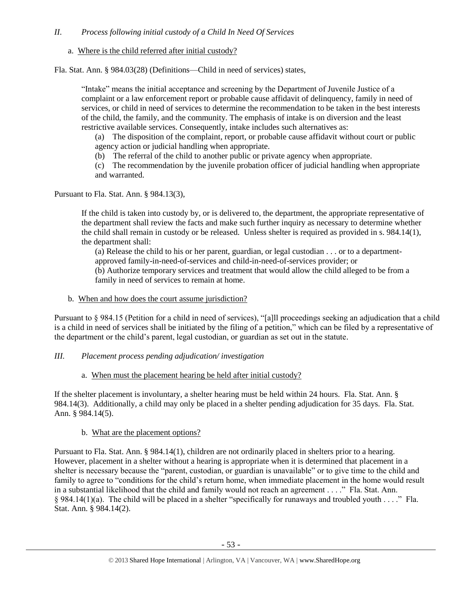## *II. Process following initial custody of a Child In Need Of Services*

# a. Where is the child referred after initial custody?

Fla. Stat. Ann. § 984.03(28) (Definitions—Child in need of services) states,

"Intake" means the initial acceptance and screening by the Department of Juvenile Justice of a complaint or a law enforcement report or probable cause affidavit of delinquency, family in need of services, or child in need of services to determine the recommendation to be taken in the best interests of the child, the family, and the community. The emphasis of intake is on diversion and the least restrictive available services. Consequently, intake includes such alternatives as:

(a) The disposition of the complaint, report, or probable cause affidavit without court or public agency action or judicial handling when appropriate.

(b) The referral of the child to another public or private agency when appropriate.

(c) The recommendation by the juvenile probation officer of judicial handling when appropriate and warranted.

Pursuant to Fla. Stat. Ann. § 984.13(3),

If the child is taken into custody by, or is delivered to, the department, the appropriate representative of the department shall review the facts and make such further inquiry as necessary to determine whether the child shall remain in custody or be released. Unless shelter is required as provided in s. 984.14(1), the department shall:

(a) Release the child to his or her parent, guardian, or legal custodian . . . or to a departmentapproved family-in-need-of-services and child-in-need-of-services provider; or

(b) Authorize temporary services and treatment that would allow the child alleged to be from a family in need of services to remain at home.

b. When and how does the court assume jurisdiction?

Pursuant to § 984.15 (Petition for a child in need of services), "[a]ll proceedings seeking an adjudication that a child is a child in need of services shall be initiated by the filing of a petition," which can be filed by a representative of the department or the child's parent, legal custodian, or guardian as set out in the statute.

- *III. Placement process pending adjudication/ investigation*
	- a. When must the placement hearing be held after initial custody?

If the shelter placement is involuntary, a shelter hearing must be held within 24 hours. Fla. Stat. Ann. § 984.14(3). Additionally, a child may only be placed in a shelter pending adjudication for 35 days. Fla. Stat. Ann. § 984.14(5).

# b. What are the placement options?

Pursuant to Fla. Stat. Ann. § 984.14(1), children are not ordinarily placed in shelters prior to a hearing. However, placement in a shelter without a hearing is appropriate when it is determined that placement in a shelter is necessary because the "parent, custodian, or guardian is unavailable" or to give time to the child and family to agree to "conditions for the child's return home, when immediate placement in the home would result in a substantial likelihood that the child and family would not reach an agreement . . . ." Fla. Stat. Ann. § 984.14(1)(a). The child will be placed in a shelter "specifically for runaways and troubled youth . . . ." Fla. Stat. Ann. § 984.14(2).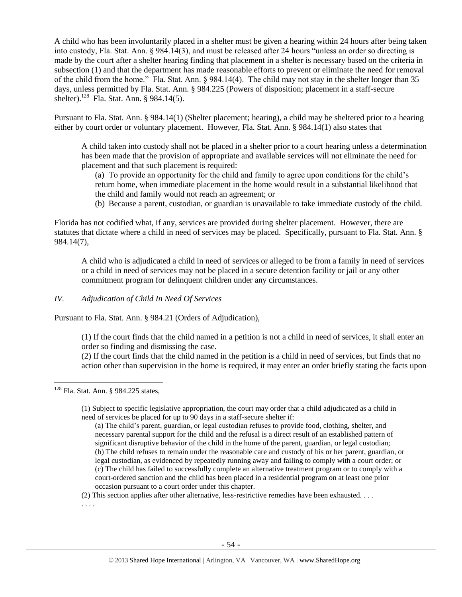A child who has been involuntarily placed in a shelter must be given a hearing within 24 hours after being taken into custody, Fla. Stat. Ann. § 984.14(3), and must be released after 24 hours "unless an order so directing is made by the court after a shelter hearing finding that placement in a shelter is necessary based on the criteria in subsection (1) and that the department has made reasonable efforts to prevent or eliminate the need for removal of the child from the home." Fla. Stat. Ann. § 984.14(4). The child may not stay in the shelter longer than 35 days, unless permitted by Fla. Stat. Ann. § 984.225 (Powers of disposition; placement in a staff-secure shelter).<sup>128</sup> Fla. Stat. Ann. § 984.14(5).

Pursuant to Fla. Stat. Ann. § 984.14(1) (Shelter placement; hearing), a child may be sheltered prior to a hearing either by court order or voluntary placement. However, Fla. Stat. Ann. § 984.14(1) also states that

A child taken into custody shall not be placed in a shelter prior to a court hearing unless a determination has been made that the provision of appropriate and available services will not eliminate the need for placement and that such placement is required:

(a) To provide an opportunity for the child and family to agree upon conditions for the child's return home, when immediate placement in the home would result in a substantial likelihood that the child and family would not reach an agreement; or

(b) Because a parent, custodian, or guardian is unavailable to take immediate custody of the child.

Florida has not codified what, if any, services are provided during shelter placement. However, there are statutes that dictate where a child in need of services may be placed. Specifically, pursuant to Fla. Stat. Ann. § 984.14(7),

A child who is adjudicated a child in need of services or alleged to be from a family in need of services or a child in need of services may not be placed in a secure detention facility or jail or any other commitment program for delinquent children under any circumstances.

### *IV. Adjudication of Child In Need Of Services*

Pursuant to Fla. Stat. Ann. § 984.21 (Orders of Adjudication),

(1) If the court finds that the child named in a petition is not a child in need of services, it shall enter an order so finding and dismissing the case.

(2) If the court finds that the child named in the petition is a child in need of services, but finds that no action other than supervision in the home is required, it may enter an order briefly stating the facts upon

<sup>&</sup>lt;sup>128</sup> Fla. Stat. Ann. § 984.225 states,

<sup>(1)</sup> Subject to specific legislative appropriation, the court may order that a child adjudicated as a child in need of services be placed for up to 90 days in a staff-secure shelter if:

<sup>(</sup>a) The child's parent, guardian, or legal custodian refuses to provide food, clothing, shelter, and necessary parental support for the child and the refusal is a direct result of an established pattern of significant disruptive behavior of the child in the home of the parent, guardian, or legal custodian; (b) The child refuses to remain under the reasonable care and custody of his or her parent, guardian, or legal custodian, as evidenced by repeatedly running away and failing to comply with a court order; or (c) The child has failed to successfully complete an alternative treatment program or to comply with a court-ordered sanction and the child has been placed in a residential program on at least one prior occasion pursuant to a court order under this chapter.

<sup>(2)</sup> This section applies after other alternative, less-restrictive remedies have been exhausted. . . .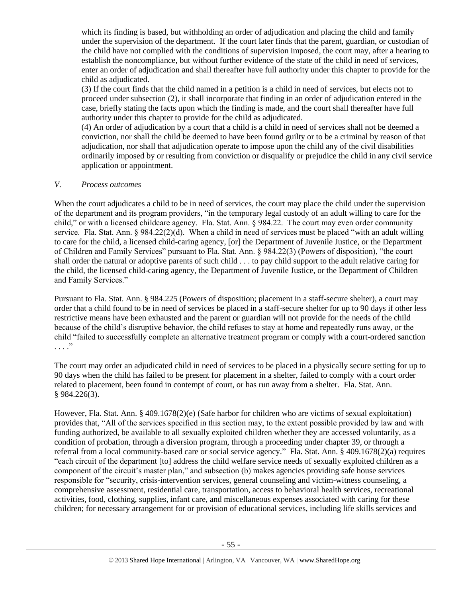which its finding is based, but withholding an order of adjudication and placing the child and family under the supervision of the department. If the court later finds that the parent, guardian, or custodian of the child have not complied with the conditions of supervision imposed, the court may, after a hearing to establish the noncompliance, but without further evidence of the state of the child in need of services, enter an order of adjudication and shall thereafter have full authority under this chapter to provide for the child as adjudicated.

(3) If the court finds that the child named in a petition is a child in need of services, but elects not to proceed under subsection (2), it shall incorporate that finding in an order of adjudication entered in the case, briefly stating the facts upon which the finding is made, and the court shall thereafter have full authority under this chapter to provide for the child as adjudicated.

(4) An order of adjudication by a court that a child is a child in need of services shall not be deemed a conviction, nor shall the child be deemed to have been found guilty or to be a criminal by reason of that adjudication, nor shall that adjudication operate to impose upon the child any of the civil disabilities ordinarily imposed by or resulting from conviction or disqualify or prejudice the child in any civil service application or appointment.

## *V. Process outcomes*

When the court adjudicates a child to be in need of services, the court may place the child under the supervision of the department and its program providers, "in the temporary legal custody of an adult willing to care for the child," or with a licensed childcare agency. Fla. Stat. Ann. § 984.22. The court may even order community service. Fla. Stat. Ann. § 984.22(2)(d). When a child in need of services must be placed "with an adult willing to care for the child, a licensed child-caring agency, [or] the Department of Juvenile Justice, or the Department of Children and Family Services" pursuant to Fla. Stat. Ann. § 984.22(3) (Powers of disposition), "the court shall order the natural or adoptive parents of such child . . . to pay child support to the adult relative caring for the child, the licensed child-caring agency, the Department of Juvenile Justice, or the Department of Children and Family Services."

Pursuant to Fla. Stat. Ann. § 984.225 (Powers of disposition; placement in a staff-secure shelter), a court may order that a child found to be in need of services be placed in a staff-secure shelter for up to 90 days if other less restrictive means have been exhausted and the parent or guardian will not provide for the needs of the child because of the child's disruptive behavior, the child refuses to stay at home and repeatedly runs away, or the child "failed to successfully complete an alternative treatment program or comply with a court-ordered sanction  $\cdot \cdot \cdot$ <sup>"</sup>

The court may order an adjudicated child in need of services to be placed in a physically secure setting for up to 90 days when the child has failed to be present for placement in a shelter, failed to comply with a court order related to placement, been found in contempt of court, or has run away from a shelter. Fla. Stat. Ann. § 984.226(3).

However, Fla. Stat. Ann. § 409.1678(2)(e) (Safe harbor for children who are victims of sexual exploitation) provides that, "All of the services specified in this section may, to the extent possible provided by law and with funding authorized, be available to all sexually exploited children whether they are accessed voluntarily, as a condition of probation, through a diversion program, through a proceeding under chapter 39, or through a referral from a local community-based care or social service agency." Fla. Stat. Ann. § 409.1678(2)(a) requires "each circuit of the department [to] address the child welfare service needs of sexually exploited children as a component of the circuit's master plan," and subsection (b) makes agencies providing safe house services responsible for "security, crisis-intervention services, general counseling and victim-witness counseling, a comprehensive assessment, residential care, transportation, access to behavioral health services, recreational activities, food, clothing, supplies, infant care, and miscellaneous expenses associated with caring for these children; for necessary arrangement for or provision of educational services, including life skills services and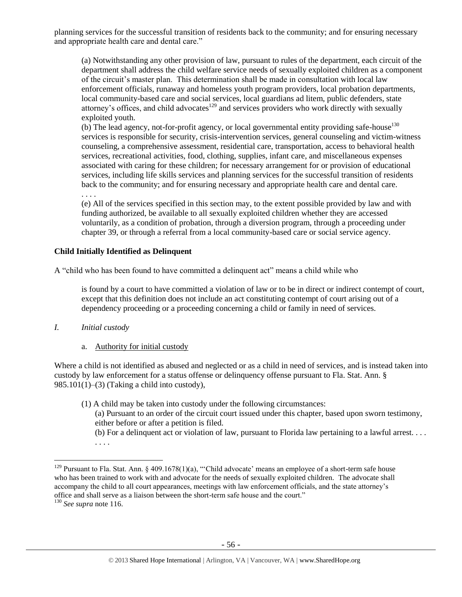planning services for the successful transition of residents back to the community; and for ensuring necessary and appropriate health care and dental care."

(a) Notwithstanding any other provision of law, pursuant to rules of the department, each circuit of the department shall address the child welfare service needs of sexually exploited children as a component of the circuit's master plan. This determination shall be made in consultation with local law enforcement officials, runaway and homeless youth program providers, local probation departments, local community-based care and social services, local guardians ad litem, public defenders, state attorney's offices, and child advocates<sup>129</sup> and services providers who work directly with sexually exploited youth.

(b) The lead agency, not-for-profit agency, or local governmental entity providing safe-house<sup>130</sup> services is responsible for security, crisis-intervention services, general counseling and victim-witness counseling, a comprehensive assessment, residential care, transportation, access to behavioral health services, recreational activities, food, clothing, supplies, infant care, and miscellaneous expenses associated with caring for these children; for necessary arrangement for or provision of educational services, including life skills services and planning services for the successful transition of residents back to the community; and for ensuring necessary and appropriate health care and dental care.

. . . .

(e) All of the services specified in this section may, to the extent possible provided by law and with funding authorized, be available to all sexually exploited children whether they are accessed voluntarily, as a condition of probation, through a diversion program, through a proceeding under chapter 39, or through a referral from a local community-based care or social service agency.

## **Child Initially Identified as Delinquent**

A "child who has been found to have committed a delinquent act" means a child while who

is found by a court to have committed a violation of law or to be in direct or indirect contempt of court, except that this definition does not include an act constituting contempt of court arising out of a dependency proceeding or a proceeding concerning a child or family in need of services.

- *I. Initial custody*
	- a. Authority for initial custody

Where a child is not identified as abused and neglected or as a child in need of services, and is instead taken into custody by law enforcement for a status offense or delinquency offense pursuant to Fla. Stat. Ann. § 985.101(1)–(3) (Taking a child into custody),

- (1) A child may be taken into custody under the following circumstances:
	- (a) Pursuant to an order of the circuit court issued under this chapter, based upon sworn testimony, either before or after a petition is filed.
	- (b) For a delinquent act or violation of law, pursuant to Florida law pertaining to a lawful arrest. . . . . . . .

<sup>&</sup>lt;sup>129</sup> Pursuant to Fla. Stat. Ann. § 409.1678(1)(a), "Child advocate' means an employee of a short-term safe house who has been trained to work with and advocate for the needs of sexually exploited children. The advocate shall accompany the child to all court appearances, meetings with law enforcement officials, and the state attorney's office and shall serve as a liaison between the short-term safe house and the court."

<sup>130</sup> *See supra* not[e 116.](#page-44-0)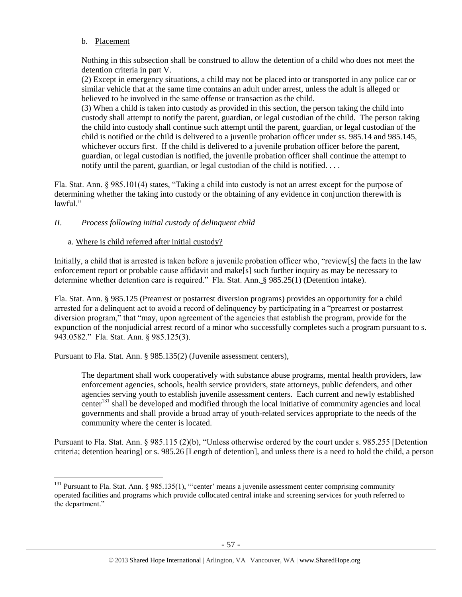b. Placement

Nothing in this subsection shall be construed to allow the detention of a child who does not meet the detention criteria in part V.

(2) Except in emergency situations, a child may not be placed into or transported in any police car or similar vehicle that at the same time contains an adult under arrest, unless the adult is alleged or believed to be involved in the same offense or transaction as the child.

(3) When a child is taken into custody as provided in this section, the person taking the child into custody shall attempt to notify the parent, guardian, or legal custodian of the child. The person taking the child into custody shall continue such attempt until the parent, guardian, or legal custodian of the child is notified or the child is delivered to a juvenile probation officer under ss. 985.14 and 985.145, whichever occurs first. If the child is delivered to a juvenile probation officer before the parent, guardian, or legal custodian is notified, the juvenile probation officer shall continue the attempt to notify until the parent, guardian, or legal custodian of the child is notified. . . .

Fla. Stat. Ann. § 985.101(4) states, "Taking a child into custody is not an arrest except for the purpose of determining whether the taking into custody or the obtaining of any evidence in conjunction therewith is lawful."

## *II. Process following initial custody of delinquent child*

## a. Where is child referred after initial custody?

 $\overline{a}$ 

Initially, a child that is arrested is taken before a juvenile probation officer who, "review[s] the facts in the law enforcement report or probable cause affidavit and make[s] such further inquiry as may be necessary to determine whether detention care is required." Fla. Stat. Ann. § 985.25(1) (Detention intake).

Fla. Stat. Ann. § 985.125 (Prearrest or postarrest diversion programs) provides an opportunity for a child arrested for a delinquent act to avoid a record of delinquency by participating in a "prearrest or postarrest diversion program," that "may, upon agreement of the agencies that establish the program, provide for the expunction of the nonjudicial arrest record of a minor who successfully completes such a program pursuant to s. 943.0582." Fla. Stat. Ann. § 985.125(3).

Pursuant to Fla. Stat. Ann. § 985.135(2) (Juvenile assessment centers),

The department shall work cooperatively with substance abuse programs, mental health providers, law enforcement agencies, schools, health service providers, state attorneys, public defenders, and other agencies serving youth to establish juvenile assessment centers. Each current and newly established center<sup>131</sup> shall be developed and modified through the local initiative of community agencies and local governments and shall provide a broad array of youth-related services appropriate to the needs of the community where the center is located.

Pursuant to Fla. Stat. Ann. § 985.115 (2)(b), "Unless otherwise ordered by the court under s. 985.255 [Detention criteria; detention hearing] or s. 985.26 [Length of detention], and unless there is a need to hold the child, a person

<sup>&</sup>lt;sup>131</sup> Pursuant to Fla. Stat. Ann. § 985.135(1), ""center' means a juvenile assessment center comprising community operated facilities and programs which provide collocated central intake and screening services for youth referred to the department."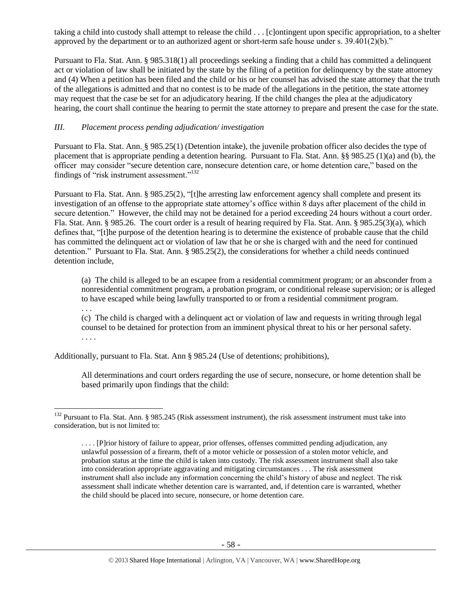taking a child into custody shall attempt to release the child . . . [c]ontingent upon specific appropriation, to a shelter approved by the department or to an authorized agent or short-term safe house under s.  $39.401(2)(b)$ ."

Pursuant to Fla. Stat. Ann. § 985.318(1) all proceedings seeking a finding that a child has committed a delinquent act or violation of law shall be initiated by the state by the filing of a petition for delinquency by the state attorney and (4) When a petition has been filed and the child or his or her counsel has advised the state attorney that the truth of the allegations is admitted and that no contest is to be made of the allegations in the petition, the state attorney may request that the case be set for an adjudicatory hearing. If the child changes the plea at the adjudicatory hearing, the court shall continue the hearing to permit the state attorney to prepare and present the case for the state.

## *III. Placement process pending adjudication/ investigation*

. . .

Pursuant to Fla. Stat. Ann. § 985.25(1) (Detention intake), the juvenile probation officer also decides the type of placement that is appropriate pending a detention hearing. Pursuant to Fla. Stat. Ann. §§ 985.25 (1)(a) and (b), the officer may consider "secure detention care, nonsecure detention care, or home detention care," based on the findings of "risk instrument assessment."<sup>132</sup>

Pursuant to Fla. Stat. Ann. § 985.25(2), "[t]he arresting law enforcement agency shall complete and present its investigation of an offense to the appropriate state attorney's office within 8 days after placement of the child in secure detention." However, the child may not be detained for a period exceeding 24 hours without a court order. Fla. Stat. Ann. § 985.26. The court order is a result of hearing required by Fla. Stat. Ann. § 985.25(3)(a), which defines that, "[t]he purpose of the detention hearing is to determine the existence of probable cause that the child has committed the delinquent act or violation of law that he or she is charged with and the need for continued detention." Pursuant to Fla. Stat. Ann. § 985.25(2), the considerations for whether a child needs continued detention include,

(a) The child is alleged to be an escapee from a residential commitment program; or an absconder from a nonresidential commitment program, a probation program, or conditional release supervision; or is alleged to have escaped while being lawfully transported to or from a residential commitment program.

(c) The child is charged with a delinquent act or violation of law and requests in writing through legal counsel to be detained for protection from an imminent physical threat to his or her personal safety. . . . .

Additionally, pursuant to Fla. Stat. Ann § 985.24 (Use of detentions; prohibitions),

All determinations and court orders regarding the use of secure, nonsecure, or home detention shall be based primarily upon findings that the child:

 $\overline{a}$  $132$  Pursuant to Fla. Stat. Ann. § 985.245 (Risk assessment instrument), the risk assessment instrument must take into consideration, but is not limited to:

<sup>. . . . [</sup>P]rior history of failure to appear, prior offenses, offenses committed pending adjudication, any unlawful possession of a firearm, theft of a motor vehicle or possession of a stolen motor vehicle, and probation status at the time the child is taken into custody. The risk assessment instrument shall also take into consideration appropriate aggravating and mitigating circumstances . . . The risk assessment instrument shall also include any information concerning the child's history of abuse and neglect. The risk assessment shall indicate whether detention care is warranted, and, if detention care is warranted, whether the child should be placed into secure, nonsecure, or home detention care.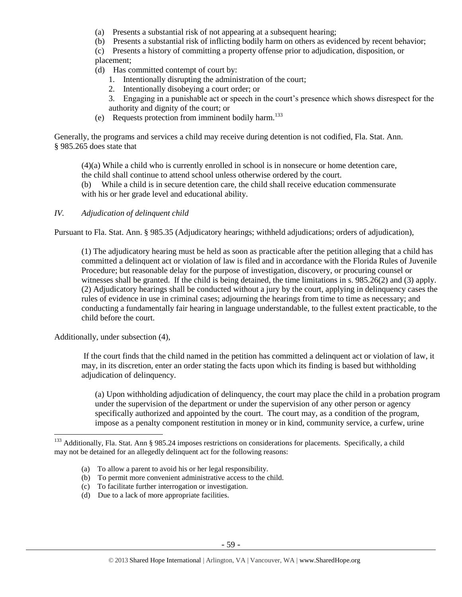- (a) Presents a substantial risk of not appearing at a subsequent hearing;
- (b) Presents a substantial risk of inflicting bodily harm on others as evidenced by recent behavior;
- (c) Presents a history of committing a property offense prior to adjudication, disposition, or placement;
- (d) Has committed contempt of court by:
	- 1. Intentionally disrupting the administration of the court;
	- 2. Intentionally disobeying a court order; or
	- 3. Engaging in a punishable act or speech in the court's presence which shows disrespect for the authority and dignity of the court; or
- (e) Requests protection from imminent bodily harm.<sup>133</sup>

Generally, the programs and services a child may receive during detention is not codified, Fla. Stat. Ann. § 985.265 does state that

(4)(a) While a child who is currently enrolled in school is in nonsecure or home detention care, the child shall continue to attend school unless otherwise ordered by the court.

(b) While a child is in secure detention care, the child shall receive education commensurate with his or her grade level and educational ability.

*IV. Adjudication of delinquent child*

Pursuant to Fla. Stat. Ann. § 985.35 (Adjudicatory hearings; withheld adjudications; orders of adjudication),

(1) The adjudicatory hearing must be held as soon as practicable after the petition alleging that a child has committed a delinquent act or violation of law is filed and in accordance with the Florida Rules of Juvenile Procedure; but reasonable delay for the purpose of investigation, discovery, or procuring counsel or witnesses shall be granted. If the child is being detained, the time limitations in s. 985.26(2) and (3) apply. (2) Adjudicatory hearings shall be conducted without a jury by the court, applying in delinquency cases the rules of evidence in use in criminal cases; adjourning the hearings from time to time as necessary; and conducting a fundamentally fair hearing in language understandable, to the fullest extent practicable, to the child before the court.

Additionally, under subsection (4),

 $\overline{a}$ 

If the court finds that the child named in the petition has committed a delinquent act or violation of law, it may, in its discretion, enter an order stating the facts upon which its finding is based but withholding adjudication of delinquency.

(a) Upon withholding adjudication of delinquency, the court may place the child in a probation program under the supervision of the department or under the supervision of any other person or agency specifically authorized and appointed by the court. The court may, as a condition of the program, impose as a penalty component restitution in money or in kind, community service, a curfew, urine

- (a) To allow a parent to avoid his or her legal responsibility.
- (b) To permit more convenient administrative access to the child.
- (c) To facilitate further interrogation or investigation.
- (d) Due to a lack of more appropriate facilities.

<sup>&</sup>lt;sup>133</sup> Additionally, Fla. Stat. Ann § 985.24 imposes restrictions on considerations for placements. Specifically, a child may not be detained for an allegedly delinquent act for the following reasons: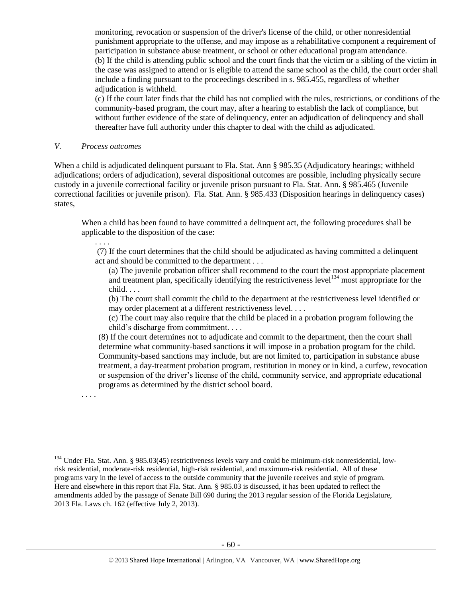monitoring, revocation or suspension of the driver's license of the child, or other nonresidential punishment appropriate to the offense, and may impose as a rehabilitative component a requirement of participation in substance abuse treatment, or school or other educational program attendance. (b) If the child is attending public school and the court finds that the victim or a sibling of the victim in the case was assigned to attend or is eligible to attend the same school as the child, the court order shall include a finding pursuant to the proceedings described in s. 985.455, regardless of whether adjudication is withheld.

(c) If the court later finds that the child has not complied with the rules, restrictions, or conditions of the community-based program, the court may, after a hearing to establish the lack of compliance, but without further evidence of the state of delinquency, enter an adjudication of delinquency and shall thereafter have full authority under this chapter to deal with the child as adjudicated.

#### *V. Process outcomes*

. . . .

When a child is adjudicated delinquent pursuant to Fla. Stat. Ann § 985.35 (Adjudicatory hearings; withheld adjudications; orders of adjudication), several dispositional outcomes are possible, including physically secure custody in a juvenile correctional facility or juvenile prison pursuant to Fla. Stat. Ann. § 985.465 (Juvenile correctional facilities or juvenile prison). Fla. Stat. Ann. § 985.433 (Disposition hearings in delinquency cases) states,

When a child has been found to have committed a delinquent act, the following procedures shall be applicable to the disposition of the case:

(7) If the court determines that the child should be adjudicated as having committed a delinquent act and should be committed to the department . . .

(a) The juvenile probation officer shall recommend to the court the most appropriate placement and treatment plan, specifically identifying the restrictiveness level<sup>134</sup> most appropriate for the child. . . .

(b) The court shall commit the child to the department at the restrictiveness level identified or may order placement at a different restrictiveness level. . . .

(c) The court may also require that the child be placed in a probation program following the child's discharge from commitment. . . .

(8) If the court determines not to adjudicate and commit to the department, then the court shall determine what community-based sanctions it will impose in a probation program for the child. Community-based sanctions may include, but are not limited to, participation in substance abuse treatment, a day-treatment probation program, restitution in money or in kind, a curfew, revocation or suspension of the driver's license of the child, community service, and appropriate educational programs as determined by the district school board.

. . . .

<sup>&</sup>lt;sup>134</sup> Under Fla. Stat. Ann. § 985.03(45) restrictiveness levels vary and could be minimum-risk nonresidential, lowrisk residential, moderate-risk residential, high-risk residential, and maximum-risk residential. All of these programs vary in the level of access to the outside community that the juvenile receives and style of program. Here and elsewhere in this report that Fla. Stat. Ann. § 985.03 is discussed, it has been updated to reflect the amendments added by the passage of Senate Bill 690 during the 2013 regular session of the Florida Legislature, 2013 Fla. Laws ch. 162 (effective July 2, 2013).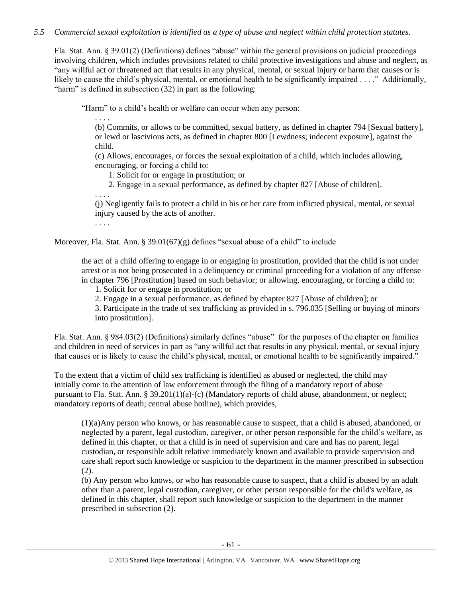## *5.5 Commercial sexual exploitation is identified as a type of abuse and neglect within child protection statutes.*

Fla. Stat. Ann. § 39.01(2) (Definitions) defines "abuse" within the general provisions on judicial proceedings involving children, which includes provisions related to child protective investigations and abuse and neglect, as "any willful act or threatened act that results in any physical, mental, or sexual injury or harm that causes or is likely to cause the child's physical, mental, or emotional health to be significantly impaired . . . ." Additionally, "harm" is defined in subsection (32) in part as the following:

"Harm" to a child's health or welfare can occur when any person:

. . . . (b) Commits, or allows to be committed, sexual battery, as defined in chapter 794 [Sexual battery], or lewd or lascivious acts, as defined in chapter 800 [Lewdness; indecent exposure], against the child.

(c) Allows, encourages, or forces the sexual exploitation of a child, which includes allowing, encouraging, or forcing a child to:

1. Solicit for or engage in prostitution; or

2. Engage in a sexual performance, as defined by chapter 827 [Abuse of children].

. . . .

(j) Negligently fails to protect a child in his or her care from inflicted physical, mental, or sexual injury caused by the acts of another.

. . . .

Moreover, Fla. Stat. Ann. § 39.01(67)(g) defines "sexual abuse of a child" to include

the act of a child offering to engage in or engaging in prostitution, provided that the child is not under arrest or is not being prosecuted in a delinquency or criminal proceeding for a violation of any offense in chapter 796 [Prostitution] based on such behavior; or allowing, encouraging, or forcing a child to:

1. Solicit for or engage in prostitution; or

2. Engage in a sexual performance, as defined by chapter 827 [Abuse of children]; or

3. Participate in the trade of sex trafficking as provided in s. 796.035 [Selling or buying of minors into prostitution].

Fla. Stat. Ann. § 984.03(2) (Definitions) similarly defines "abuse" for the purposes of the chapter on families and children in need of services in part as "any willful act that results in any physical, mental, or sexual injury that causes or is likely to cause the child's physical, mental, or emotional health to be significantly impaired."

To the extent that a victim of child sex trafficking is identified as abused or neglected, the child may initially come to the attention of law enforcement through the filing of a mandatory report of abuse pursuant to Fla. Stat. Ann. § 39.201(1)(a)-(c) (Mandatory reports of child abuse, abandonment, or neglect; mandatory reports of death; central abuse hotline), which provides,

(1)(a)Any person who knows, or has reasonable cause to suspect, that a child is abused, abandoned, or neglected by a parent, legal custodian, caregiver, or other person responsible for the child's welfare, as defined in this chapter, or that a child is in need of supervision and care and has no parent, legal custodian, or responsible adult relative immediately known and available to provide supervision and care shall report such knowledge or suspicion to the department in the manner prescribed in subsection  $(2).$ 

(b) Any person who knows, or who has reasonable cause to suspect, that a child is abused by an adult other than a parent, legal custodian, caregiver, or other person responsible for the child's welfare, as defined in this chapter, shall report such knowledge or suspicion to the department in the manner prescribed in subsection (2).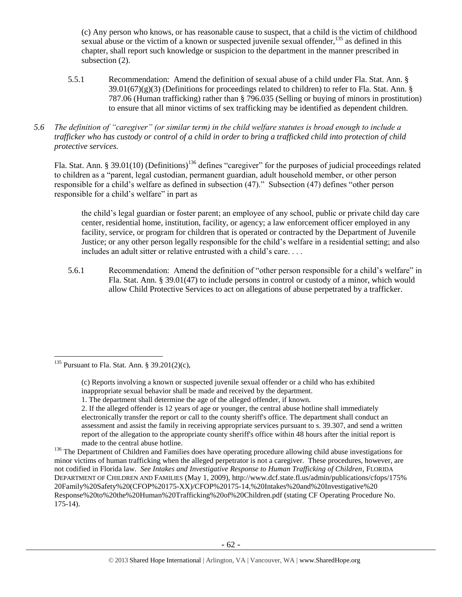(c) Any person who knows, or has reasonable cause to suspect, that a child is the victim of childhood sexual abuse or the victim of a known or suspected juvenile sexual offender,  $^{135}$  as defined in this chapter, shall report such knowledge or suspicion to the department in the manner prescribed in subsection (2).

- 5.5.1 Recommendation: Amend the definition of sexual abuse of a child under Fla. Stat. Ann. §  $39.01(67)(g)(3)$  (Definitions for proceedings related to children) to refer to Fla. Stat. Ann. § 787.06 (Human trafficking) rather than § 796.035 (Selling or buying of minors in prostitution) to ensure that all minor victims of sex trafficking may be identified as dependent children.
- *5.6 The definition of "caregiver" (or similar term) in the child welfare statutes is broad enough to include a trafficker who has custody or control of a child in order to bring a trafficked child into protection of child protective services.*

Fla. Stat. Ann. § 39.01(10) (Definitions)<sup>136</sup> defines "caregiver" for the purposes of judicial proceedings related to children as a "parent, legal custodian, permanent guardian, adult household member, or other person responsible for a child's welfare as defined in subsection (47)." Subsection (47) defines "other person responsible for a child's welfare" in part as

the child's legal guardian or foster parent; an employee of any school, public or private child day care center, residential home, institution, facility, or agency; a law enforcement officer employed in any facility, service, or program for children that is operated or contracted by the Department of Juvenile Justice; or any other person legally responsible for the child's welfare in a residential setting; and also includes an adult sitter or relative entrusted with a child's care. . . .

5.6.1 Recommendation: Amend the definition of "other person responsible for a child's welfare" in Fla. Stat. Ann. § 39.01(47) to include persons in control or custody of a minor, which would allow Child Protective Services to act on allegations of abuse perpetrated by a trafficker.

 $135$  Pursuant to Fla. Stat. Ann. § 39.201(2)(c),

<sup>(</sup>c) Reports involving a known or suspected juvenile sexual offender or a child who has exhibited inappropriate sexual behavior shall be made and received by the department.

<sup>1.</sup> The department shall determine the age of the alleged offender, if known.

<sup>2.</sup> If the alleged offender is 12 years of age or younger, the central abuse hotline shall immediately electronically transfer the report or call to the county sheriff's office. The department shall conduct an assessment and assist the family in receiving appropriate services pursuant to s. 39.307, and send a written report of the allegation to the appropriate county sheriff's office within 48 hours after the initial report is made to the central abuse hotline.

<sup>&</sup>lt;sup>136</sup> The Department of Children and Families does have operating procedure allowing child abuse investigations for minor victims of human trafficking when the alleged perpetrator is not a caregiver. These procedures, however, are not codified in Florida law. *See Intakes and Investigative Response to Human Trafficking of Children*, FLORIDA DEPARTMENT OF CHILDREN AND FAMILIES (May 1, 2009), http://www.dcf.state.fl.us/admin/publications/cfops/175% 20Family%20Safety%20(CFOP%20175-XX)/CFOP%20175-14,%20Intakes%20and%20Investigative%20 Response%20to%20the%20Human%20Trafficking%20of%20Children.pdf (stating CF Operating Procedure No. 175-14).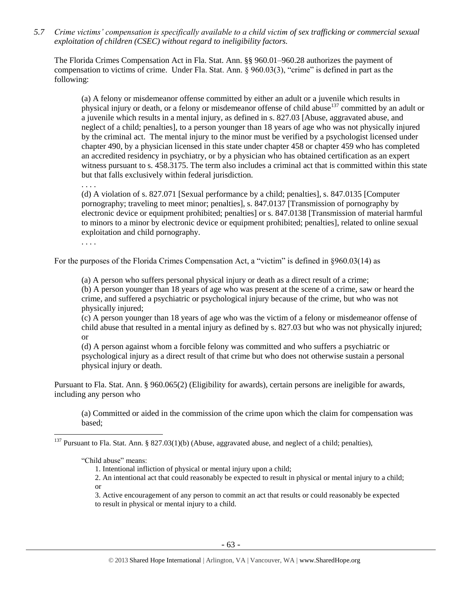*5.7 Crime victims' compensation is specifically available to a child victim of sex trafficking or commercial sexual exploitation of children (CSEC) without regard to ineligibility factors.*

The Florida Crimes Compensation Act in Fla. Stat. Ann. §§ 960.01–960.28 authorizes the payment of compensation to victims of crime. Under Fla. Stat. Ann. § 960.03(3), "crime" is defined in part as the following:

(a) A felony or misdemeanor offense committed by either an adult or a juvenile which results in physical injury or death, or a felony or misdemeanor offense of child abuse<sup>137</sup> committed by an adult or a juvenile which results in a mental injury, as defined in s. 827.03 [Abuse, aggravated abuse, and neglect of a child; penalties], to a person younger than 18 years of age who was not physically injured by the criminal act. The mental injury to the minor must be verified by a psychologist licensed under chapter 490, by a physician licensed in this state under chapter 458 or chapter 459 who has completed an accredited residency in psychiatry, or by a physician who has obtained certification as an expert witness pursuant to s. 458.3175. The term also includes a criminal act that is committed within this state but that falls exclusively within federal jurisdiction.

. . . .

(d) A violation of s. 827.071 [Sexual performance by a child; penalties], s. 847.0135 [Computer pornography; traveling to meet minor; penalties], s. 847.0137 [Transmission of pornography by electronic device or equipment prohibited; penalties] or s. 847.0138 [Transmission of material harmful to minors to a minor by electronic device or equipment prohibited; penalties], related to online sexual exploitation and child pornography.

. . . .

For the purposes of the Florida Crimes Compensation Act, a "victim" is defined in §960.03(14) as

(a) A person who suffers personal physical injury or death as a direct result of a crime; (b) A person younger than 18 years of age who was present at the scene of a crime, saw or heard the crime, and suffered a psychiatric or psychological injury because of the crime, but who was not physically injured;

(c) A person younger than 18 years of age who was the victim of a felony or misdemeanor offense of child abuse that resulted in a mental injury as defined by s. 827.03 but who was not physically injured; or

(d) A person against whom a forcible felony was committed and who suffers a psychiatric or psychological injury as a direct result of that crime but who does not otherwise sustain a personal physical injury or death.

Pursuant to Fla. Stat. Ann. § 960.065(2) (Eligibility for awards), certain persons are ineligible for awards, including any person who

(a) Committed or aided in the commission of the crime upon which the claim for compensation was based;

<sup>&</sup>lt;sup>137</sup> Pursuant to Fla. Stat. Ann. § 827.03(1)(b) (Abuse, aggravated abuse, and neglect of a child; penalties),

<sup>&</sup>quot;Child abuse" means:

<sup>1.</sup> Intentional infliction of physical or mental injury upon a child;

<sup>2.</sup> An intentional act that could reasonably be expected to result in physical or mental injury to a child; or

<sup>3.</sup> Active encouragement of any person to commit an act that results or could reasonably be expected to result in physical or mental injury to a child.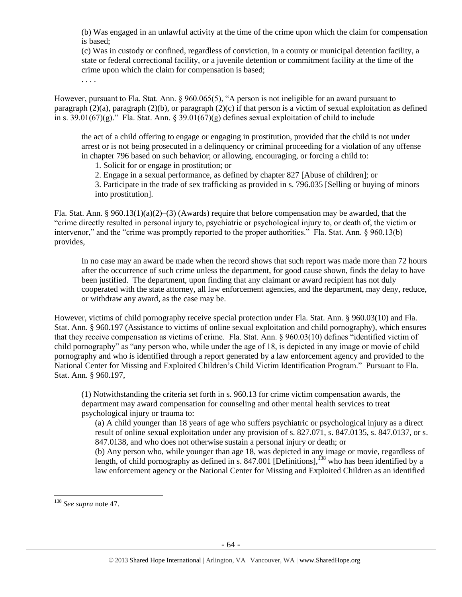(b) Was engaged in an unlawful activity at the time of the crime upon which the claim for compensation is based;

(c) Was in custody or confined, regardless of conviction, in a county or municipal detention facility, a state or federal correctional facility, or a juvenile detention or commitment facility at the time of the crime upon which the claim for compensation is based;

. . . .

However, pursuant to Fla. Stat. Ann. § 960.065(5), "A person is not ineligible for an award pursuant to paragraph (2)(a), paragraph (2)(b), or paragraph (2)(c) if that person is a victim of sexual exploitation as defined in s.  $39.01(67)(g)$ ." Fla. Stat. Ann. §  $39.01(67)(g)$  defines sexual exploitation of child to include

the act of a child offering to engage or engaging in prostitution, provided that the child is not under arrest or is not being prosecuted in a delinquency or criminal proceeding for a violation of any offense in chapter 796 based on such behavior; or allowing, encouraging, or forcing a child to:

1. Solicit for or engage in prostitution; or

2. Engage in a sexual performance, as defined by chapter 827 [Abuse of children]; or

3. Participate in the trade of sex trafficking as provided in s. 796.035 [Selling or buying of minors into prostitution].

Fla. Stat. Ann. § 960.13(1)(a)(2)–(3) (Awards) require that before compensation may be awarded, that the "crime directly resulted in personal injury to, psychiatric or psychological injury to, or death of, the victim or intervenor," and the "crime was promptly reported to the proper authorities." Fla. Stat. Ann. § 960.13(b) provides,

In no case may an award be made when the record shows that such report was made more than 72 hours after the occurrence of such crime unless the department, for good cause shown, finds the delay to have been justified. The department, upon finding that any claimant or award recipient has not duly cooperated with the state attorney, all law enforcement agencies, and the department, may deny, reduce, or withdraw any award, as the case may be.

However, victims of child pornography receive special protection under Fla. Stat. Ann. § 960.03(10) and Fla. Stat. Ann. § 960.197 (Assistance to victims of online sexual exploitation and child pornography), which ensures that they receive compensation as victims of crime. Fla. Stat. Ann. § 960.03(10) defines "identified victim of child pornography" as "any person who, while under the age of 18, is depicted in any image or movie of child pornography and who is identified through a report generated by a law enforcement agency and provided to the National Center for Missing and Exploited Children's Child Victim Identification Program." Pursuant to Fla. Stat. Ann. § 960.197,

(1) Notwithstanding the criteria set forth in s. 960.13 for crime victim compensation awards, the department may award compensation for counseling and other mental health services to treat psychological injury or trauma to:

(a) A child younger than 18 years of age who suffers psychiatric or psychological injury as a direct result of online sexual exploitation under any provision of s. 827.071, s. 847.0135, s. 847.0137, or s. 847.0138, and who does not otherwise sustain a personal injury or death; or

(b) Any person who, while younger than age 18, was depicted in any image or movie, regardless of length, of child pornography as defined in s.  $847.001$  [Definitions],<sup>138</sup> who has been identified by a law enforcement agency or the National Center for Missing and Exploited Children as an identified

<sup>138</sup> *See supra* not[e 47.](#page-19-0)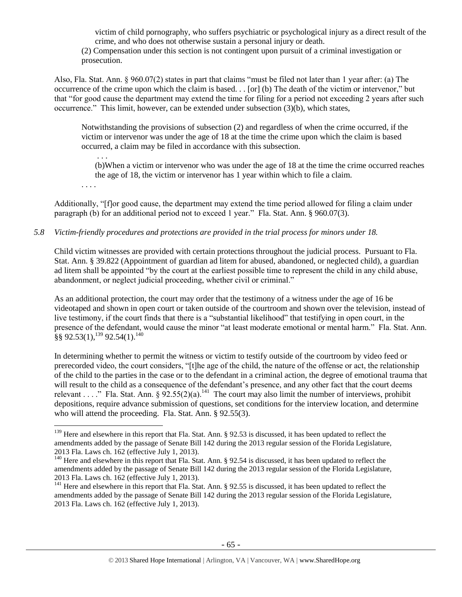victim of child pornography, who suffers psychiatric or psychological injury as a direct result of the crime, and who does not otherwise sustain a personal injury or death.

(2) Compensation under this section is not contingent upon pursuit of a criminal investigation or prosecution.

Also, Fla. Stat. Ann. § 960.07(2) states in part that claims "must be filed not later than 1 year after: (a) The occurrence of the crime upon which the claim is based. . . [or] (b) The death of the victim or intervenor," but that "for good cause the department may extend the time for filing for a period not exceeding 2 years after such occurrence." This limit, however, can be extended under subsection (3)(b), which states,

Notwithstanding the provisions of subsection (2) and regardless of when the crime occurred, if the victim or intervenor was under the age of 18 at the time the crime upon which the claim is based occurred, a claim may be filed in accordance with this subsection.

. . . (b)When a victim or intervenor who was under the age of 18 at the time the crime occurred reaches the age of 18, the victim or intervenor has 1 year within which to file a claim.

. . . .

 $\overline{a}$ 

Additionally, "[f]or good cause, the department may extend the time period allowed for filing a claim under paragraph (b) for an additional period not to exceed 1 year." Fla. Stat. Ann. § 960.07(3).

## *5.8 Victim-friendly procedures and protections are provided in the trial process for minors under 18.*

Child victim witnesses are provided with certain protections throughout the judicial process. Pursuant to Fla. Stat. Ann. § 39.822 (Appointment of guardian ad litem for abused, abandoned, or neglected child), a guardian ad litem shall be appointed "by the court at the earliest possible time to represent the child in any child abuse, abandonment, or neglect judicial proceeding, whether civil or criminal."

As an additional protection, the court may order that the testimony of a witness under the age of 16 be videotaped and shown in open court or taken outside of the courtroom and shown over the television, instead of live testimony, if the court finds that there is a "substantial likelihood" that testifying in open court, in the presence of the defendant, would cause the minor "at least moderate emotional or mental harm." Fla. Stat. Ann.  $\frac{1}{8}$ § 92.53(1),<sup>139</sup> 92.54(1).<sup>140</sup>

In determining whether to permit the witness or victim to testify outside of the courtroom by video feed or prerecorded video, the court considers, "[t]he age of the child, the nature of the offense or act, the relationship of the child to the parties in the case or to the defendant in a criminal action, the degree of emotional trauma that will result to the child as a consequence of the defendant's presence, and any other fact that the court deems relevant . . . ." Fla. Stat. Ann. §  $92.55(2)(a)$ .<sup>141</sup> The court may also limit the number of interviews, prohibit depositions, require advance submission of questions, set conditions for the interview location, and determine who will attend the proceeding. Fla. Stat. Ann. § 92.55(3).

<sup>&</sup>lt;sup>139</sup> Here and elsewhere in this report that Fla. Stat. Ann. § 92.53 is discussed, it has been updated to reflect the amendments added by the passage of Senate Bill 142 during the 2013 regular session of the Florida Legislature, 2013 Fla. Laws ch. 162 (effective July 1, 2013).

<sup>&</sup>lt;sup>140</sup> Here and elsewhere in this report that Fla. Stat. Ann. § 92.54 is discussed, it has been updated to reflect the amendments added by the passage of Senate Bill 142 during the 2013 regular session of the Florida Legislature, 2013 Fla. Laws ch. 162 (effective July 1, 2013).

<sup>&</sup>lt;sup>141</sup> Here and elsewhere in this report that Fla. Stat. Ann. § 92.55 is discussed, it has been updated to reflect the amendments added by the passage of Senate Bill 142 during the 2013 regular session of the Florida Legislature, 2013 Fla. Laws ch. 162 (effective July 1, 2013).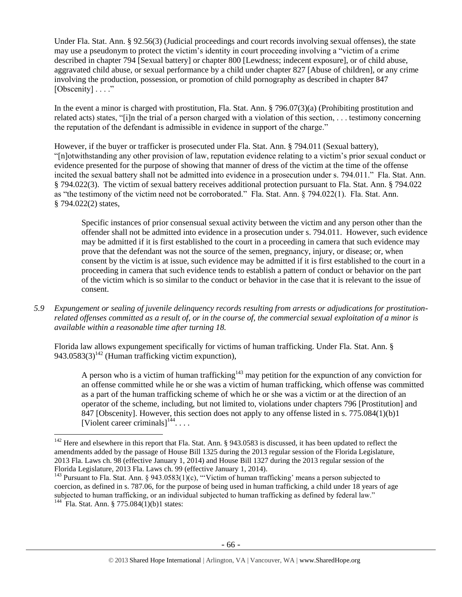Under Fla. Stat. Ann. § 92.56(3) (Judicial proceedings and court records involving sexual offenses), the state may use a pseudonym to protect the victim's identity in court proceeding involving a "victim of a crime described in chapter 794 [Sexual battery] or chapter 800 [Lewdness; indecent exposure], or of child abuse, aggravated child abuse, or sexual performance by a child under chapter 827 [Abuse of children], or any crime involving the production, possession, or promotion of child pornography as described in chapter 847 [Obscenity] . . . ."

In the event a minor is charged with prostitution, Fla. Stat. Ann. § 796.07(3)(a) (Prohibiting prostitution and related acts) states, "[i]n the trial of a person charged with a violation of this section, . . . testimony concerning the reputation of the defendant is admissible in evidence in support of the charge."

However, if the buyer or trafficker is prosecuted under Fla. Stat. Ann. § 794.011 (Sexual battery), "[n]otwithstanding any other provision of law, reputation evidence relating to a victim's prior sexual conduct or evidence presented for the purpose of showing that manner of dress of the victim at the time of the offense incited the sexual battery shall not be admitted into evidence in a prosecution under s. 794.011." Fla. Stat. Ann. § 794.022(3). The victim of sexual battery receives additional protection pursuant to Fla. Stat. Ann. § 794.022 as "the testimony of the victim need not be corroborated." Fla. Stat. Ann. § 794.022(1). Fla. Stat. Ann. § 794.022(2) states,

Specific instances of prior consensual sexual activity between the victim and any person other than the offender shall not be admitted into evidence in a prosecution under s. 794.011. However, such evidence may be admitted if it is first established to the court in a proceeding in camera that such evidence may prove that the defendant was not the source of the semen, pregnancy, injury, or disease; or, when consent by the victim is at issue, such evidence may be admitted if it is first established to the court in a proceeding in camera that such evidence tends to establish a pattern of conduct or behavior on the part of the victim which is so similar to the conduct or behavior in the case that it is relevant to the issue of consent.

*5.9 Expungement or sealing of juvenile delinquency records resulting from arrests or adjudications for prostitutionrelated offenses committed as a result of, or in the course of, the commercial sexual exploitation of a minor is available within a reasonable time after turning 18.*

Florida law allows expungement specifically for victims of human trafficking. Under Fla. Stat. Ann. §  $943.0583(3)^{142}$  (Human trafficking victim expunction),

A person who is a victim of human trafficking<sup>143</sup> may petition for the expunction of any conviction for an offense committed while he or she was a victim of human trafficking, which offense was committed as a part of the human trafficking scheme of which he or she was a victim or at the direction of an operator of the scheme, including, but not limited to, violations under chapters 796 [Prostitution] and 847 [Obscenity]. However, this section does not apply to any offense listed in s. 775.084(1)(b)1 [Violent career criminals] $144$ ...

<sup>&</sup>lt;sup>142</sup> Here and elsewhere in this report that Fla. Stat. Ann. § 943.0583 is discussed, it has been updated to reflect the amendments added by the passage of House Bill 1325 during the 2013 regular session of the Florida Legislature, 2013 Fla. Laws ch. 98 (effective January 1, 2014) and House Bill 1327 during the 2013 regular session of the Florida Legislature, 2013 Fla. Laws ch. 99 (effective January 1, 2014).

<sup>&</sup>lt;sup>143</sup> Pursuant to Fla. Stat. Ann. § 943.0583(1)(c), "Victim of human trafficking' means a person subjected to coercion, as defined in s. 787.06, for the purpose of being used in human trafficking, a child under 18 years of age subjected to human trafficking, or an individual subjected to human trafficking as defined by federal law." <sup>144</sup> Fla. Stat. Ann. § 775.084(1)(b)1 states: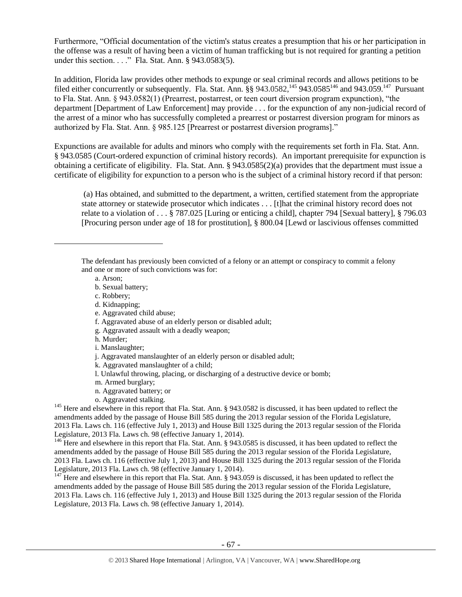Furthermore, "Official documentation of the victim's status creates a presumption that his or her participation in the offense was a result of having been a victim of human trafficking but is not required for granting a petition under this section. . . ." Fla. Stat. Ann. § 943.0583(5).

In addition, Florida law provides other methods to expunge or seal criminal records and allows petitions to be filed either concurrently or subsequently. Fla. Stat. Ann.  $\S$ § 943.0582,<sup>145</sup> 943.0585<sup>146</sup> and 943.059.<sup>147</sup> Pursuant to Fla. Stat. Ann. § 943.0582(1) (Prearrest, postarrest, or teen court diversion program expunction), "the department [Department of Law Enforcement] may provide . . . for the expunction of any non-judicial record of the arrest of a minor who has successfully completed a prearrest or postarrest diversion program for minors as authorized by Fla. Stat. Ann. § 985.125 [Prearrest or postarrest diversion programs]."

Expunctions are available for adults and minors who comply with the requirements set forth in Fla. Stat. Ann. § 943.0585 (Court-ordered expunction of criminal history records). An important prerequisite for expunction is obtaining a certificate of eligibility. Fla. Stat. Ann. § 943.0585(2)(a) provides that the department must issue a certificate of eligibility for expunction to a person who is the subject of a criminal history record if that person:

(a) Has obtained, and submitted to the department, a written, certified statement from the appropriate state attorney or statewide prosecutor which indicates . . . [t]hat the criminal history record does not relate to a violation of . . . § 787.025 [Luring or enticing a child], chapter 794 [Sexual battery], § 796.03 [Procuring person under age of 18 for prostitution], § 800.04 [Lewd or lascivious offenses committed

a. Arson;

 $\overline{a}$ 

- b. Sexual battery;
- c. Robbery;
- d. Kidnapping:
- e. Aggravated child abuse;
- f. Aggravated abuse of an elderly person or disabled adult;
- g. Aggravated assault with a deadly weapon;
- h. Murder;
- i. Manslaughter;
- j. Aggravated manslaughter of an elderly person or disabled adult;
- k. Aggravated manslaughter of a child;
- l. Unlawful throwing, placing, or discharging of a destructive device or bomb;
- m. Armed burglary;
- n. Aggravated battery; or
- o. Aggravated stalking.

<sup>145</sup> Here and elsewhere in this report that Fla. Stat. Ann. § 943.0582 is discussed, it has been updated to reflect the amendments added by the passage of House Bill 585 during the 2013 regular session of the Florida Legislature, 2013 Fla. Laws ch. 116 (effective July 1, 2013) and House Bill 1325 during the 2013 regular session of the Florida Legislature, 2013 Fla. Laws ch. 98 (effective January 1, 2014).

<sup>146</sup> Here and elsewhere in this report that Fla. Stat. Ann. § 943.0585 is discussed, it has been updated to reflect the amendments added by the passage of House Bill 585 during the 2013 regular session of the Florida Legislature, 2013 Fla. Laws ch. 116 (effective July 1, 2013) and House Bill 1325 during the 2013 regular session of the Florida Legislature, 2013 Fla. Laws ch. 98 (effective January 1, 2014).

<sup>147</sup> Here and elsewhere in this report that Fla. Stat. Ann. § 943.059 is discussed, it has been updated to reflect the amendments added by the passage of House Bill 585 during the 2013 regular session of the Florida Legislature, 2013 Fla. Laws ch. 116 (effective July 1, 2013) and House Bill 1325 during the 2013 regular session of the Florida Legislature, 2013 Fla. Laws ch. 98 (effective January 1, 2014).

The defendant has previously been convicted of a felony or an attempt or conspiracy to commit a felony and one or more of such convictions was for: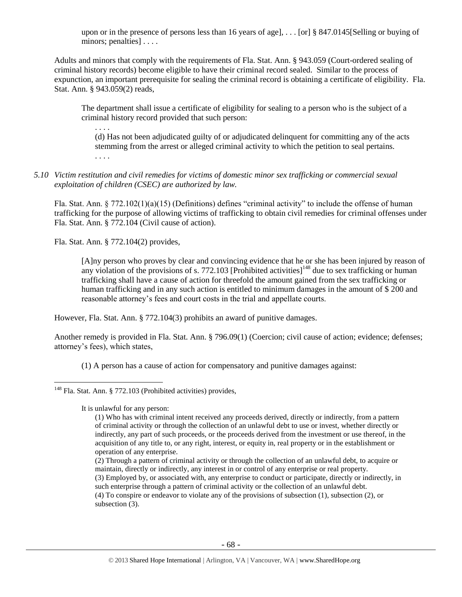upon or in the presence of persons less than 16 years of age], . . . [or] § 847.0145[Selling or buying of minors; penalties] . . . .

Adults and minors that comply with the requirements of Fla. Stat. Ann. § 943.059 (Court-ordered sealing of criminal history records) become eligible to have their criminal record sealed. Similar to the process of expunction, an important prerequisite for sealing the criminal record is obtaining a certificate of eligibility. Fla. Stat. Ann. § 943.059(2) reads,

The department shall issue a certificate of eligibility for sealing to a person who is the subject of a criminal history record provided that such person:

(d) Has not been adjudicated guilty of or adjudicated delinquent for committing any of the acts stemming from the arrest or alleged criminal activity to which the petition to seal pertains. . . . .

*5.10 Victim restitution and civil remedies for victims of domestic minor sex trafficking or commercial sexual exploitation of children (CSEC) are authorized by law.* 

Fla. Stat. Ann. § 772.102(1)(a)(15) (Definitions) defines "criminal activity" to include the offense of human trafficking for the purpose of allowing victims of trafficking to obtain civil remedies for criminal offenses under Fla. Stat. Ann. § 772.104 (Civil cause of action).

Fla. Stat. Ann. § 772.104(2) provides,

. . . .

[A]ny person who proves by clear and convincing evidence that he or she has been injured by reason of any violation of the provisions of s. 772.103 [Prohibited activities]<sup>148</sup> due to sex trafficking or human trafficking shall have a cause of action for threefold the amount gained from the sex trafficking or human trafficking and in any such action is entitled to minimum damages in the amount of \$ 200 and reasonable attorney's fees and court costs in the trial and appellate courts.

However, Fla. Stat. Ann. § 772.104(3) prohibits an award of punitive damages.

Another remedy is provided in Fla. Stat. Ann. § 796.09(1) (Coercion; civil cause of action; evidence; defenses; attorney's fees), which states,

(1) A person has a cause of action for compensatory and punitive damages against:

(2) Through a pattern of criminal activity or through the collection of an unlawful debt, to acquire or maintain, directly or indirectly, any interest in or control of any enterprise or real property. (3) Employed by, or associated with, any enterprise to conduct or participate, directly or indirectly, in

 $\overline{a}$ <sup>148</sup> Fla. Stat. Ann. § 772.103 (Prohibited activities) provides,

It is unlawful for any person:

<sup>(1)</sup> Who has with criminal intent received any proceeds derived, directly or indirectly, from a pattern of criminal activity or through the collection of an unlawful debt to use or invest, whether directly or indirectly, any part of such proceeds, or the proceeds derived from the investment or use thereof, in the acquisition of any title to, or any right, interest, or equity in, real property or in the establishment or operation of any enterprise.

such enterprise through a pattern of criminal activity or the collection of an unlawful debt. (4) To conspire or endeavor to violate any of the provisions of subsection (1), subsection (2), or subsection (3).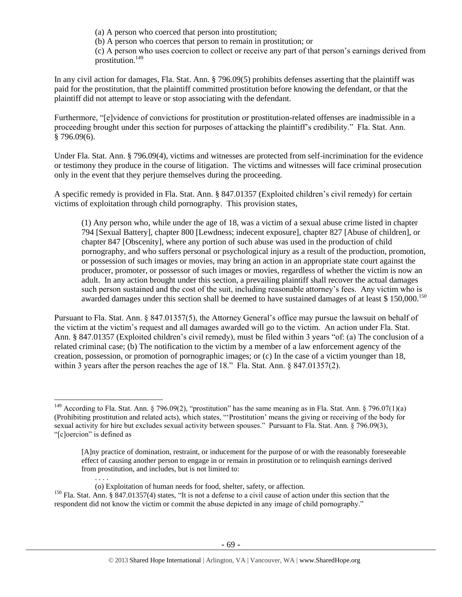(a) A person who coerced that person into prostitution;

(b) A person who coerces that person to remain in prostitution; or

(c) A person who uses coercion to collect or receive any part of that person's earnings derived from prostitution. $149$ 

In any civil action for damages, Fla. Stat. Ann. § 796.09(5) prohibits defenses asserting that the plaintiff was paid for the prostitution, that the plaintiff committed prostitution before knowing the defendant, or that the plaintiff did not attempt to leave or stop associating with the defendant.

Furthermore, "[e]vidence of convictions for prostitution or prostitution-related offenses are inadmissible in a proceeding brought under this section for purposes of attacking the plaintiff's credibility." Fla. Stat. Ann. § 796.09(6).

Under Fla. Stat. Ann. § 796.09(4), victims and witnesses are protected from self-incrimination for the evidence or testimony they produce in the course of litigation. The victims and witnesses will face criminal prosecution only in the event that they perjure themselves during the proceeding.

A specific remedy is provided in Fla. Stat. Ann. § 847.01357 (Exploited children's civil remedy) for certain victims of exploitation through child pornography. This provision states,

(1) Any person who, while under the age of 18, was a victim of a sexual abuse crime listed in chapter 794 [Sexual Battery], chapter 800 [Lewdness; indecent exposure], chapter 827 [Abuse of children], or chapter 847 [Obscenity], where any portion of such abuse was used in the production of child pornography, and who suffers personal or psychological injury as a result of the production, promotion, or possession of such images or movies, may bring an action in an appropriate state court against the producer, promoter, or possessor of such images or movies, regardless of whether the victim is now an adult. In any action brought under this section, a prevailing plaintiff shall recover the actual damages such person sustained and the cost of the suit, including reasonable attorney's fees. Any victim who is awarded damages under this section shall be deemed to have sustained damages of at least \$ 150,000.<sup>150</sup>

Pursuant to Fla. Stat. Ann. § 847.01357(5), the Attorney General's office may pursue the lawsuit on behalf of the victim at the victim's request and all damages awarded will go to the victim. An action under Fla. Stat. Ann. § 847.01357 (Exploited children's civil remedy), must be filed within 3 years "of: (a) The conclusion of a related criminal case; (b) The notification to the victim by a member of a law enforcement agency of the creation, possession, or promotion of pornographic images; or (c) In the case of a victim younger than 18, within 3 years after the person reaches the age of 18." Fla. Stat. Ann. § 847.01357(2).

 $\overline{a}$ 

. . . .

<sup>&</sup>lt;sup>149</sup> According to Fla. Stat. Ann. § 796.09(2), "prostitution" has the same meaning as in Fla. Stat. Ann. § 796.07(1)(a) (Prohibiting prostitution and related acts), which states, "'Prostitution' means the giving or receiving of the body for sexual activity for hire but excludes sexual activity between spouses." Pursuant to Fla. Stat. Ann. § 796.09(3), "[c]oercion" is defined as

<sup>[</sup>A]ny practice of domination, restraint, or inducement for the purpose of or with the reasonably foreseeable effect of causing another person to engage in or remain in prostitution or to relinquish earnings derived from prostitution, and includes, but is not limited to:

<sup>(</sup>o) Exploitation of human needs for food, shelter, safety, or affection. <sup>150</sup> Fla. Stat. Ann. § 847.01357(4) states, "It is not a defense to a civil cause of action under this section that the respondent did not know the victim or commit the abuse depicted in any image of child pornography."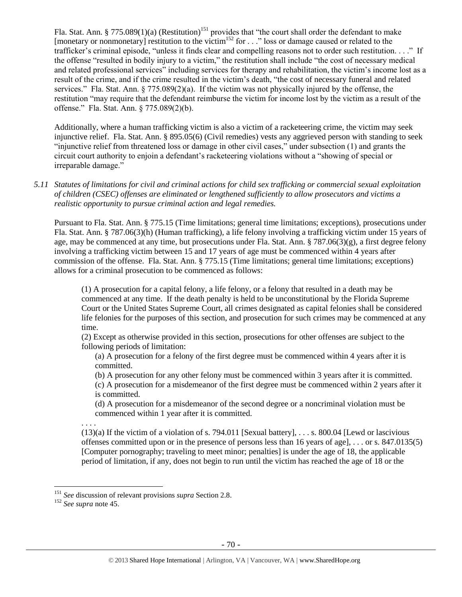Fla. Stat. Ann. § 775.089(1)(a) (Restitution)<sup>151</sup> provides that "the court shall order the defendant to make [monetary or nonmonetary] restitution to the victim<sup>152</sup> for  $\ldots$  " loss or damage caused or related to the trafficker's criminal episode, "unless it finds clear and compelling reasons not to order such restitution. . . ." If the offense "resulted in bodily injury to a victim," the restitution shall include "the cost of necessary medical and related professional services" including services for therapy and rehabilitation, the victim's income lost as a result of the crime, and if the crime resulted in the victim's death, "the cost of necessary funeral and related services." Fla. Stat. Ann. § 775.089(2)(a). If the victim was not physically injured by the offense, the restitution "may require that the defendant reimburse the victim for income lost by the victim as a result of the offense." Fla. Stat. Ann. § 775.089(2)(b).

Additionally, where a human trafficking victim is also a victim of a racketeering crime, the victim may seek injunctive relief. Fla. Stat. Ann. § 895.05(6) (Civil remedies) vests any aggrieved person with standing to seek "injunctive relief from threatened loss or damage in other civil cases," under subsection (1) and grants the circuit court authority to enjoin a defendant's racketeering violations without a "showing of special or irreparable damage."

*5.11 Statutes of limitations for civil and criminal actions for child sex trafficking or commercial sexual exploitation of children (CSEC) offenses are eliminated or lengthened sufficiently to allow prosecutors and victims a realistic opportunity to pursue criminal action and legal remedies.*

Pursuant to Fla. Stat. Ann. § 775.15 (Time limitations; general time limitations; exceptions), prosecutions under Fla. Stat. Ann. § 787.06(3)(h) (Human trafficking), a life felony involving a trafficking victim under 15 years of age, may be commenced at any time, but prosecutions under Fla. Stat. Ann. § 787.06(3)(g), a first degree felony involving a trafficking victim between 15 and 17 years of age must be commenced within 4 years after commission of the offense. Fla. Stat. Ann. § 775.15 (Time limitations; general time limitations; exceptions) allows for a criminal prosecution to be commenced as follows:

(1) A prosecution for a capital felony, a life felony, or a felony that resulted in a death may be commenced at any time. If the death penalty is held to be unconstitutional by the Florida Supreme Court or the United States Supreme Court, all crimes designated as capital felonies shall be considered life felonies for the purposes of this section, and prosecution for such crimes may be commenced at any time.

(2) Except as otherwise provided in this section, prosecutions for other offenses are subject to the following periods of limitation:

(a) A prosecution for a felony of the first degree must be commenced within 4 years after it is committed.

(b) A prosecution for any other felony must be commenced within 3 years after it is committed.

(c) A prosecution for a misdemeanor of the first degree must be commenced within 2 years after it is committed.

(d) A prosecution for a misdemeanor of the second degree or a noncriminal violation must be commenced within 1 year after it is committed.

. . . .

(13)(a) If the victim of a violation of s. 794.011 [Sexual battery], . . . s. 800.04 [Lewd or lascivious offenses committed upon or in the presence of persons less than 16 years of age], . . . or s. 847.0135(5) [Computer pornography; traveling to meet minor; penalties] is under the age of 18, the applicable period of limitation, if any, does not begin to run until the victim has reached the age of 18 or the

<sup>151</sup> *See* discussion of relevant provisions *supra* Section 2.8.

<sup>152</sup> *See supra* not[e 45.](#page-18-0)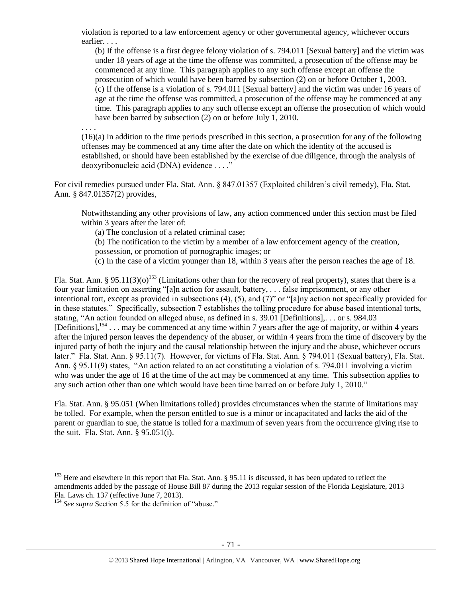violation is reported to a law enforcement agency or other governmental agency, whichever occurs earlier. . . .

(b) If the offense is a first degree felony violation of s. 794.011 [Sexual battery] and the victim was under 18 years of age at the time the offense was committed, a prosecution of the offense may be commenced at any time. This paragraph applies to any such offense except an offense the prosecution of which would have been barred by subsection (2) on or before October 1, 2003. (c) If the offense is a violation of s. 794.011 [Sexual battery] and the victim was under 16 years of age at the time the offense was committed, a prosecution of the offense may be commenced at any time. This paragraph applies to any such offense except an offense the prosecution of which would have been barred by subsection (2) on or before July 1, 2010.

. . . .

(16)(a) In addition to the time periods prescribed in this section, a prosecution for any of the following offenses may be commenced at any time after the date on which the identity of the accused is established, or should have been established by the exercise of due diligence, through the analysis of deoxyribonucleic acid (DNA) evidence . . . ."

For civil remedies pursued under Fla. Stat. Ann. § 847.01357 (Exploited children's civil remedy), Fla. Stat. Ann. § 847.01357(2) provides,

Notwithstanding any other provisions of law, any action commenced under this section must be filed within 3 years after the later of:

(a) The conclusion of a related criminal case;

(b) The notification to the victim by a member of a law enforcement agency of the creation, possession, or promotion of pornographic images; or

(c) In the case of a victim younger than 18, within 3 years after the person reaches the age of 18.

Fla. Stat. Ann. § 95.11(3)(o)<sup>153</sup> (Limitations other than for the recovery of real property), states that there is a four year limitation on asserting "[a]n action for assault, battery, . . . false imprisonment, or any other intentional tort, except as provided in subsections (4), (5), and (7)" or "[a]ny action not specifically provided for in these statutes." Specifically, subsection 7 establishes the tolling procedure for abuse based intentional torts, stating, "An action founded on alleged abuse, as defined in s. 39.01 [Definitions],. . . or s. 984.03 [Definitions],<sup>154</sup> . . . may be commenced at any time within 7 years after the age of majority, or within 4 years after the injured person leaves the dependency of the abuser, or within 4 years from the time of discovery by the injured party of both the injury and the causal relationship between the injury and the abuse, whichever occurs later." Fla. Stat. Ann. § 95.11(7). However, for victims of Fla. Stat. Ann. § 794.011 (Sexual battery), Fla. Stat. Ann. § 95.11(9) states, "An action related to an act constituting a violation of s. 794.011 involving a victim who was under the age of 16 at the time of the act may be commenced at any time. This subsection applies to any such action other than one which would have been time barred on or before July 1, 2010."

Fla. Stat. Ann. § 95.051 (When limitations tolled) provides circumstances when the statute of limitations may be tolled. For example, when the person entitled to sue is a minor or incapacitated and lacks the aid of the parent or guardian to sue, the statue is tolled for a maximum of seven years from the occurrence giving rise to the suit. Fla. Stat. Ann. § 95.051(i).

<sup>&</sup>lt;sup>153</sup> Here and elsewhere in this report that Fla. Stat. Ann. § 95.11 is discussed, it has been updated to reflect the amendments added by the passage of House Bill 87 during the 2013 regular session of the Florida Legislature, 2013 Fla. Laws ch. 137 (effective June 7, 2013).

<sup>&</sup>lt;sup>154</sup> See supra Section 5.5 for the definition of "abuse."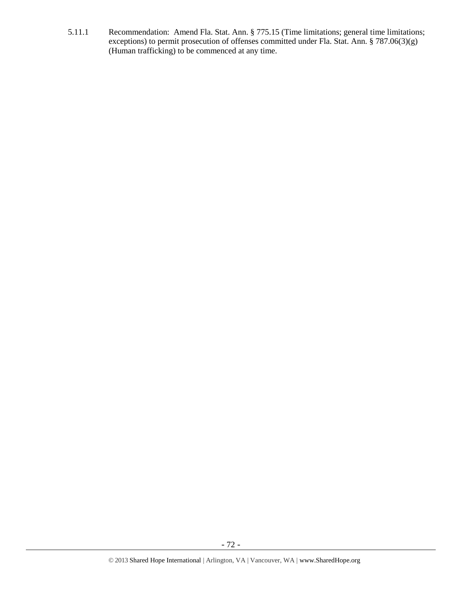5.11.1 Recommendation: Amend Fla. Stat. Ann. § 775.15 (Time limitations; general time limitations; exceptions) to permit prosecution of offenses committed under Fla. Stat. Ann. § 787.06(3)(g) (Human trafficking) to be commenced at any time.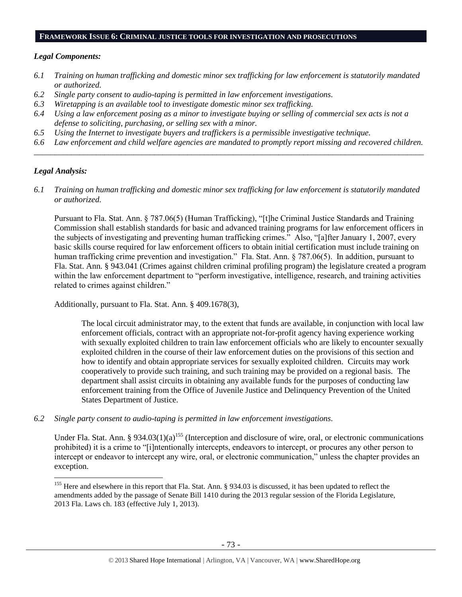#### **FRAMEWORK ISSUE 6: CRIMINAL JUSTICE TOOLS FOR INVESTIGATION AND PROSECUTIONS**

#### *Legal Components:*

- *6.1 Training on human trafficking and domestic minor sex trafficking for law enforcement is statutorily mandated or authorized.*
- *6.2 Single party consent to audio-taping is permitted in law enforcement investigations.*
- *6.3 Wiretapping is an available tool to investigate domestic minor sex trafficking.*
- *6.4 Using a law enforcement posing as a minor to investigate buying or selling of commercial sex acts is not a defense to soliciting, purchasing, or selling sex with a minor.*
- *6.5 Using the Internet to investigate buyers and traffickers is a permissible investigative technique.*
- *6.6 Law enforcement and child welfare agencies are mandated to promptly report missing and recovered children. \_\_\_\_\_\_\_\_\_\_\_\_\_\_\_\_\_\_\_\_\_\_\_\_\_\_\_\_\_\_\_\_\_\_\_\_\_\_\_\_\_\_\_\_\_\_\_\_\_\_\_\_\_\_\_\_\_\_\_\_\_\_\_\_\_\_\_\_\_\_\_\_\_\_\_\_\_\_\_\_\_\_\_\_\_\_\_\_\_\_\_\_\_\_*

## *Legal Analysis:*

 $\overline{a}$ 

*6.1 Training on human trafficking and domestic minor sex trafficking for law enforcement is statutorily mandated or authorized.*

Pursuant to Fla. Stat. Ann. § 787.06(5) (Human Trafficking), "[t]he Criminal Justice Standards and Training Commission shall establish standards for basic and advanced training programs for law enforcement officers in the subjects of investigating and preventing human trafficking crimes." Also, "[a]fter January 1, 2007, every basic skills course required for law enforcement officers to obtain initial certification must include training on human trafficking crime prevention and investigation." Fla. Stat. Ann. § 787.06(5). In addition, pursuant to Fla. Stat. Ann. § 943.041 (Crimes against children criminal profiling program) the legislature created a program within the law enforcement department to "perform investigative, intelligence, research, and training activities related to crimes against children."

Additionally, pursuant to Fla. Stat. Ann. § 409.1678(3),

The local circuit administrator may, to the extent that funds are available, in conjunction with local law enforcement officials, contract with an appropriate not-for-profit agency having experience working with sexually exploited children to train law enforcement officials who are likely to encounter sexually exploited children in the course of their law enforcement duties on the provisions of this section and how to identify and obtain appropriate services for sexually exploited children. Circuits may work cooperatively to provide such training, and such training may be provided on a regional basis. The department shall assist circuits in obtaining any available funds for the purposes of conducting law enforcement training from the Office of Juvenile Justice and Delinquency Prevention of the United States Department of Justice.

*6.2 Single party consent to audio-taping is permitted in law enforcement investigations.*

Under Fla. Stat. Ann. § 934.03(1)(a)<sup>155</sup> (Interception and disclosure of wire, oral, or electronic communications prohibited) it is a crime to "[i]ntentionally intercepts, endeavors to intercept, or procures any other person to intercept or endeavor to intercept any wire, oral, or electronic communication," unless the chapter provides an exception.

<sup>&</sup>lt;sup>155</sup> Here and elsewhere in this report that Fla. Stat. Ann. § 934.03 is discussed, it has been updated to reflect the amendments added by the passage of Senate Bill 1410 during the 2013 regular session of the Florida Legislature, 2013 Fla. Laws ch. 183 (effective July 1, 2013).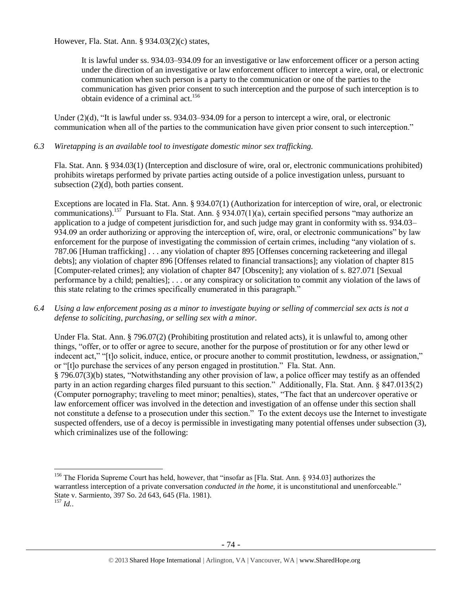However, Fla. Stat. Ann. § 934.03(2)(c) states,

 $\overline{a}$ 

It is lawful under ss. 934.03–934.09 for an investigative or law enforcement officer or a person acting under the direction of an investigative or law enforcement officer to intercept a wire, oral, or electronic communication when such person is a party to the communication or one of the parties to the communication has given prior consent to such interception and the purpose of such interception is to obtain evidence of a criminal act.<sup>156</sup>

Under (2)(d), "It is lawful under ss. 934.03–934.09 for a person to intercept a wire, oral, or electronic communication when all of the parties to the communication have given prior consent to such interception."

## *6.3 Wiretapping is an available tool to investigate domestic minor sex trafficking.*

Fla. Stat. Ann. § 934.03(1) (Interception and disclosure of wire, oral or, electronic communications prohibited) prohibits wiretaps performed by private parties acting outside of a police investigation unless, pursuant to subsection (2)(d), both parties consent.

Exceptions are located in Fla. Stat. Ann. § 934.07(1) (Authorization for interception of wire, oral, or electronic communications).<sup>157</sup> Pursuant to Fla. Stat. Ann. § 934.07(1)(a), certain specified persons "may authorize an application to a judge of competent jurisdiction for, and such judge may grant in conformity with ss. 934.03– 934.09 an order authorizing or approving the interception of, wire, oral, or electronic communications" by law enforcement for the purpose of investigating the commission of certain crimes, including "any violation of s. 787.06 [Human trafficking] . . . any violation of chapter 895 [Offenses concerning racketeering and illegal debts]; any violation of chapter 896 [Offenses related to financial transactions]; any violation of chapter 815 [Computer-related crimes]; any violation of chapter 847 [Obscenity]; any violation of s. 827.071 [Sexual performance by a child; penalties]; . . . or any conspiracy or solicitation to commit any violation of the laws of this state relating to the crimes specifically enumerated in this paragraph."

## *6.4 Using a law enforcement posing as a minor to investigate buying or selling of commercial sex acts is not a defense to soliciting, purchasing, or selling sex with a minor.*

Under Fla. Stat. Ann. § 796.07(2) (Prohibiting prostitution and related acts), it is unlawful to, among other things, "offer, or to offer or agree to secure, another for the purpose of prostitution or for any other lewd or indecent act," "[t]o solicit, induce, entice, or procure another to commit prostitution, lewdness, or assignation," or "[t]o purchase the services of any person engaged in prostitution." Fla. Stat. Ann. § 796.07(3)(b) states, "Notwithstanding any other provision of law, a police officer may testify as an offended party in an action regarding charges filed pursuant to this section." Additionally, Fla. Stat. Ann. § 847.0135(2) (Computer pornography; traveling to meet minor; penalties), states, "The fact that an undercover operative or law enforcement officer was involved in the detection and investigation of an offense under this section shall not constitute a defense to a prosecution under this section." To the extent decoys use the Internet to investigate suspected offenders, use of a decoy is permissible in investigating many potential offenses under subsection (3), which criminalizes use of the following:

<sup>&</sup>lt;sup>156</sup> The Florida Supreme Court has held, however, that "insofar as [Fla. Stat. Ann. § 934.03] authorizes the warrantless interception of a private conversation *conducted in the home,* it is unconstitutional and unenforceable." State v. Sarmiento, 397 So. 2d 643, 645 (Fla. 1981). <sup>157</sup> *Id.*.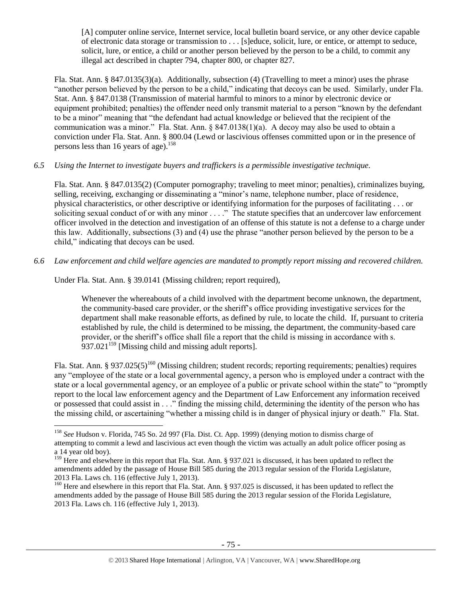[A] computer online service, Internet service, local bulletin board service, or any other device capable of electronic data storage or transmission to . . . [s]educe, solicit, lure, or entice, or attempt to seduce, solicit, lure, or entice, a child or another person believed by the person to be a child, to commit any illegal act described in chapter 794, chapter 800, or chapter 827.

Fla. Stat. Ann. § 847.0135(3)(a). Additionally, subsection (4) (Travelling to meet a minor) uses the phrase "another person believed by the person to be a child," indicating that decoys can be used. Similarly, under Fla. Stat. Ann. § 847.0138 (Transmission of material harmful to minors to a minor by electronic device or equipment prohibited; penalties) the offender need only transmit material to a person "known by the defendant to be a minor" meaning that "the defendant had actual knowledge or believed that the recipient of the communication was a minor." Fla. Stat. Ann. § 847.0138(1)(a). A decoy may also be used to obtain a conviction under Fla. Stat. Ann. § 800.04 (Lewd or lascivious offenses committed upon or in the presence of persons less than 16 years of age).<sup>158</sup>

# *6.5 Using the Internet to investigate buyers and traffickers is a permissible investigative technique.*

Fla. Stat. Ann. § 847.0135(2) (Computer pornography; traveling to meet minor; penalties), criminalizes buying, selling, receiving, exchanging or disseminating a "minor's name, telephone number, place of residence, physical characteristics, or other descriptive or identifying information for the purposes of facilitating . . . or soliciting sexual conduct of or with any minor . . . ." The statute specifies that an undercover law enforcement officer involved in the detection and investigation of an offense of this statute is not a defense to a charge under this law. Additionally, subsections (3) and (4) use the phrase "another person believed by the person to be a child," indicating that decoys can be used.

*6.6 Law enforcement and child welfare agencies are mandated to promptly report missing and recovered children.* 

Under Fla. Stat. Ann. § 39.0141 (Missing children; report required),

 $\overline{a}$ 

Whenever the whereabouts of a child involved with the department become unknown, the department, the community-based care provider, or the sheriff's office providing investigative services for the department shall make reasonable efforts, as defined by rule, to locate the child. If, pursuant to criteria established by rule, the child is determined to be missing, the department, the community-based care provider, or the sheriff's office shall file a report that the child is missing in accordance with s.  $937.021<sup>159</sup>$  [Missing child and missing adult reports].

Fla. Stat. Ann. § 937.025(5)<sup>160</sup> (Missing children; student records; reporting requirements; penalties) requires any "employee of the state or a local governmental agency, a person who is employed under a contract with the state or a local governmental agency, or an employee of a public or private school within the state" to "promptly report to the local law enforcement agency and the Department of Law Enforcement any information received or possessed that could assist in . . ." finding the missing child, determining the identity of the person who has the missing child, or ascertaining "whether a missing child is in danger of physical injury or death." Fla. Stat.

<sup>158</sup> *See* Hudson v. Florida, 745 So. 2d 997 (Fla. Dist. Ct. App. 1999) (denying motion to dismiss charge of attempting to commit a lewd and lascivious act even though the victim was actually an adult police officer posing as a 14 year old boy).

<sup>&</sup>lt;sup>159</sup> Here and elsewhere in this report that Fla. Stat. Ann. § 937.021 is discussed, it has been updated to reflect the amendments added by the passage of House Bill 585 during the 2013 regular session of the Florida Legislature, 2013 Fla. Laws ch. 116 (effective July 1, 2013).

<sup>&</sup>lt;sup>160</sup> Here and elsewhere in this report that Fla. Stat. Ann. § 937.025 is discussed, it has been updated to reflect the amendments added by the passage of House Bill 585 during the 2013 regular session of the Florida Legislature, 2013 Fla. Laws ch. 116 (effective July 1, 2013).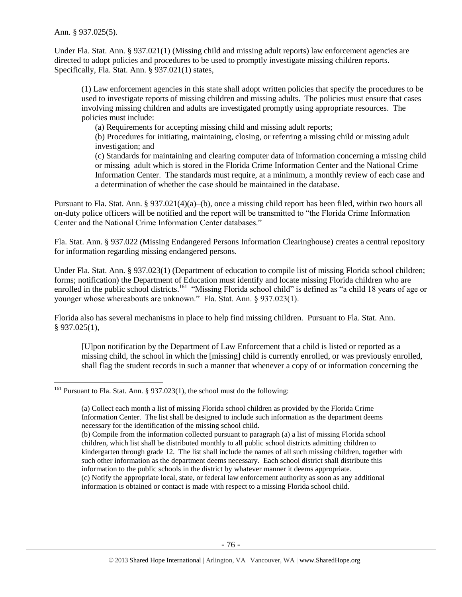Ann. § 937.025(5).

Under Fla. Stat. Ann. § 937.021(1) (Missing child and missing adult reports) law enforcement agencies are directed to adopt policies and procedures to be used to promptly investigate missing children reports. Specifically, Fla. Stat. Ann. § 937.021(1) states,

(1) Law enforcement agencies in this state shall adopt written policies that specify the procedures to be used to investigate reports of missing children and missing adults. The policies must ensure that cases involving missing children and adults are investigated promptly using appropriate resources. The policies must include:

(a) Requirements for accepting missing child and missing adult reports;

(b) Procedures for initiating, maintaining, closing, or referring a missing child or missing adult investigation; and

(c) Standards for maintaining and clearing computer data of information concerning a missing child or missing adult which is stored in the Florida Crime Information Center and the National Crime Information Center. The standards must require, at a minimum, a monthly review of each case and a determination of whether the case should be maintained in the database.

Pursuant to Fla. Stat. Ann. § 937.021(4)(a)–(b), once a missing child report has been filed, within two hours all on-duty police officers will be notified and the report will be transmitted to "the Florida Crime Information Center and the National Crime Information Center databases."

Fla. Stat. Ann. § 937.022 (Missing Endangered Persons Information Clearinghouse) creates a central repository for information regarding missing endangered persons.

Under Fla. Stat. Ann. § 937.023(1) (Department of education to compile list of missing Florida school children; forms; notification) the Department of Education must identify and locate missing Florida children who are enrolled in the public school districts.<sup>161</sup> "Missing Florida school child" is defined as "a child 18 years of age or younger whose whereabouts are unknown." Fla. Stat. Ann. § 937.023(1).

Florida also has several mechanisms in place to help find missing children. Pursuant to Fla. Stat. Ann. § 937.025(1),

[U]pon notification by the Department of Law Enforcement that a child is listed or reported as a missing child, the school in which the [missing] child is currently enrolled, or was previously enrolled, shall flag the student records in such a manner that whenever a copy of or information concerning the

 $\overline{a}$ <sup>161</sup> Pursuant to Fla. Stat. Ann. § 937.023(1), the school must do the following:

<sup>(</sup>a) Collect each month a list of missing Florida school children as provided by the Florida Crime Information Center. The list shall be designed to include such information as the department deems necessary for the identification of the missing school child.

<sup>(</sup>b) Compile from the information collected pursuant to paragraph (a) a list of missing Florida school children, which list shall be distributed monthly to all public school districts admitting children to kindergarten through grade 12. The list shall include the names of all such missing children, together with such other information as the department deems necessary. Each school district shall distribute this information to the public schools in the district by whatever manner it deems appropriate. (c) Notify the appropriate local, state, or federal law enforcement authority as soon as any additional information is obtained or contact is made with respect to a missing Florida school child.